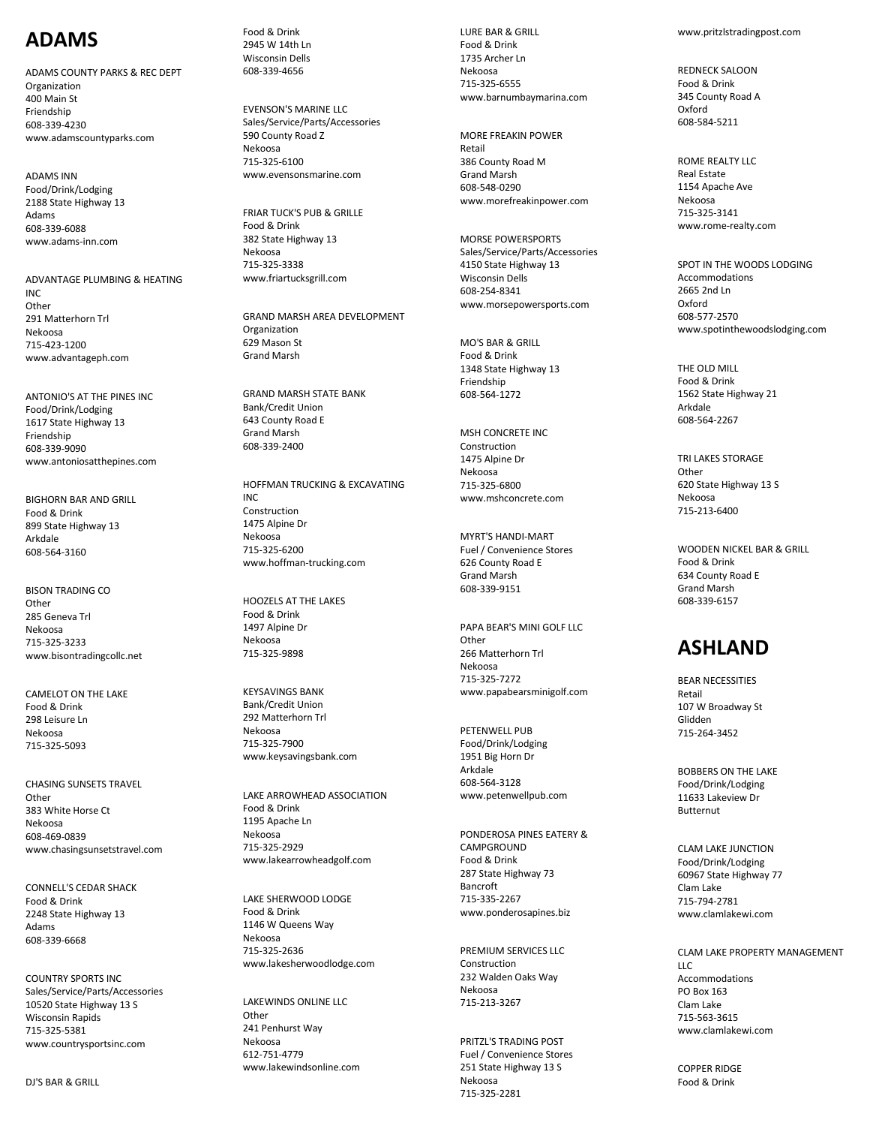# **ADAMS**

ADAMS COUNTY PARKS & REC DEPT Organization 400 Main St Friendship 608 -339 -4230 www.adamscountyparks.com

ADAMS INN Food/Drink/Lodging 2188 State Highway 13 Adams 608 -339 -6088 www.adams -inn.com

ADVANTAGE PLUMBING & HEATING INC Other 291 Matterhorn Trl Nekoosa 715 -423 -1200 www.advantageph.com

ANTONIO'S AT THE PINES INC Food/Drink/Lodging 1617 State Highway 13 Friendship 608 -339 -9090 www.antoniosatthepines.com

BIGHORN BAR AND GRILL Food & Drink 899 State Highway 13 Arkdale 608 -564 -3160

BISON TRADING CO Other 285 Geneva Trl Nekoosa 715 -325 -3233 www.bisontradingcollc.net

CAMELOT ON THE LAKE Food & Drink 298 Leisure Ln Nekoosa 715 -325 -5093

CHASING SUNSETS TRAVEL Other 383 White Horse Ct Nekoosa 608 -469 -0839 www.chasingsunsetstravel.com

CONNELL'S CEDAR SHACK Food & Drink 2248 State Highway 13 Adams 608 -339 -6668

COUNTRY SPORTS INC Sales/Service/Parts/Accessories 10520 State Highway 13 S Wisconsin Rapids 715 -325 -5381 www.countrysportsinc.com

Food & Drink 2945 W 14th Ln Wisconsin Dells 608 -339 -4656

EVENSON'S MARINE LLC Sales/Service/Parts/Accessories 590 County Road Z Nekoosa 715 -325 -6100 www.evensonsmarine.com

FRIAR TUCK'S PUB & GRILLE Food & Drink 382 State Highway 13 Nekoosa 715 -325 -3338 www.friartucksgrill.com

GRAND MARSH AREA DEVELOPMENT Organization 629 Mason St Grand Marsh

GRAND MARSH STATE BANK Bank/Credit Union 643 County Road E Grand Marsh 608 -339 -2400

HOFFMAN TRUCKING & EXCAVATING INC Construction 1475 Alpine Dr Nekoosa 715 -325 -6200 www.hoffman -trucking.com

HOOZELS AT THE LAKES Food & Drink 1497 Alpine Dr Nekoosa 715 -325 -9898

KEYSAVINGS BANK Bank/Credit Union 292 Matterhorn Trl Nekoosa 715 -325 -7900 www.keysavingsbank.com

LAKE ARROWHEAD ASSOCIATION Food & Drink 1195 Apache Ln Nekoosa 715 -325 -2929 www.lakearrowheadgolf.com

LAKE SHERWOOD LODGE Food & Drink 1146 W Queens Way Nekoosa 715 -325 -2636 www.lakesherwoodlodge.com

LAKEWINDS ONLINE LLC **Other** 241 Penhurst Way Nekoosa 612 -751 -4779 www.lakewindsonline.com

LURE BAR & GRILL Food & Drink 1735 Archer Ln Nekoosa 715 -325 -6555 www.barnumbaymarina.com

MORE FREAKIN POWER Retail 386 County Road M Grand Marsh 608 -548 -0290 www.morefreakinpower.com

MORSE POWERSPORTS Sales/Service/Parts/Accessories 4150 State Highway 13 Wisconsin Dells 608 -254 -8341 www.morsepowersports.com

MO'S BAR & GRILL Food & Drink 1348 State Highway 13 Friendship 608 -564 -1272

MSH CONCRETE INC Construction 1475 Alpine Dr Nekoosa 715 -325 -6800 www.mshconcrete.com

MYRT'S HANDI -MART Fuel / Convenience Stores 626 County Road E Grand Marsh 608 -339 -9151

PAPA BEAR'S MINI GOLF LLC Other 266 Matterhorn Trl Nekoosa 715 -325 -7272 www.papabearsminigolf.com

PETENWELL PUB Food/Drink/Lodging 1951 Big Horn Dr Arkdale 608 -564 -3128 www.petenwellpub.com

PONDEROSA PINES EATERY & **CAMPGROUND** Food & Drink 287 State Highway 73 Bancroft 715 -335 -2267 www.ponderosapines.biz

PREMIUM SERVICES LLC Construction 232 Walden Oaks Way Nekoosa 715 -213 -3267

PRITZL'S TRADING POST Fuel / Convenience Stores 251 State Highway 13 S Nekoosa 715 -325 -2281

www.pritzlstradingpost.com

REDNECK SALOON Food & Drink 345 County Road A Oxford 608 -584 -5211

ROME REALTY LLC Real Estate 1154 Apache Ave Nekoosa 715 -325 -3141 www.rome -realty.com

SPOT IN THE WOODS LODGING Accommodations 2665 2nd Ln Oxford 608 -577 -2570 www.spotinthewoodslodging.com

THE OLD MILL Food & Drink 1562 State Highway 21 Arkdale 608 -564 -2267

TRI LAKES STORAGE **Other** 620 State Highway 13 S Nekoosa 715 -213 -6400

WOODEN NICKEL BAR & GRILL Food & Drink 634 County Road E Grand Marsh 608 -339 -6157

# **ASHLAND**

BEAR NECESSITIES Retail 107 W Broadway St Glidden 715 -264 -3452

BOBBERS ON THE LAKE Food/Drink/Lodging 11633 Lakeview Dr Butternut

CLAM LAKE JUNCTION Food/Drink/Lodging 60967 State Highway 77 Clam Lake 715 -794 -2781 www.clamlakewi.com

CLAM LAKE PROPERTY MANAGEMENT  $\overline{L}$ Accommodations PO Box 163 Clam Lake 715 -563 -3615 www.clamlakewi.com

COPPER RIDGE Food & Drink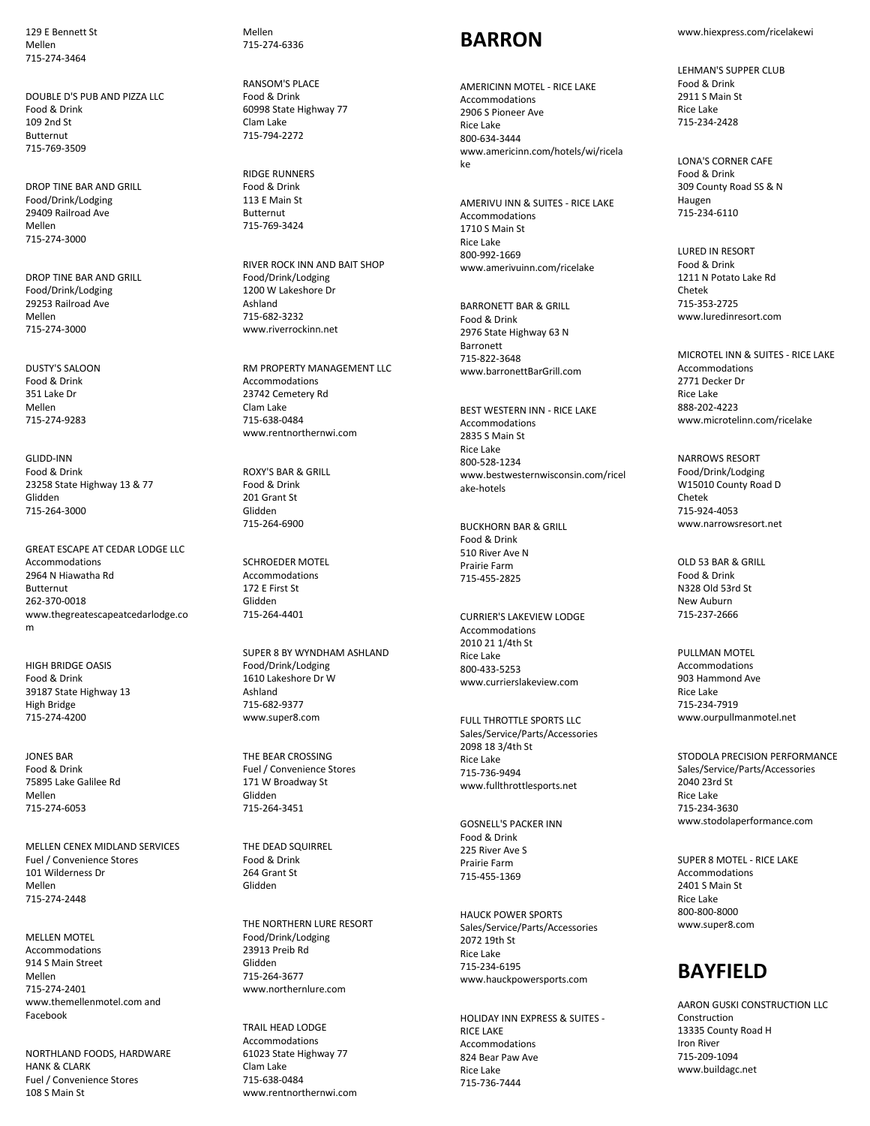129 E Bennett St Mellen 715-274-3464

DOUBLE D'S PUB AND PIZZA LLC Food & Drink 109 2nd St Butternut 715-769-3509

DROP TINE BAR AND GRILL Food/Drink/Lodging 29409 Railroad Ave Mellen 715-274-3000

DROP TINE BAR AND GRILL Food/Drink/Lodging 29253 Railroad Ave Mellen 715-274-3000

DUSTY'S SALOON Food & Drink 351 Lake Dr Mellen 715-274-9283

GLIDD-INN Food & Drink 23258 State Highway 13 & 77 Glidden 715-264-3000

GREAT ESCAPE AT CEDAR LODGE LLC Accommodations 2964 N Hiawatha Rd Butternut 262-370-0018 www.thegreatescapeatcedarlodge.co m

HIGH BRIDGE OASIS Food & Drink 39187 State Highway 13 High Bridge 715-274-4200

JONES BAR Food & Drink 75895 Lake Galilee Rd Mellen 715-274-6053

MELLEN CENEX MIDLAND SERVICES Fuel / Convenience Stores 101 Wilderness Dr Mellen 715-274-2448

MELLEN MOTEL Accommodations 914 S Main Street Mellen 715-274-2401 www.themellenmotel.com and Facebook

NORTHLAND FOODS, HARDWARE HANK & CLARK Fuel / Convenience Stores 108 S Main St

Mellen 715-274-6336

RANSOM'S PLACE Food & Drink 60998 State Highway 77 Clam Lake 715-794-2272

RIDGE RUNNERS Food & Drink 113 E Main St Butternut 715-769-3424

RIVER ROCK INN AND BAIT SHOP Food/Drink/Lodging 1200 W Lakeshore Dr Ashland 715-682-3232 www.riverrockinn.net

RM PROPERTY MANAGEMENT LLC Accommodations 23742 Cemetery Rd Clam Lake 715-638-0484 www.rentnorthernwi.com

ROXY'S BAR & GRILL Food & Drink 201 Grant St Glidden 715-264-6900

SCHROEDER MOTEL Accommodations 172 E First St Glidden 715-264-4401

SUPER 8 BY WYNDHAM ASHLAND Food/Drink/Lodging 1610 Lakeshore Dr W Ashland 715-682-9377 www.super8.com

THE BEAR CROSSING Fuel / Convenience Stores 171 W Broadway St Glidden 715-264-3451

THE DEAD SQUIRREL Food & Drink 264 Grant St Glidden

THE NORTHERN LURE RESORT Food/Drink/Lodging 23913 Preib Rd Glidden 715-264-3677 www.northernlure.com

TRAIL HEAD LODGE Accommodations 61023 State Highway 77 Clam Lake 715-638-0484 www.rentnorthernwi.com

#### **BARRON**

AMERICINN MOTEL - RICE LAKE Accommodations 2906 S Pioneer Ave Rice Lake 800-634-3444 www.americinn.com/hotels/wi/ricela ke

AMERIVU INN & SUITES - RICE LAKE Accommodations 1710 S Main St Rice Lake 800-992-1669 www.amerivuinn.com/ricelake

BARRONETT BAR & GRILL Food & Drink 2976 State Highway 63 N Barronett 715-822-3648 www.barronettBarGrill.com

BEST WESTERN INN - RICE LAKE Accommodations 2835 S Main St Rice Lake 800-528-1234 www.bestwesternwisconsin.com/ricel ake-hotels

BUCKHORN BAR & GRILL Food & Drink 510 River Ave N Prairie Farm 715-455-2825

CURRIER'S LAKEVIEW LODGE Accommodations 2010 21 1/4th St Rice Lake 800-433-5253 www.currierslakeview.com

FULL THROTTLE SPORTS LLC Sales/Service/Parts/Accessories 2098 18 3/4th St Rice Lake 715-736-9494 www.fullthrottlesports.net

GOSNELL'S PACKER INN Food & Drink 225 River Ave S Prairie Farm 715-455-1369

HAUCK POWER SPORTS Sales/Service/Parts/Accessories 2072 19th St Rice Lake 715-234-6195 www.hauckpowersports.com

HOLIDAY INN EXPRESS & SUITES - RICE LAKE Accommodations 824 Bear Paw Ave Rice Lake 715-736-7444

www.hiexpress.com/ricelakewi

LEHMAN'S SUPPER CLUB Food & Drink 2911 S Main St Rice Lake 715-234-2428

LONA'S CORNER CAFE Food & Drink 309 County Road SS & N Haugen 715-234-6110

LURED IN RESORT Food & Drink 1211 N Potato Lake Rd Chetek 715-353-2725 www.luredinresort.com

MICROTEL INN & SUITES - RICE LAKE Accommodations 2771 Decker Dr Rice Lake 888-202-4223 www.microtelinn.com/ricelake

NARROWS RESORT Food/Drink/Lodging W15010 County Road D Chetek 715-924-4053 www.narrowsresort.net

OLD 53 BAR & GRILL Food & Drink N328 Old 53rd St New Auburn 715-237-2666

PULLMAN MOTEL Accommodations 903 Hammond Ave Rice Lake 715-234-7919 www.ourpullmanmotel.net

STODOLA PRECISION PERFORMANCE Sales/Service/Parts/Accessories 2040 23rd St Rice Lake 715-234-3630 www.stodolaperformance.com

SUPER 8 MOTEL - RICE LAKE Accommodations 2401 S Main St Rice Lake 800-800-8000 www.super8.com

# **BAYFIELD**

AARON GUSKI CONSTRUCTION LLC Construction 13335 County Road H Iron River 715-209-1094 www.buildagc.net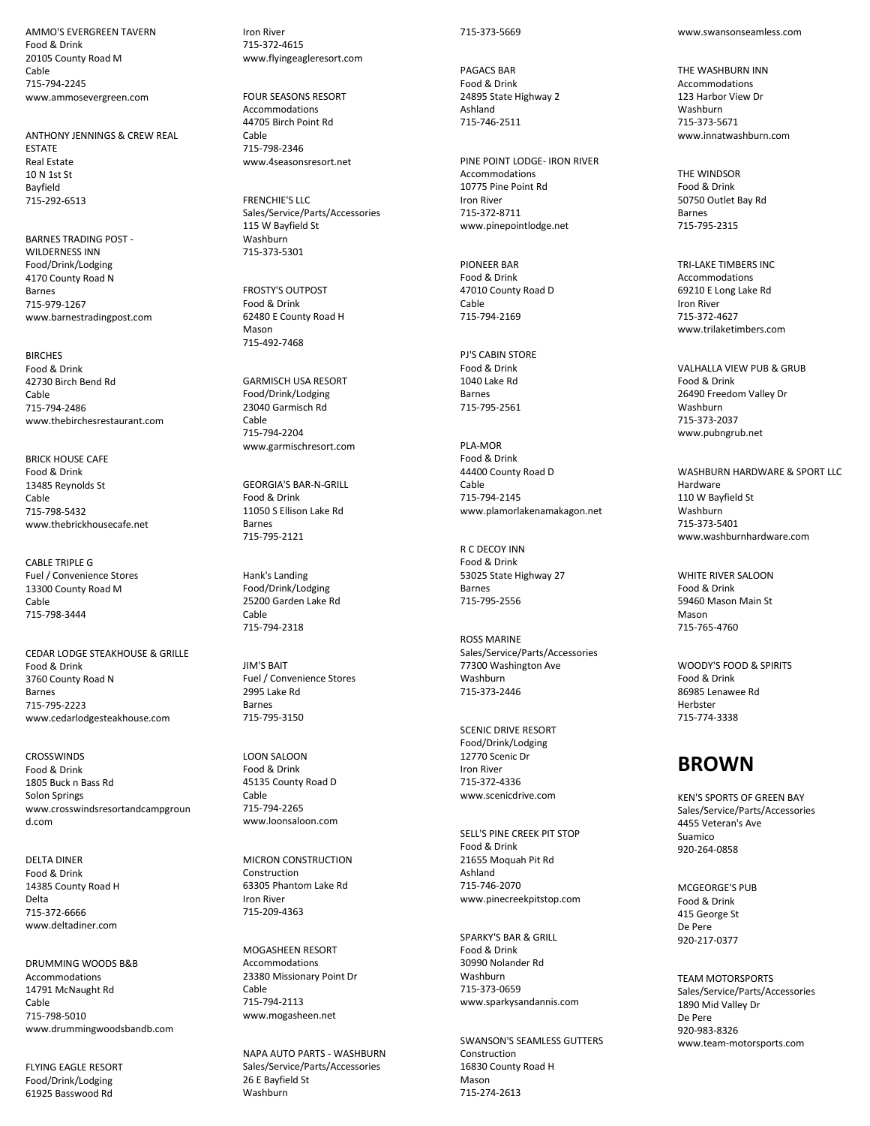AMMO'S EVERGREEN TAVERN Food & Drink 20105 County Road M Cable 715-794-2245 www.ammosevergreen.com

ANTHONY JENNINGS & CREW REAL ESTATE Real Estate 10 N 1st St Bayfield 715-292-6513

BARNES TRADING POST - WILDERNESS INN Food/Drink/Lodging 4170 County Road N Barnes 715-979-1267 www.barnestradingpost.com

**BIRCHES** Food & Drink 42730 Birch Bend Rd Cable 715-794-2486 www.thebirchesrestaurant.com

BRICK HOUSE CAFE Food & Drink 13485 Reynolds St Cable 715-798-5432 www.thebrickhousecafe.net

CABLE TRIPLE G Fuel / Convenience Stores 13300 County Road M Cable 715-798-3444

CEDAR LODGE STEAKHOUSE & GRILLE Food & Drink 3760 County Road N Barnes 715-795-2223 www.cedarlodgesteakhouse.com

CROSSWINDS Food & Drink 1805 Buck n Bass Rd Solon Springs www.crosswindsresortandcampgroun d.com

DELTA DINER Food & Drink 14385 County Road H Delta 715-372-6666 www.deltadiner.com

DRUMMING WOODS B&B Accommodations 14791 McNaught Rd Cable 715-798-5010 www.drummingwoodsbandb.com

FLYING EAGLE RESORT Food/Drink/Lodging 61925 Basswood Rd

Iron River 715-372-4615 www.flyingeagleresort.com

FOUR SEASONS RESORT Accommodations 44705 Birch Point Rd Cable 715-798-2346 www.4seasonsresort.net

FRENCHIE'S LLC Sales/Service/Parts/Accessories 115 W Bayfield St Washburn 715-373-5301

FROSTY'S OUTPOST Food & Drink 62480 E County Road H Mason 715-492-7468

GARMISCH USA RESORT Food/Drink/Lodging 23040 Garmisch Rd Cable 715-794-2204 www.garmischresort.com

GEORGIA'S BAR-N-GRILL Food & Drink 11050 S Ellison Lake Rd Barnes 715-795-2121

Hank's Landing Food/Drink/Lodging 25200 Garden Lake Rd Cable 715-794-2318

JIM'S BAIT Fuel / Convenience Stores 2995 Lake Rd Barnes 715-795-3150

LOON SALOON Food & Drink 45135 County Road D Cable 715-794-2265 www.loonsaloon.com

MICRON CONSTRUCTION Construction 63305 Phantom Lake Rd Iron River 715-209-4363

MOGASHEEN RESORT Accommodations 23380 Missionary Point Dr Cable 715-794-2113 www.mogasheen.net

NAPA AUTO PARTS - WASHBURN Sales/Service/Parts/Accessories 26 E Bayfield St Washburn

#### 715-373-5669

PAGACS BAR Food & Drink 24895 State Highway 2 Ashland 715-746-2511

PINE POINT LODGE- IRON RIVER Accommodations 10775 Pine Point Rd Iron River 715-372-8711 www.pinepointlodge.net

PIONEER BAR Food & Drink 47010 County Road D Cable 715-794-2169

PJ'S CABIN STORE Food & Drink 1040 Lake Rd Barnes 715-795-2561

PLA-MOR Food & Drink 44400 County Road D Cable 715-794-2145 www.plamorlakenamakagon.net

R C DECOY INN Food & Drink 53025 State Highway 27 Barnes 715-795-2556

ROSS MARINE Sales/Service/Parts/Accessories 77300 Washington Ave Washburn 715-373-2446

SCENIC DRIVE RESORT Food/Drink/Lodging 12770 Scenic Dr Iron River 715-372-4336 www.scenicdrive.com

SELL'S PINE CREEK PIT STOP Food & Drink 21655 Moquah Pit Rd Ashland 715-746-2070 www.pinecreekpitstop.com

SPARKY'S BAR & GRILL Food & Drink 30990 Nolander Rd Washburn 715-373-0659 www.sparkysandannis.com

SWANSON'S SEAMLESS GUTTERS Construction 16830 County Road H Mason 715-274-2613

www.swansonseamless.com

THE WASHRURN INN Accommodations 123 Harbor View Dr Washburn 715-373-5671 www.innatwashburn.com

THE WINDSOR Food & Drink 50750 Outlet Bay Rd Barnes 715-795-2315

TRI-LAKE TIMBERS INC Accommodations 69210 E Long Lake Rd Iron River 715-372-4627 www.trilaketimbers.com

VALHALLA VIEW PUB & GRUB Food & Drink 26490 Freedom Valley Dr Washburn 715-373-2037 www.pubngrub.net

WASHBURN HARDWARE & SPORT LLC Hardware 110 W Bayfield St Washburn 715-373-5401 www.washburnhardware.com

WHITE RIVER SALOON Food & Drink 59460 Mason Main St Mason 715-765-4760

WOODY'S FOOD & SPIRITS Food & Drink 86985 Lenawee Rd **Herbster** 715-774-3338

## **BROWN**

KEN'S SPORTS OF GREEN BAY Sales/Service/Parts/Accessories 4455 Veteran's Ave Suamico 920-264-0858

MCGEORGE'S PUR Food & Drink 415 George St De Pere 920-217-0377

TEAM MOTORSPORTS Sales/Service/Parts/Accessories 1890 Mid Valley Dr De Pere 920-983-8326 www.team-motorsports.com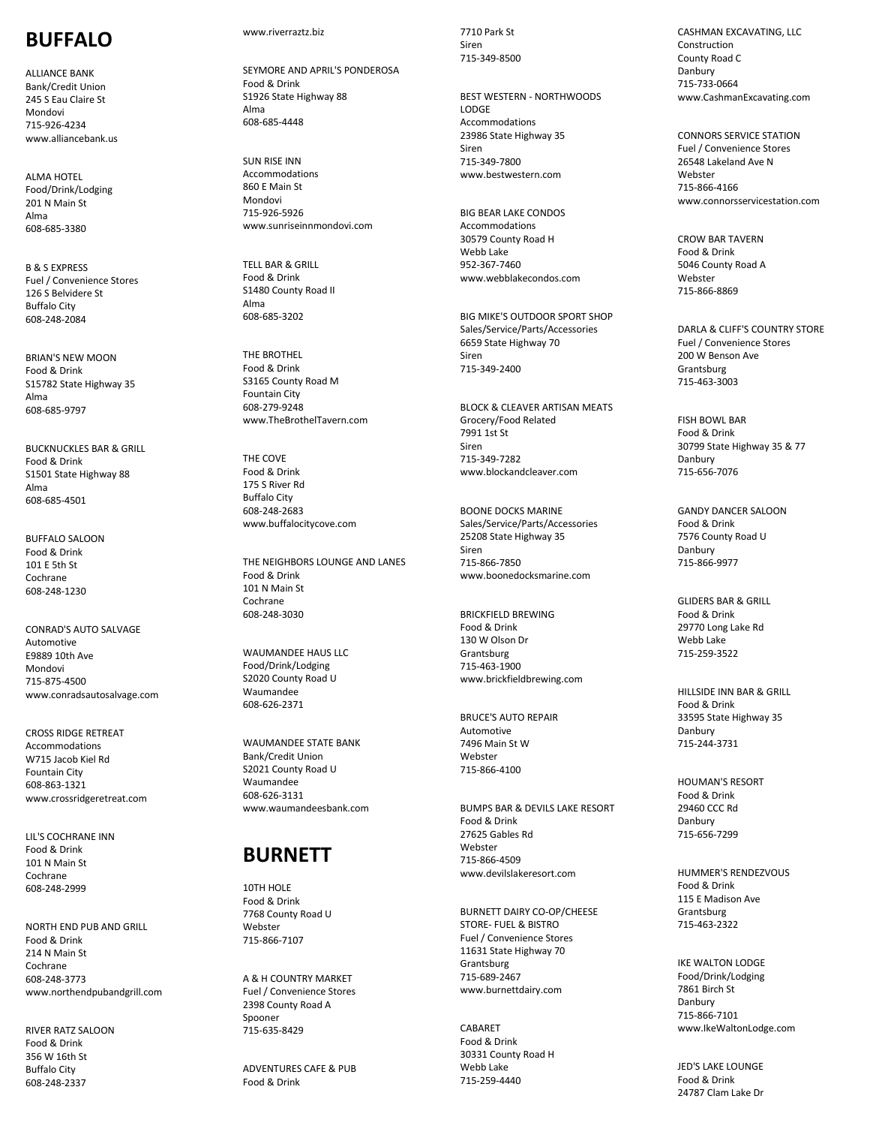## **BUFFALO**

ALLIANCE BANK Bank/Credit Union 245 S Eau Claire St Mondovi 715 -926 -4234 www.alliancebank.us

ALMA HOTEL Food/Drink/Lodging 201 N Main St Alma 608 -685 -3380

B & S EXPRESS Fuel / Convenience Stores 126 S Belvidere St Buffalo City 608 -248 -2084

BRIAN'S NEW MOON Food & Drink S15782 State Highway 35 Alma 608 -685 -9797

BUCKNUCKLES BAR & GRILL Food & Drink S1501 State Highway 88 Alma 608 -685 -4501

BUFFALO SALOON Food & Drink 101 E 5th St Cochrane 608 -248 -1230

CONRAD'S AUTO SALVAGE Automotive E9889 10th Ave Mondovi 715 -875 -4500 www.conradsautosalvage.com

CROSS RIDGE RETREAT Accommodations W715 Jacob Kiel Rd Fountain City 608 -863 -1321 www.crossridgeretreat.com

LIL'S COCHRANE INN Food & Drink 101 N Main St Cochrane 608 -248 -2999

NORTH END PUB AND GRILL Food & Drink 214 N Main St Cochrane 608 -248 -3773 www.northendpubandgrill.com

RIVER RATZ SALOON Food & Drink 356 W 16th St Buffalo City 608 -248 -2337

#### www.riverraztz.biz

SEYMORE AND APRIL'S PONDEROSA Food & Drink S1926 State Highway 88 Alma 608 -685 -4448

SUN RISE INN Accommodations 860 E Main St Mondovi 715 -926 -5926 www.sunriseinnmondovi.com

TELL BAR & GRILL Food & Drink S1480 County Road II Alma 608 -685 -3202

THE BROTHEL Food & Drink S3165 County Road M Fountain City 608 -279 -9248 www.TheBrothelTavern.com

THE COVE Food & Drink 175 S River Rd Buffalo City 608 -248 -2683 www.buffalocitycove.com

THE NEIGHBORS LOUNGE AND LANES Food & Drink 101 N Main St Cochrane 608 -248 -3030

WAUMANDEE HAUS LLC Food/Drink/Lodging S2020 County Road U Waumandee 608 -626 -2371

WAUMANDEE STATE BANK Bank/Credit Union S2021 County Road U Waumandee 608 -626 -3131 www.waumandeesbank.com

## **BURNETT**

10TH HOLE Food & Drink 7768 County Road U **Webster** 715 -866 -7107

A & H COUNTRY MARKET Fuel / Convenience Stores 2398 County Road A Spooner 715 -635 - 8429

ADVENTURES CAFE & PUB Food & Drink

7710 Park St Siren 715 -349 -8500

BEST WESTERN - NORTHWOODS LODGE Accommodations 23986 State Highway 35 Siren 715 -349 -7800 www.bestwestern.com

BIG BEAR LAKE CONDOS **Accommodations** 30579 County Road H Webb Lake 952 -367 -7460 www.webblakecondos.com

BIG MIKE'S OUTDOOR SPORT SHOP Sales/Service/Parts/Accessories 6659 State Highway 70 Siren 715 -349 -2400

BLOCK & CLEAVER ARTISAN MEAT S Grocery/Food Related 7991 1st St Siren 715 -349 -7282 www.blockandcleaver.com

BOONE DOCKS MARINE Sales/Service/Parts/Accessories 25208 State Highway 35 Siren 715 -866 -7850 www.boonedocksmarine.com

BRICKFIELD BREWING Food & Drink 130 W Olson Dr Grantsburg 715 -463 -1900 www.brickfieldbrewing.com

BRUCE'S AUTO REPAIR Automotive 7496 Main St W Webster 715 -866 -4100

BUMPS BAR & DEVILS LAKE RESORT Food & Drink 27625 Gables Rd **Webster** 715 -866 -4509 www.devilslakeresort.com

BURNETT DAIRY CO -OP/CHEESE STORE - FUEL & BISTRO Fuel / Convenience Stores 11631 State Highway 70 Grantsburg 715 -689 -2467 www.burnettdairy.com

CABARET Food & Drink 30331 County Road H Webb Lake 715 -259 -4440

CASHMAN EXCAVATING, LLC Construction County Road C Danbury 715 -733 -0664 www.CashmanExcavating.com

CONNORS SERVICE STATION Fuel / Convenience Stores 26548 Lakeland Ave N Webster 715 - 866 -4166 www.connorsservicestation.com

CROW BAR TAVERN Food & Drink 5046 County Road A Webster 715 -866 -8869

DARLA & CLIFF'S COUNTRY STORE Fuel / Convenience Stores 200 W Benson Ave Grantsburg 715 -463 -3003

FISH BOWL BAR Food & Drink 30799 State Highway 35 & 77 Danbury 715 -656 -7076

GANDY DANCER SALOON Food & Drink 7576 County Road U Danbury 715 -866 -9977

GLIDERS BAR & GRILL Food & Drink 29770 Long Lake Rd Webb Lake 715 -259 -3522

HILLSIDE INN BAR & GRILL Food & Drink 33595 State Highway 35 Danbury 715 -244 - 3731

HOUMAN'S RESORT Food & Drink 29460 CCC Rd Danbury 715 -656 -7299

HUMMER'S RENDEZVOUS Food & Drink 115 E Madison Ave Grantsburg 715 -463 -2322

IKE WALTON LODGE Food/Drink/Lodging 7861 Birch St Danbury 715 -866 -7101 www.IkeWaltonLodge.com

JED'S LAKE LOUNG E Food & Drink 24787 Clam Lake Dr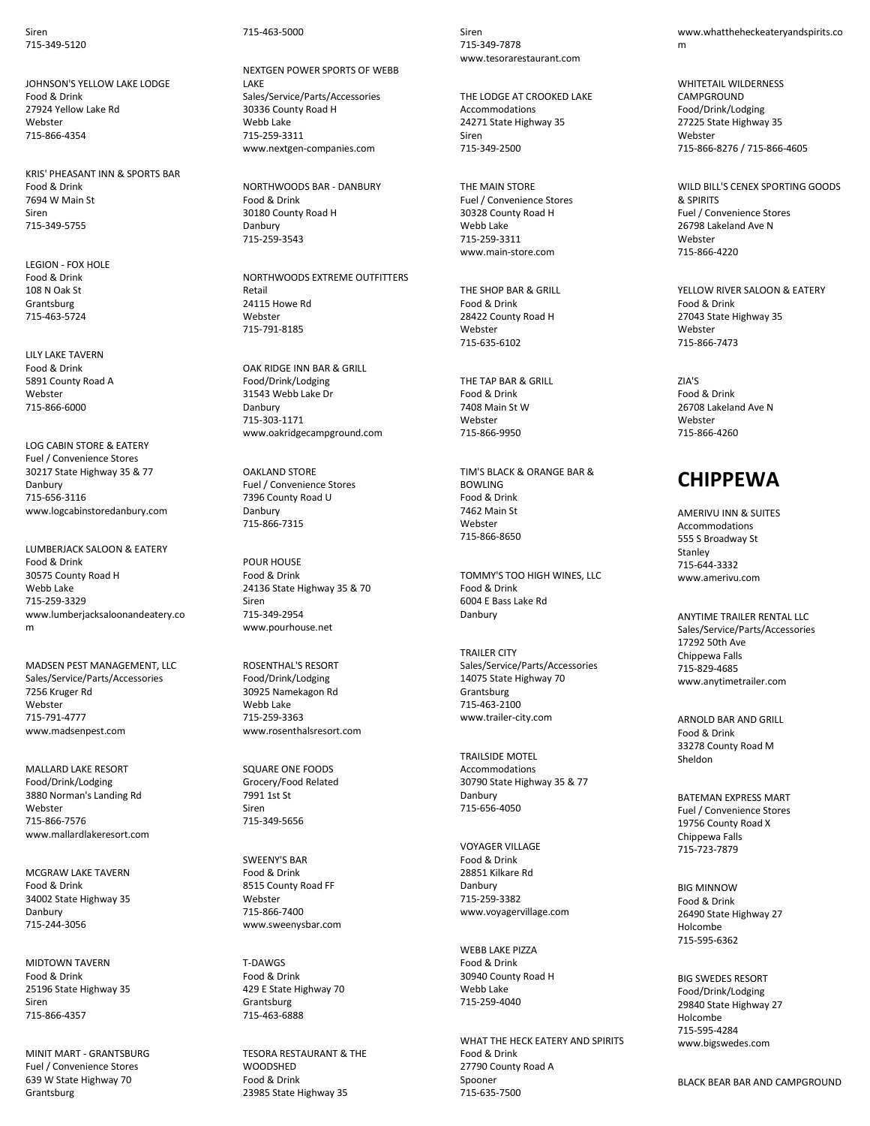Siren 715-349-5120

JOHNSON'S YELLOW LAKE LODGE Food & Drink 27924 Yellow Lake Rd **Webster** 715-866-4354

KRIS' PHEASANT INN & SPORTS BAR Food & Drink 7694 W Main St Siren 715-349-5755

LEGION - FOX HOLE Food & Drink 108 N Oak St Grantsburg 715-463-5724

LILY LAKE TAVERN Food & Drink 5891 County Road A Webster 715-866-6000

LOG CABIN STORE & EATERY Fuel / Convenience Stores 30217 State Highway 35 & 77 Danbury 715-656-3116 www.logcabinstoredanbury.com

LUMBERJACK SALOON & EATERY Food & Drink 30575 County Road H Webb Lake 715-259-3329 www.lumberjacksaloonandeatery.co m

MADSEN PEST MANAGEMENT, LLC Sales/Service/Parts/Accessories 7256 Kruger Rd Webster 715-791-4777 www.madsenpest.com

MALLARD LAKE RESORT Food/Drink/Lodging 3880 Norman's Landing Rd Webster 715-866-7576 www.mallardlakeresort.com

MCGRAW LAKE TAVERN Food & Drink 34002 State Highway 35 Danbury 715-244-3056

MIDTOWN TAVERN Food & Drink 25196 State Highway 35 Siren 715-866-4357

MINIT MART - GRANTSBURG Fuel / Convenience Stores 639 W State Highway 70 **Grantsburg** 

715-463-5000

NEXTGEN POWER SPORTS OF WEBB LAKE Sales/Service/Parts/Accessories 30336 County Road H Webb Lake 715-259-3311 www.nextgen-companies.com

NORTHWOODS BAR - DANBURY Food & Drink 30180 County Road H Danbury 715-259-3543

NORTHWOODS EXTREME OUTFITTERS Retail 24115 Howe Rd Webster 715-791-8185

OAK RIDGE INN BAR & GRILL Food/Drink/Lodging 31543 Webb Lake Dr Danbury 715-303-1171 www.oakridgecampground.com

OAKLAND STORE Fuel / Convenience Stores 7396 County Road U Danbury 715-866-7315

POUR HOUSE Food & Drink 24136 State Highway 35 & 70 Siren 715-349-2954 www.pourhouse.net

ROSENTHAL'S RESORT Food/Drink/Lodging 30925 Namekagon Rd Webb Lake 715-259-3363 www.rosenthalsresort.com

SQUARE ONE FOODS Grocery/Food Related 7991 1st St Siren 715-349-5656

SWEENY'S BAR Food & Drink 8515 County Road FF Webster 715-866-7400 www.sweenysbar.com

T-DAWGS Food & Drink 429 E State Highway 70 Grantsburg 715-463-6888

TESORA RESTAURANT & THE **WOODSHED** Food & Drink 23985 State Highway 35

Siren 715-349-7878 www.tesorarestaurant.com

THE LODGE AT CROOKED LAKE Accommodations 24271 State Highway 35 Siren 715-349-2500

THE MAIN STORE Fuel / Convenience Stores 30328 County Road H Webb Lake 715-259-3311 www.main-store.com

THE SHOP BAR & GRILL Food & Drink 28422 County Road H Webster 715-635-6102

THE TAP BAR & GRILL Food & Drink 7408 Main St W **Webster** 715-866-9950

TIM'S BLACK & ORANGE BAR & BOWLING Food & Drink 7462 Main St **Webster** 715-866-8650

TOMMY'S TOO HIGH WINES, LLC Food & Drink 6004 E Bass Lake Rd Danbury

TRAILER CITY Sales/Service/Parts/Accessories 14075 State Highway 70 **Grantsburg** 715-463-2100 www.trailer-city.com

TRAILSIDE MOTEL Accommodations 30790 State Highway 35 & 77 Danbury 715-656-4050

VOYAGER VILLAGE Food & Drink 28851 Kilkare Rd Danbury 715-259-3382 www.voyagervillage.com

WEBB LAKE PIZZA Food & Drink 30940 County Road H Webb Lake 715-259-4040

WHAT THE HECK EATERY AND SPIRITS Food & Drink 27790 County Road A Spooner 715-635-7500

www.whattheheckeateryandspirits.co m

WHITETAIL WILDERNESS CAMPGROUND Food/Drink/Lodging 27225 State Highway 35 Webster 715-866-8276 / 715-866-4605

WILD BILL'S CENEX SPORTING GOODS & SPIRITS Fuel / Convenience Stores 26798 Lakeland Ave N Webster 715-866-4220

YELLOW RIVER SALOON & EATERY Food & Drink 27043 State Highway 35 Webster 715-866-7473

 $7I\Delta$ <sup>1</sup>S Food & Drink 26708 Lakeland Ave N **Webster** 715-866-4260

## **CHIPPEWA**

AMERIVU INN & SUITES Accommodations 555 S Broadway St Stanley 715-644-3332 www.amerivu.com

ANYTIME TRAILER RENTAL LLC Sales/Service/Parts/Accessories 17292 50th Ave Chippewa Falls 715-829-4685 www.anytimetrailer.com

ARNOLD BAR AND GRILL Food & Drink 33278 County Road M Sheldon

BATEMAN EXPRESS MART Fuel / Convenience Stores 19756 County Road X Chippewa Falls 715-723-7879

BIG MINNOW Food & Drink 26490 State Highway 27 Holcombe 715-595-6362

BIG SWEDES RESORT Food/Drink/Lodging 29840 State Highway 27 Holcombe 715-595-4284 www.bigswedes.com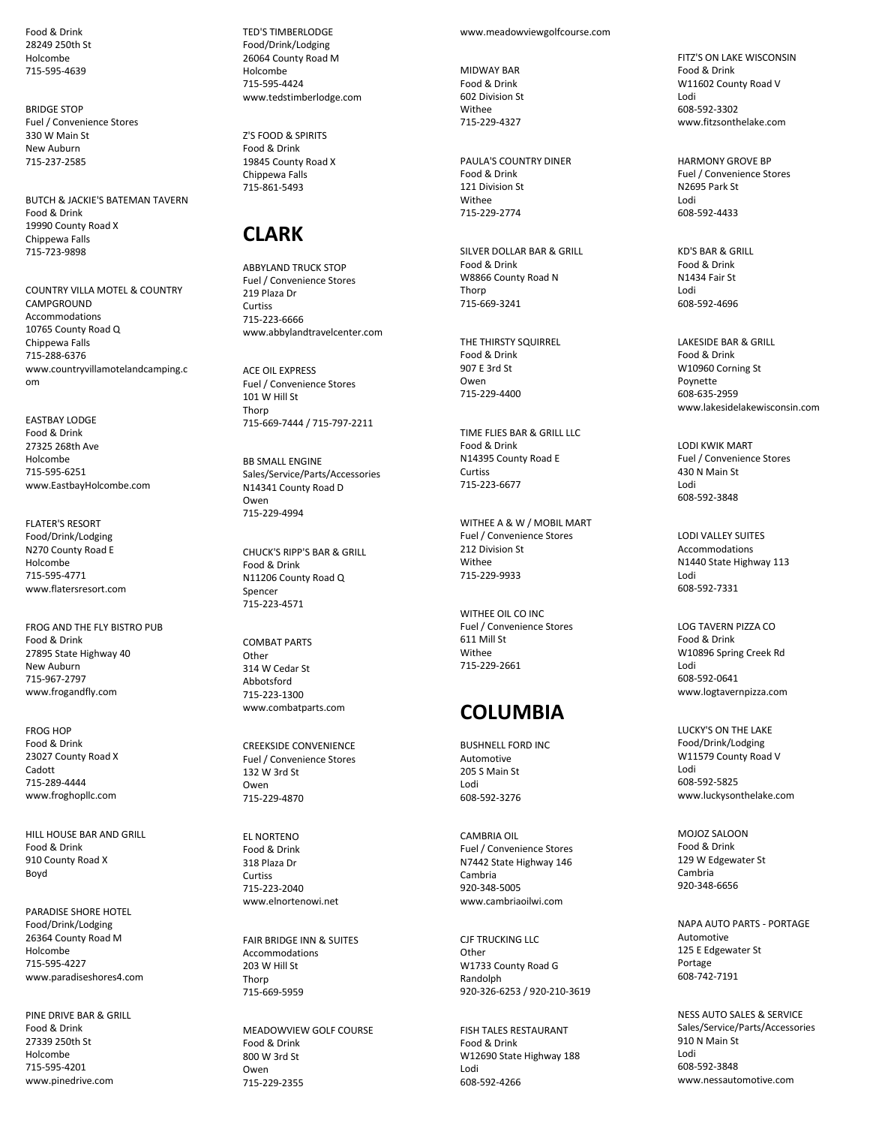Food & Drink 28249 250th St Holcombe 715-595-4639

BRIDGE STOP Fuel / Convenience Stores 330 W Main St New Auburn 715-237-2585

BUTCH & JACKIE'S BATEMAN TAVERN Food & Drink 19990 County Road X Chippewa Falls 715-723-9898

COUNTRY VILLA MOTEL & COUNTRY **CAMPGROUND** Accommodations 10765 County Road Q Chippewa Falls 715-288-6376 www.countryvillamotelandcamping.c om

EASTBAY LODGE Food & Drink 27325 268th Ave Holcombe 715-595-6251 www.EastbayHolcombe.com

FLATER'S RESORT Food/Drink/Lodging N270 County Road E Holcombe 715-595-4771 www.flatersresort.com

FROG AND THE FLY BISTRO PUB Food & Drink 27895 State Highway 40 New Auburn 715-967-2797 www.frogandfly.com

FROG HOP Food & Drink 23027 County Road X Cadott 715-289-4444 www.froghopllc.com

HILL HOUSE BAR AND GRILL Food & Drink 910 County Road X Boyd

PARADISE SHORE HOTEL Food/Drink/Lodging 26364 County Road M Holcombe 715-595-4227 www.paradiseshores4.com

PINE DRIVE BAR & GRILL Food & Drink 27339 250th St Holcombe 715-595-4201 www.pinedrive.com

TED'S TIMBERLODGE Food/Drink/Lodging 26064 County Road M Holcombe 715-595-4424 www.tedstimberlodge.com

Z'S FOOD & SPIRITS Food & Drink 19845 County Road X Chippewa Falls 715-861-5493

## **CLARK**

ABBYLAND TRUCK STOP Fuel / Convenience Stores 219 Plaza Dr Curtiss 715-223-6666 www.abbylandtravelcenter.com

ACE OIL EXPRESS Fuel / Convenience Stores 101 W Hill St Thorp 715-669-7444 / 715-797-2211

BB SMALL ENGINE Sales/Service/Parts/Accessories N14341 County Road D Owen 715-229-4994

CHUCK'S RIPP'S BAR & GRILL Food & Drink N11206 County Road Q Spencer 715-223-4571

COMBAT PARTS Other 314 W Cedar St Abbotsford 715-223-1300 www.combatparts.com

CREEKSIDE CONVENIENCE Fuel / Convenience Stores 132 W 3rd St Owen 715-229-4870

EL NORTENO Food & Drink 318 Plaza Dr Curtiss 715-223-2040 www.elnortenowi.net

FAIR BRIDGE INN & SUITES **Accommodations** 203 W Hill St Thorp 715-669-5959

MEADOWVIEW GOLF COURSE Food & Drink 800 W 3rd St Owen 715-229-2355

www.meadowviewgolfcourse.com

MIDWAY BAR Food & Drink 602 Division St **Withee** 715-229-4327

PAULA'S COUNTRY DINER Food & Drink 121 Division St Withee 715-229-2774

SILVER DOLLAR BAR & GRILL Food & Drink W8866 County Road N Thorn 715-669-3241

THE THIRSTY SQUIRREL Food & Drink 907 E 3rd St Owen 715-229-4400

TIME FLIES BAR & GRILL LLC Food & Drink N14395 County Road E Curtiss 715-223-6677

WITHEE A & W / MOBIL MART Fuel / Convenience Stores 212 Division St Withee 715-229-9933

WITHEE OIL CO INC Fuel / Convenience Stores 611 Mill St Withee 715-229-2661

# **COLUMBIA**

BUSHNELL FORD INC Automotive 205 S Main St Lodi 608-592-3276

CAMBRIA OIL Fuel / Convenience Stores N7442 State Highway 146 Cambria 920-348-5005 www.cambriaoilwi.com

CJF TRUCKING LLC **Other** W1733 County Road G Randolph 920-326-6253 / 920-210-3619

FISH TALES RESTAURANT Food & Drink W12690 State Highway 188 Lodi 608-592-4266

FITZ'S ON LAKE WISCONSIN Food & Drink W11602 County Road V Lodi 608-592-3302 www.fitzsonthelake.com

HARMONY GROVE BP Fuel / Convenience Stores N2695 Park St Lodi 608-592-4433

KD'S BAR & GRILL Food & Drink N1434 Fair St Lodi 608-592-4696

LAKESIDE BAR & GRILL Food & Drink W10960 Corning St Poynette 608-635-2959 www.lakesidelakewisconsin.com

LODI KWIK MART Fuel / Convenience Stores 430 N Main St Lodi 608-592-3848

LODI VALLEY SUITES Accommodations N1440 State Highway 113 Lodi 608-592-7331

LOG TAVERN PIZZA CO Food & Drink W10896 Spring Creek Rd Lodi 608-592-0641 www.logtavernpizza.com

LUCKY'S ON THE LAKE Food/Drink/Lodging W11579 County Road V Lodi 608-592-5825 www.luckysonthelake.com

MOJOZ SALOON Food & Drink 129 W Edgewater St Cambria 920-348-6656

NAPA AUTO PARTS - PORTAGE Automotive 125 E Edgewater St Portage 608-742-7191

NESS AUTO SALES & SERVICE Sales/Service/Parts/Accessories 910 N Main St Lodi 608-592-3848 www.nessautomotive.com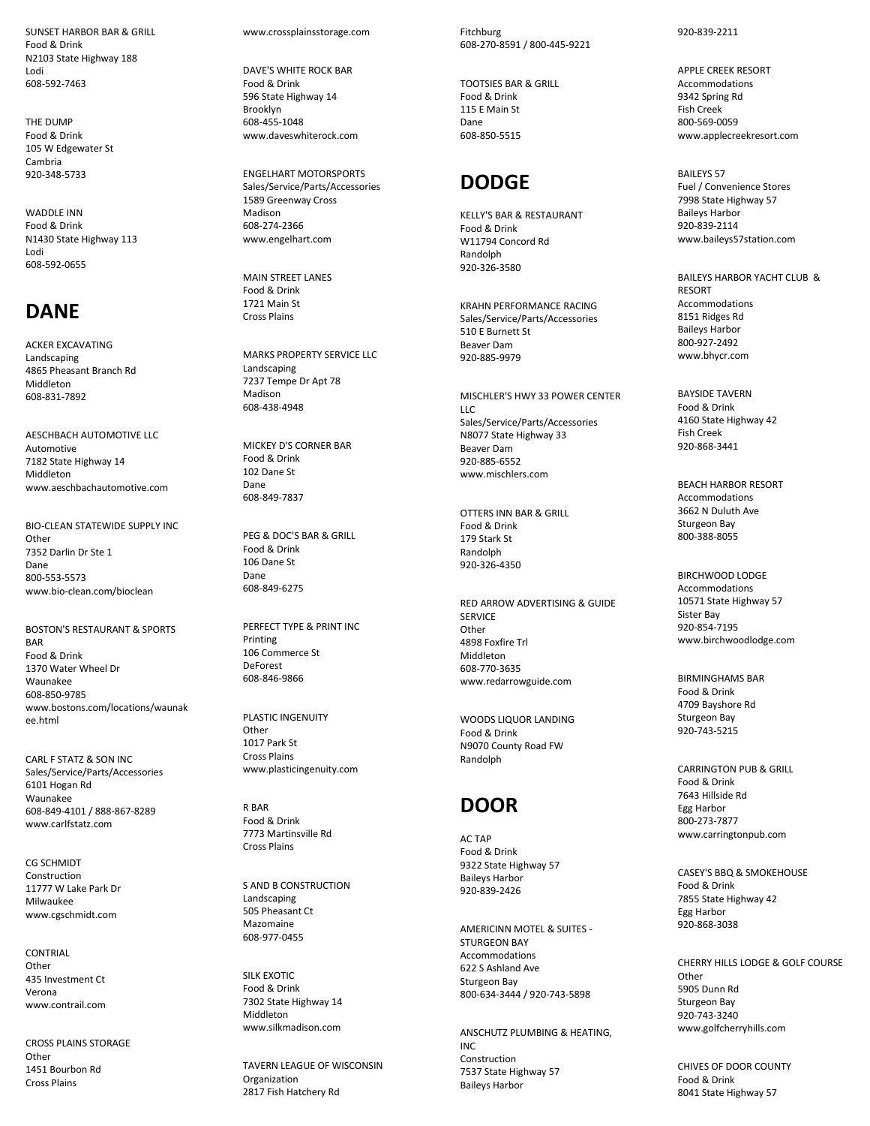SUNSET HARBOR BAR & GRILL Food & Drink N2103 State Highway 188 Lodi 608 -592 -7463

THE DUMP Food & Drink 105 W Edgewater St Cambria 920 -348 -5733

WADDI F INN Food & Drink N1430 State Highway 113 Lodi 608 -592 -0655

# **DANE**

ACKER EXCAVATING Landscaping 4865 Pheasant Branch Rd Middleton 608 -831 -7892

AESCHBACH AUTOMOTIVE LLC Automotive 7182 State Highway 14 Middleton www.aeschbachautomotive.com

BIO -CLEAN STATEWIDE SUPPLY INC Other 7352 Darlin Dr Ste 1 Dane 800 -553 -5573 www.bio -clean.com/bioclean

BOSTON'S RESTAURANT & SPORTS BAR Food & Drink 1370 Water Wheel Dr Waunakee 608 -850 -9785 www.bostons.com/locations/waunak ee.html

CARL F STATZ & SON INC Sales/Service/Parts/Accessories 6101 Hogan Rd Waunakee 608 -849 -4101 / 888 -86 7 -8289 www.carlfstatz.com

CG SCHMIDT Construction 11777 W Lake Park Dr Milwaukee www.cgschmidt.com

**CONTRIAL** Other 435 Investment Ct Verona www.contrail.com

CROSS PLAINS STORAGE Other 1451 Bourbon Rd Cross Plains

www.crossplainsstorage.com

DAVE'S WHITE ROCK BAR Food & Drink 596 State Highway 14 Brooklyn 608 -455 -1048 www.daveswhiterock.com

ENGELHART MOTORSPORTS Sales/Service/Parts/Accessories 1589 Greenway Cross Madison 608 -274 -2366 www.engelhart.com

MAIN STREET LANES Food & Drink 1721 Main St Cross Plains

MARKS PROPERTY SERVICE LLC Landscaping 7237 Tempe Dr Apt 78 Madison 608 -438 -4948

MICKEY D'S CORNER BAR Food & Drink 102 Dane St Dane 608 -849 -7837

PEG & DOC'S BAR & GRILL Food & Drink 106 Dane St Dane 608 -849 -6275

PERFECT TYPE & PRINT INC Printing 106 Commerce St DeForest 608 -846 -9866

PLASTIC INGENUITY **Other** 1017 Park St Cross Plains www.plasticingenuity.com

R BAR Food & Drink 7773 Martinsville Rd Cross Plains

S AND B CONSTRUCTION Landscaping 505 Pheasant Ct Mazomaine 608 -977 -0455

SILK EXOTIC Food & Drink 7302 State Highway 14 Middleton www.silkmadison.com

TAVERN LEAGUE OF WISCONSIN **Organization** 2817 Fish Hatchery Rd

Fitchburg 608 -270 -8591 / 800 -445 - 9221

TOOTSIES BAR & GRILL Food & Drink 115 E Main St Dane 608 -850 -5515

# **DODGE**

KELLY'S BAR & RESTAURANT Food & Drink W11794 Concord Rd Randolph 920 -326 -3580

KRAHN PERFORMANCE RACING Sales/Service/Parts/Accessories 510 E Burnett St Beaver Dam 920 -885 -9979

MISCHLER'S HWY 33 POWER CENTER LLC Sales/Service/Parts/Accessories N8077 State Highway 33 Beaver Dam 920 -885 -6552 www.mischlers.com

OTTERS INN BAR & GRILL Food & Drink 179 Stark St Randolph 920 -326 -4350

RED ARROW ADVERTISING & GUIDE SERVICE **Other** 4898 Foxfire Trl Middleton 608 -770 -3635 www.redarrowguide.com

WOODS LIQUOR LANDING Food & Drink N9070 County Road FW Randolph

## **DOOR**

AC TAP Food & Drink 9322 State Highway 57 Baileys Harbor 920 -839 -2426

AMERICINN MOTEL & SUITES - STURGEON BAY Accommodations 622 S Ashland Ave Sturgeon Bay 800 -634 -3444 / 920 -743 -5898

ANSCHUTZ PLUMBING & HEATING, INC Construction 7537 State Highway 57 Baileys Harbor

920 -839 -2211

APPLE CREEK RESORT Accommodations 9342 Spring Rd Fish Creek 800 -569 -0059 www.applecreekresort.com

BAILEYS 57 Fuel / Convenience Stores 7998 State Highway 57 Baileys Harbor 920 -839 -2114 www.baileys57station.com

BAILEYS HARBOR YACHT CLUB & RESORT Accommodations 8151 Ridges Rd Baileys Harbor 800 -927 -2492 www.bhycr.com

BAYSIDE TAVERN Food & Drink 4160 State Highway 42 Fish Creek 920 -868 -3441

BEACH HARBOR RESORT Accommodations 3662 N Duluth Ave Sturgeon Bay 800 -388 -8055

BIRCHWOOD LODGE Accommodations 10571 State Highway 57 Sister Bay 920 -854 -7195 www.birchwoodlodge.com

BIRMINGHAMS BAR Food & Drink 4709 Bayshore Rd Sturgeon Bay 920 -743 -5215

CARRINGTON PUB & GRILL Food & Drink 7643 Hillside Rd Egg Harbor 800 -273 -7877 www.carringtonpub.com

CASEY'S BBQ & SMOKEHOUSE Food & Drink 7855 State Highway 42 Egg Harbor 920 -868 -3038

CHERRY HILLS LODGE & GOLF COURSE **Other** 5905 Dunn Rd Sturgeon Bay 920 -743 -3240 www.golfcherryhills.com

CHIVES OF DOOR COUNTY Food & Drink 8041 State Highway 57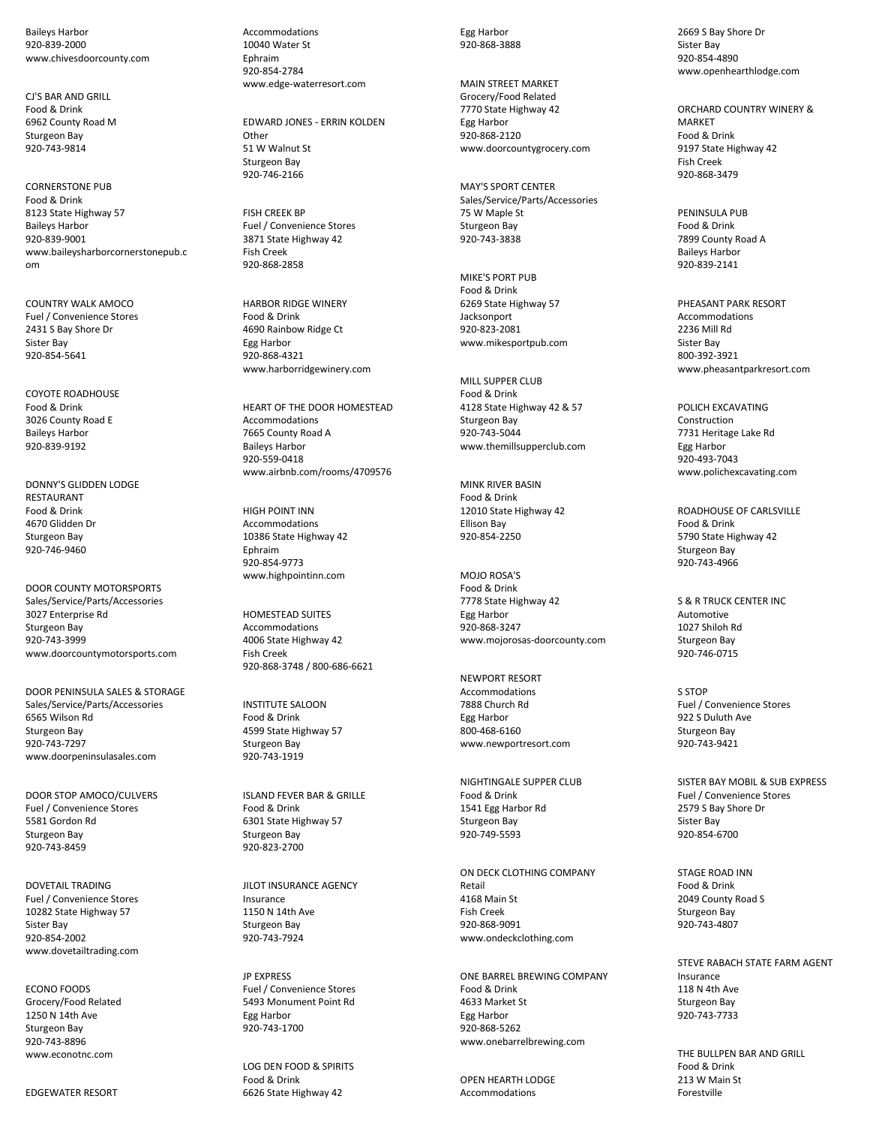Baileys Harbor 920-839-2000 www.chivesdoorcounty.com

CJ'S BAR AND GRILL Food & Drink 6962 County Road M Sturgeon Bay 920-743-9814

CORNERSTONE PUB Food & Drink 8123 State Highway 57 Baileys Harbor 920-839-9001 www.baileysharborcornerstonepub.c om

COUNTRY WALK AMOCO Fuel / Convenience Stores 2431 S Bay Shore Dr Sister Bay 920-854-5641

COYOTE ROADHOUSE Food & Drink 3026 County Road E Baileys Harbor 920-839-9192

DONNY'S GLIDDEN LODGE **RESTAURANT** Food & Drink 4670 Glidden Dr Sturgeon Bay 920-746-9460

DOOR COUNTY MOTORSPORTS Sales/Service/Parts/Accessories 3027 Enterprise Rd Sturgeon Bay 920-743-3999 www.doorcountymotorsports.com

DOOR PENINSULA SALES & STORAGE Sales/Service/Parts/Accessories 6565 Wilson Rd Sturgeon Bay 920-743-7297 www.doorpeninsulasales.com

DOOR STOP AMOCO/CULVERS Fuel / Convenience Stores 5581 Gordon Rd Sturgeon Bay 920-743-8459

DOVETAIL TRADING Fuel / Convenience Stores 10282 State Highway 57 Sister Bay 920-854-2002 www.dovetailtrading.com

ECONO FOODS Grocery/Food Related 1250 N 14th Ave Sturgeon Bay 920-743-8896 www.econotnc.com

EDGEWATER RESORT

Accommodations 10040 Water St Ephraim 920-854-2784 www.edge-waterresort.com

EDWARD JONES - ERRIN KOLDEN **Other** 51 W Walnut St Sturgeon Bay 920-746-2166

FISH CREEK BP Fuel / Convenience Stores 3871 State Highway 42 Fish Creek 920-868-2858

HARBOR RIDGE WINERY Food & Drink 4690 Rainbow Ridge Ct Egg Harbor 920-868-4321 www.harborridgewinery.com

HEART OF THE DOOR HOMESTEAD Accommodations 7665 County Road A Baileys Harbor 920-559-0418 www.airbnb.com/rooms/4709576

HIGH POINT INN Accommodations 10386 State Highway 42 Ephraim 920-854-9773 www.highpointinn.com

HOMESTEAD SUITES Accommodations 4006 State Highway 42 Fish Creek 920-868-3748 / 800-686-6621

INSTITUTE SALOON Food & Drink 4599 State Highway 57 Sturgeon Bay 920-743-1919

ISLAND FEVER BAR & GRILLE Food & Drink 6301 State Highway 57 Sturgeon Bay 920-823-2700

JILOT INSURANCE AGENCY Insurance 1150 N 14th Ave Sturgeon Bay 920-743-7924

JP EXPRESS Fuel / Convenience Stores 5493 Monument Point Rd Egg Harbor 920-743-1700

LOG DEN FOOD & SPIRITS Food & Drink 6626 State Highway 42

Egg Harbor 920-868-3888

MAIN STREET MARKET Grocery/Food Related 7770 State Highway 42 Egg Harbor 920-868-2120 www.doorcountygrocery.com

MAY'S SPORT CENTER Sales/Service/Parts/Accessories 75 W Maple St Sturgeon Bay 920-743-3838

MIKE'S PORT PUB Food & Drink 6269 State Highway 57 **Jacksonport** 920-823-2081 www.mikesportpub.com

MILL SUPPER CLUB Food & Drink 4128 State Highway 42 & 57 Sturgeon Bay 920-743-5044 www.themillsupperclub.com

MINK RIVER BASIN Food & Drink 12010 State Highway 42 Ellison Bay 920-854-2250

MOJO ROSA'S Food & Drink 7778 State Highway 42 Egg Harbor 920-868-3247 www.mojorosas-doorcounty.com

NEWPORT RESORT Accommodations 7888 Church Rd Egg Harbor 800-468-6160 www.newportresort.com

NIGHTINGALE SUPPER CLUB Food & Drink 1541 Egg Harbor Rd Sturgeon Bay 920-749-5593

ON DECK CLOTHING COMPANY Retail 4168 Main St Fish Creek 920-868-9091 www.ondeckclothing.com

ONE BARREL BREWING COMPANY Food & Drink 4633 Market St Egg Harbor 920-868-5262 www.onebarrelbrewing.com

OPEN HEARTH LODGE Accommodations

2669 S Bay Shore Dr Sister Bay 920-854-4890 www.openhearthlodge.com

ORCHARD COUNTRY WINERY & **MARKET** Food & Drink 9197 State Highway 42 Fish Creek 920-868-3479

PENINSULA PUB Food & Drink 7899 County Road A Baileys Harbor 920-839-2141

PHEASANT PARK RESORT Accommodations 2236 Mill Rd Sister Bay 800-392-3921 www.pheasantparkresort.com

POLICH EXCAVATING Construction 7731 Heritage Lake Rd Egg Harbor 920-493-7043 www.polichexcavating.com

ROADHOUSE OF CARLSVILLE Food & Drink 5790 State Highway 42 Sturgeon Bay 920-743-4966

S & R TRUCK CENTER INC Automotive 1027 Shiloh Rd Sturgeon Bay 920-746-0715

S STOP Fuel / Convenience Stores 922 S Duluth Ave Sturgeon Bay 920-743-9421

SISTER BAY MOBIL & SUB EXPRESS Fuel / Convenience Stores 2579 S Bay Shore Dr Sister Bay 920-854-6700

STAGE ROAD INN Food & Drink 2049 County Road S Sturgeon Bay 920-743-4807

STEVE RABACH STATE FARM AGENT Insurance 118 N 4th Ave Sturgeon Bay 920-743-7733

THE BULLPEN BAR AND GRILL Food & Drink 213 W Main St Forestville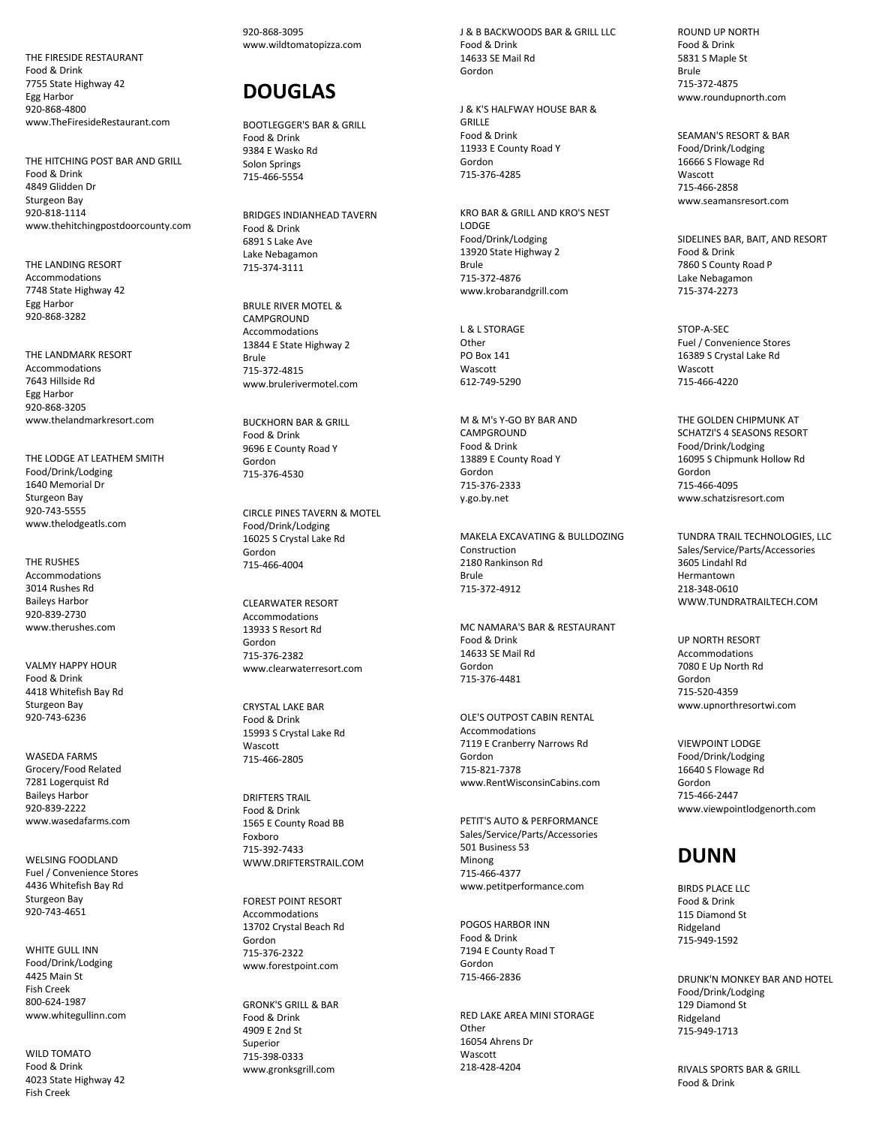THE FIRESIDE RESTAURANT Food & Drink 7755 State Highway 42 Egg Harbor 920 -868 -4800 www.TheFiresideRestaurant.com

THE HITCHING POST BAR AND GRILL Food & Drink 4849 Glidden Dr Sturgeon Bay 920 -818 -1114 www.thehitchingpostdoorcounty.com

THE LANDING RESORT Accommodations 7748 State Highway 42 Egg Harbor 920 -868 -3282

THE LANDMARK RESORT Accommodations 7643 Hillside Rd Egg Harbor 920 -868 -3205 www.thelandmarkresort.com

THE LODGE AT LEATHEM SMITH Food/Drink/Lodging 1640 Memorial Dr Sturgeon Bay 920 -743 -5555 www.thelodgeatls.com

THE RUSHES Accommodations 3014 Rushes Rd Baileys Harbo r 920 -839 -2730 www.therushes.com

VALMY HAPPY HOUR Food & Drink 4418 Whitefish Bay Rd Sturgeon Bay 920 -743 -6236

WASEDA FARMS Grocery/Food Related 7281 Logerquist Rd Baileys Harbor 920 -839 -2222 www.wasedafarms.com

WELSING FOODLAND Fuel / Convenience Store s 4436 Whitefish Bay Rd Sturgeon Bay 920 -743 -4651

WHITE GULL INN Food/Drink/Lodging 4425 Main St Fish Creek 800 -624 -1987 www.whitegullinn.com

WILD TOMATO Food & Drink 4023 State Highway 42 Fish Creek

920 -868 -3095 www.wildtomatopizza.com

# **DOUGLAS**

BOOTLEGGER'S BAR & GRILL Food & Drink 9384 E Wasko Rd Solon Springs 715 -466 -5554

BRIDGES INDIANHEAD TAVERN Food & Drink 6891 S Lake Ave Lake Nebagamon 715 -374 -3111

BRULE RIVER MOTEL & **CAMPGROUND** Accommodations 13844 E State Highway 2 Brule 715 -372 -4815 www.brulerivermotel.com

BUCKHORN BAR & GRILL Food & Drink 9696 E County Road Y Gordon 715 -376 -4530

CIRCLE PINES TAVERN & MOTEL Food/Drink/Lodging 16025 S Crystal Lake Rd Gordon 715 -466 -4004

CLEARWATER RESORT Accommodations 13933 S Resort Rd Gordon 715 -376 -2382 www.clearwaterresort.com

CRYSTAL LAKE BAR Food & Drink 15993 S Crystal Lake Rd Wascott 715 -466 -2805

DRIFTERS TRAIL Food & Drink 1565 E County Road BB Foxboro 715 -392 -7433 WWW.DRIFTERSTRAIL.COM

FOREST POINT RESORT Accommodations 13702 Crystal Beach Rd Gordon 715 -376 -2322 www.forestpoint.com

GRONK'S GRILL & BAR Food & Drink 4909 E 2nd St Superior 715 -398 -0333 www.gronksgrill.com

J & B BACKWOODS BAR & GRILL LLC Food & Drink 14633 SE Mail Rd Gordon

J & K'S HALFWAY HOUSE BAR & GRILLE Food & Drink 11933 E County Road Y Gordon 715 -376 -4285

KRO BAR & GRILL AND KRO'S NEST LODGE Food/Drink/Lodging 13920 State Highway 2 Brule 715 -372 -4876 www.krobarandgrill.com

L & L STORAGE Other PO Box 141 Wascott 612 -749 -5290

M & M's Y -GO BY BAR AND CAMPGROUND Food & Drink 13889 E County Road Y Gordon 715 -376 -2333 y.go.by.net

MAKELA EXCAVATING & BULLDOZING Construction 2180 Rankinson Rd Brule 715 -372 -4912

MC NAMARA'S BAR & RESTAURANT Food & Drink 14633 SE Mail Rd Gordon 715 -376 -4481

OLE'S OUTPOST CABIN RENTAL Accommodation s 7119 E Cranberry Narrows Rd Gordon 715 -821 -7378 www.RentWisconsinCabins.com

PETIT'S AUTO & PERFORMANCE Sales/Service/Parts/Accessories 501 Business 53 Minong 715 -466 -4377 www.petitperformance.com

POGOS HARBOR INN Food & Drink 7194 E County Road T Gordo n 715 -466 -2836

RED LAKE AREA MINI STORAGE **Other** 16054 Ahrens Dr Wascott 218 -428 -4204

ROUND UP NORTH Food & Drink 5831 S Maple St Brule 715-372 -4875 www.roundupnorth.com

SEAMAN'S RESORT & BAR Food/Drink/Lodging 16666 S Flowage Rd **Wascott** 715 -466 -2858 www.seamansresort.com

SIDELINES BAR, BAIT, AND RESORT Food & Drink 7860 S County Road P Lake Nebagamon 715 -374 -2273

STOP - A -SEC Fuel / Convenience Stores 16389 S Crystal Lake Rd **Wascott** 715 -466 -4220

THE GOLDEN CHIPMUNK AT SCHATZI'S 4 SEASONS RESORT Food/Drink/Lodging 16095 S Chipmunk Hollow Rd Gordon 715 -466 -4095 www.schatzisresort.com

TUNDRA TRAIL TECHNOLOGIES, LLC Sales/Service/Parts/Accessories 3605 Lindahl Rd Hermantown 218 -348 -0610 WWW.TUNDRATRAILTECH.COM

UP NORTH RESORT Accommodations 7080 E Up North Rd Gordon 715 -520 -4359 www.upnorthresortwi.com

VIEWPOINT LODGE Food/Drink/Lodging 16640 S Flowage Rd Gordon 715 -466 -2447 www.viewpointlodgenorth.com

# **DUNN**

BIRDS PLACE LLC Food & Drink 115 Diamond St Ridgeland 715 -949 -1592

DRUNK'N MONKEY BAR AND HOTEL Food/Drink/Lodging 129 Diamond St Ridgeland 715 -949 -1713

RIVALS SPORTS BAR & GRILL Food & Drink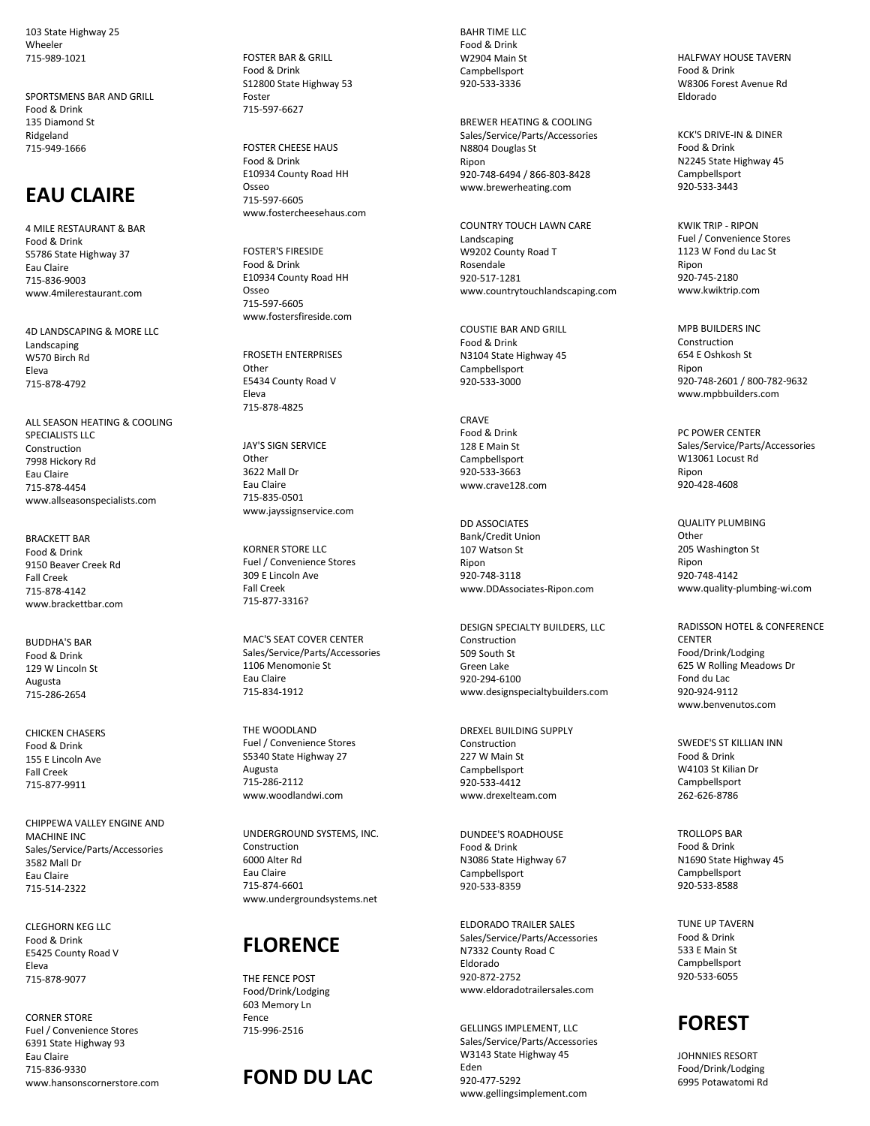103 State Highway 25 Wheeler 715-989-1021

SPORTSMENS BAR AND GRILL Food & Drink 135 Diamond St Ridgeland 715-949-1666

## **EAU CLAIRE**

4 MILE RESTAURANT & BAR Food & Drink S5786 State Highway 37 Eau Claire 715-836-9003 www.4milerestaurant.com

4D LANDSCAPING & MORE LLC Landscaping W570 Birch Rd Eleva 715-878-4792

ALL SEASON HEATING & COOLING SPECIALISTS LLC Construction 7998 Hickory Rd Eau Claire 715-878-4454 www.allseasonspecialists.com

BRACKETT BAR Food & Drink 9150 Beaver Creek Rd Fall Creek 715-878-4142 www.brackettbar.com

BUDDHA'S BAR Food & Drink 129 W Lincoln St Augusta 715-286-2654

CHICKEN CHASERS Food & Drink 155 E Lincoln Ave Fall Creek 715-877-9911

CHIPPEWA VALLEY ENGINE AND MACHINE INC Sales/Service/Parts/Accessories 3582 Mall Dr Eau Claire 715-514-2322

CLEGHORN KEG LLC Food & Drink E5425 County Road V Eleva 715-878-9077

CORNER STORE Fuel / Convenience Stores 6391 State Highway 93 Eau Claire 715-836-9330 www.hansonscornerstore.com FOSTER BAR & GRILL Food & Drink S12800 State Highway 53 Foster 715-597-6627

FOSTER CHEESE HAUS Food & Drink E10934 County Road HH Osseo 715-597-6605 www.fostercheesehaus.com

FOSTER'S FIRESIDE Food & Drink E10934 County Road HH Osseo 715-597-6605 www.fostersfireside.com

FROSETH ENTERPRISES **Other** E5434 County Road V Eleva 715-878-4825

JAY'S SIGN SERVICE **Other** 3622 Mall Dr Eau Claire 715-835-0501 www.jayssignservice.com

KORNER STORE LLC Fuel / Convenience Stores 309 E Lincoln Ave Fall Creek 715-877-3316?

MAC'S SEAT COVER CENTER Sales/Service/Parts/Accessories 1106 Menomonie St Eau Claire 715-834-1912

THE WOODLAND Fuel / Convenience Stores S5340 State Highway 27 Augusta 715-286-2112 www.woodlandwi.com

UNDERGROUND SYSTEMS, INC. Construction 6000 Alter Rd Eau Claire 715-874-6601 www.undergroundsystems.net

## **FLORENCE**

THE FENCE POST Food/Drink/Lodging 603 Memory Ln Fence 715-996-2516

# **FOND DU LAC**

BAHR TIME LLC Food & Drink W2904 Main St Campbellsport 920-533-3336

BREWER HEATING & COOLING Sales/Service/Parts/Accessories N8804 Douglas St Ripon 920-748-6494 / 866-803-8428 www.brewerheating.com

COUNTRY TOUCH LAWN CARE Landscaping W9202 County Road T Rosendale 920-517-1281 www.countrytouchlandscaping.com

COUSTIE BAR AND GRILL Food & Drink N3104 State Highway 45 Campbellsport 920-533-3000

**CRAVE** Food & Drink 128 E Main St Campbellsport 920-533-3663 www.crave128.com

DD ASSOCIATES Bank/Credit Union 107 Watson St Ripon 920-748-3118 www.DDAssociates-Ripon.com

DESIGN SPECIALTY BUILDERS, LLC Construction 509 South St Green Lake 920-294-6100 www.designspecialtybuilders.com

DREXEL BUILDING SUPPLY Construction 227 W Main St Campbellsport 920-533-4412 www.drexelteam.com

DUNDEE'S ROADHOUSE Food & Drink N3086 State Highway 67 Campbellsport 920-533-8359

ELDORADO TRAILER SALES Sales/Service/Parts/Accessories N7332 County Road C Eldorado 920-872-2752 www.eldoradotrailersales.com

GELLINGS IMPLEMENT, LLC Sales/Service/Parts/Accessories W3143 State Highway 45 Eden 920-477-5292 www.gellingsimplement.com

HALFWAY HOUSE TAVERN Food & Drink W8306 Forest Avenue Rd Eldorado

KCK'S DRIVE-IN & DINER Food & Drink N2245 State Highway 45 Campbellsport 920-533-3443

KWIK TRIP - RIPON Fuel / Convenience Stores 1123 W Fond du Lac St Ripon 920-745-2180 www.kwiktrip.com

MPB BUILDERS INC Construction 654 E Oshkosh St Ripon 920-748-2601 / 800-782-9632 www.mpbbuilders.com

PC POWER CENTER Sales/Service/Parts/Accessories W13061 Locust Rd Ripon 920-428-4608

QUALITY PLUMBING **Other** 205 Washington St Ripon 920-748-4142 www.quality-plumbing-wi.com

RADISSON HOTEL & CONFERENCE **CENTER** Food/Drink/Lodging 625 W Rolling Meadows Dr Fond du Lac 920-924-9112 www.benvenutos.com

SWEDE'S ST KILLIAN INN Food & Drink W4103 St Kilian Dr Campbellsport 262-626-8786

TROLLOPS BAR Food & Drink N1690 State Highway 45 Campbellsport 920-533-8588

TUNE UP TAVERN Food & Drink 533 E Main St Campbellsport 920-533-6055



JOHNNIES RESORT Food/Drink/Lodging 6995 Potawatomi Rd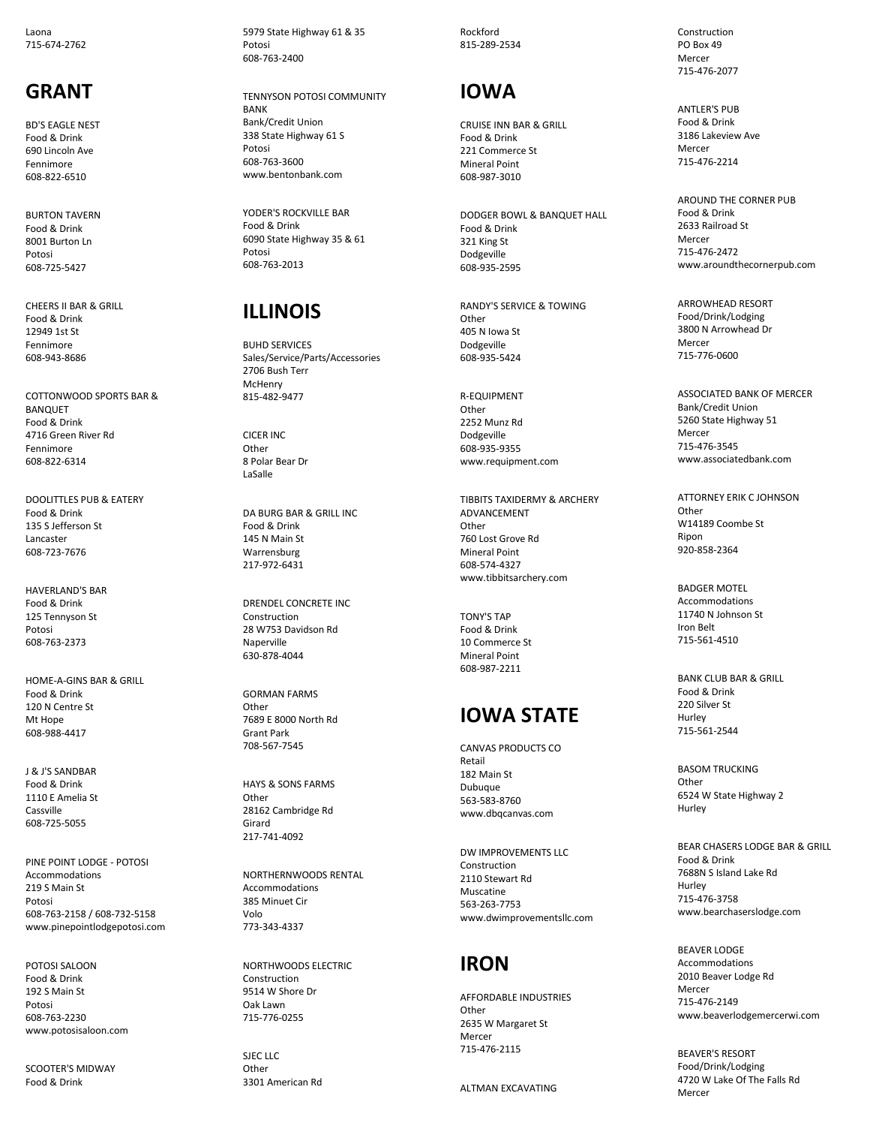Laona 715 -674 -2762

### **GRANT**

BD'S EAGLE NEST Food & Drink 690 Lincoln Av e Fennimore 608 -822 -6510

BURTON TAVERN Food & Drink 8001 Burton Ln Potosi 608 -725 -5427

CHEERS II BAR & GRILL Food & Drink 12949 1st St Fennimore 608 -943 -8686

COTTONWOOD SPORTS BAR & BANQUET Food & Drink 4716 Green River Rd Fennimore 608 -822 -6314

DOOLITTLES PUB & EATERY Food & Drink 135 S Jefferson St Lancaster 608 -723 -7676

HAVERLAND'S BAR Food & Drink 125 Tennyson St Potosi 608 -763 -2373

HOME - A -GINS BAR & GRILL Food & Drink 120 N Centre St Mt Hope 608 -988 -4417

J & J'S SANDBAR Food & Drink 1110 E Amelia St Cassville 608 -725 -5055

PINE POINT LODGE - POTOSI Accommodations 219 S Main St Potosi 608 -763 -2158 / 608 -732 -5158 www.pinepointlodgepotosi.com

POTOSI SALOON Food & Drink 192 S Main St Potosi 608 -763 -2230 www.potosisaloon.com

SCOOTER'S MIDWAY Food & Drink

5979 State Highway 61 & 35 Potosi 608 -763 -2400

TENNYSON POTOSI COMMUNITY BANK Bank/Credit Union 338 State Highway 61 S Potosi 608 -763 -3600 www.bentonbank.com

YODER'S ROCKVILLE BAR Food & Drink 6090 State Highway 35 & 61 Potosi 608 -763 -2013

## **ILLINOI S**

BUHD SERVICES Sales/Service/Parts/Accessories 2706 Bush Terr **McHenry** 815 -482 -9477

CICER INC **Other** 8 Polar Bear Dr LaSalle

DA BURG BAR & GRILL INC Food & Drink 145 N Main St Warrensburg 217 -972 -6431

DRENDEL CONCRETE INC Construction 28 W753 Davidson Rd Naperville 630 -878 -4044

GORMAN FARMS **Other** 7689 E 8000 North Rd Grant Park 708 -567 -7545

HAYS & SONS FARMS Other 28162 Cambridge Rd Girard 217 -741 -4092

NORTHERNWOODS RENTAL Accommodations 385 Minuet Cir Volo 773 -343 -4337

NORTHWOODS ELECTRIC Constructio n 9514 W Shore Dr Oak Lawn 715 -776 -0255

SJEC LLC **Other** 3301 American Rd Rockford 815 -289 -2534

## **IOWA**

CRUISE INN BAR & GRILL Food & Drink 221 Commerce St Mineral Point 608 -987 -3010

DODGER BOWL & BANQUET HALL Food & Drink 321 King St Dodgeville 608 -935 -2595

RANDY'S SERVICE & TOWING Other 405 N Iowa St Dodgeville 608 -935 -5424

R -EQUIPMENT **Other** 2252 Munz Rd Dodgeville 608 -935 -9355 www.requipment.com

TIBBITS TAXIDERMY & ARCHERY **ADVANCEMENT Other** 760 Lost Grove Rd Mineral Point 608 -574 -4327 www.tibbitsarchery.com

TONY'S TAP Food & Drink 10 Commerce St Mineral Point 608 -987 -2211

## **IOWA STATE**

CANVAS PRODUCTS CO Retail 182 Main St Dubuque 563 -583 -8760 www.dbqcanvas.com

DW IMPROVEMENTS LLC Construction 2110 Stewart Rd Muscatine 563 -263 -7753 www.dwimprovementsllc.com

## **IRON**

AFFORDABLE INDUSTRIES Other 2635 W Margaret St Mercer 715 -476 -2115

ALTMAN EXCAVATING

Construction PO Box 49 Mercer 715 -476 -2077

ANTLER'S PUB Food & Drink 3186 Lakeview Ave Mercer 715 -476 -2214

AROUND THE CORNER PUB Food & Drink 2633 Railroad S t Mercer 715 -476 -2472 www.aroundthecornerpub.com

ARROWHEAD RESORT Food/Drink/Lodging 3800 N Arrowhead Dr Mercer 715 -776 -0600

ASSOCIATED BANK OF MERCER Bank/Credit Union 5260 State Highway 51 Mercer 715 -476 -3545 www.associatedbank.com

ATTORNEY ERIK C JOHNSON Other W14189 Coombe St Ripon 920 -858 -2364

BADGER MOTEL Accommodations 11740 N Johnson St Iron Belt 715 -561 -4510

BANK CLUB BAR & GRILL Food & Drink 220 Silver St Hurley 715 -561 -2544

BASOM TRUCKING **Other** 6524 W State Highway 2 Hurley

BEAR CHASERS LODGE BAR & GRILL Food & Drink 7688N S Island Lake Rd Hurley 715 -476 -3758 www.bearchaserslodge.com

BEAVER LODGE Accommodations 2010 Beaver Lodge Rd Mercer 715 -476 -2149 www.beaverlodgemercerwi.com

BEAVER'S RESORT Food/Drink/Lodging 4720 W Lake Of The Falls Rd Mercer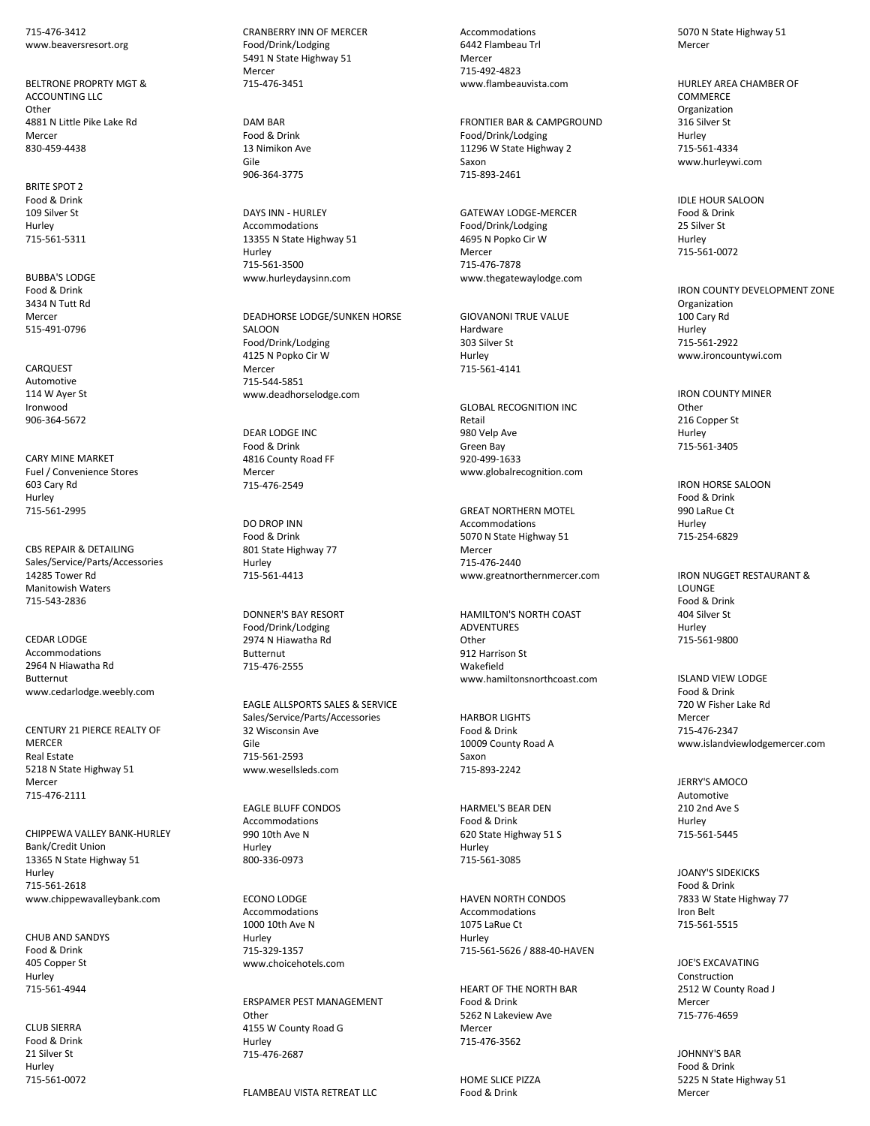715-476-3412 www.beaversresort.org

BELTRONE PROPRTY MGT & ACCOUNTING LLC **Other** 4881 N Little Pike Lake Rd Mercer 830-459-4438

BRITE SPOT 2 Food & Drink 109 Silver St Hurley 715-561-5311

BUBBA'S LODGE Food & Drink 3434 N Tutt Rd Mercer 515-491-0796

CARQUEST Automotive 114 W Ayer St Ironwood 906-364-5672

CARY MINE MARKET Fuel / Convenience Stores 603 Cary Rd Hurley 715-561-2995

CBS REPAIR & DETAILING Sales/Service/Parts/Accessories 14285 Tower Rd Manitowish Waters 715-543-2836

CEDAR LODGE Accommodations 2964 N Hiawatha Rd Butternut www.cedarlodge.weebly.com

CENTURY 21 PIERCE REALTY OF **MERCER** Real Estate 5218 N State Highway 51 Mercer 715-476-2111

CHIPPEWA VALLEY BANK-HURLEY Bank/Credit Union 13365 N State Highway 51 Hurley 715-561-2618 www.chippewavalleybank.com

CHUB AND SANDYS Food & Drink 405 Copper St Hurley 715-561-4944

CLUB SIERRA Food & Drink 21 Silver St Hurley 715-561-0072 CRANBERRY INN OF MERCER Food/Drink/Lodging 5491 N State Highway 51 Mercer 715-476-3451

DAM BAR Food & Drink 13 Nimikon Ave Gile 906-364-3775

DAYS INN - HURLEY Accommodations 13355 N State Highway 51 Hurley 715-561-3500 www.hurleydaysinn.com

DEADHORSE LODGE/SUNKEN HORSE SALOON Food/Drink/Lodging 4125 N Popko Cir W Mercer 715-544-5851 www.deadhorselodge.com

DEAR LODGE INC Food & Drink 4816 County Road FF Mercer 715-476-2549

DO DROP INN Food & Drink 801 State Highway 77 Hurley 715-561-4413

DONNER'S BAY RESORT Food/Drink/Lodging 2974 N Hiawatha Rd Butternut 715-476-2555

EAGLE ALLSPORTS SALES & SERVICE Sales/Service/Parts/Accessories 32 Wisconsin Ave Gile 715-561-2593 www.wesellsleds.com

EAGLE BLUFF CONDOS Accommodations 990 10th Ave N Hurley 800-336-0973

ECONO LODGE Accommodations 1000 10th Ave N Hurley 715-329-1357 www.choicehotels.com

ERSPAMER PEST MANAGEMENT Other 4155 W County Road G Hurley 715-476-2687

FLAMBEAU VISTA RETREAT LLC

Accommodations 6442 Flambeau Trl Mercer 715-492-4823 www.flambeauvista.com

FRONTIER BAR & CAMPGROUND Food/Drink/Lodging 11296 W State Highway 2 Saxon 715-893-2461

GATEWAY LODGE-MERCER Food/Drink/Lodging 4695 N Popko Cir W Mercer 715-476-7878 www.thegatewaylodge.com

GIOVANONI TRUE VALUE Hardware 303 Silver St Hurley 715-561-4141

GLOBAL RECOGNITION INC Retail 980 Velp Ave Green Bay 920-499-1633 www.globalrecognition.com

GREAT NORTHERN MOTEL Accommodations 5070 N State Highway 51 Mercer 715-476-2440 www.greatnorthernmercer.com

HAMILTON'S NORTH COAST ADVENTURES Other 912 Harrison St Wakefield www.hamiltonsnorthcoast.com

HARBOR LIGHTS Food & Drink 10009 County Road A Saxon 715-893-2242

HARMEL'S BEAR DEN Food & Drink 620 State Highway 51 S Hurley 715-561-3085

HAVEN NORTH CONDOS Accommodations 1075 LaRue Ct Hurley 715-561-5626 / 888-40-HAVEN

HEART OF THE NORTH BAR Food & Drink 5262 N Lakeview Ave Mercer 715-476-3562

HOME SLICE PIZZA Food & Drink

5070 N State Highway 51 Mercer

HURLEY AREA CHAMBER OF **COMMERCE** Organization 316 Silver St Hurley 715-561-4334 www.hurleywi.com

IDLE HOUR SALOON Food & Drink 25 Silver St Hurley 715-561-0072

IRON COUNTY DEVELOPMENT ZONE Organization 100 Cary Rd Hurley 715-561-2922 www.ironcountywi.com

IRON COUNTY MINER **Other** 216 Copper St Hurley 715-561-3405

IRON HORSE SALOON Food & Drink 990 LaRue Ct Hurley 715-254-6829

IRON NUGGET RESTAURANT & **LOUNGE** Food & Drink 404 Silver St Hurley 715-561-9800

ISLAND VIEW LODGE Food & Drink 720 W Fisher Lake Rd Mercer 715-476-2347 www.islandviewlodgemercer.com

JERRY'S AMOCO Automotive 210 2nd Ave S Hurley 715-561-5445

JOANY'S SIDEKICKS Food & Drink 7833 W State Highway 77 Iron Belt 715-561-5515

JOE'S EXCAVATING Construction 2512 W County Road J Mercer 715-776-4659

JOHNNY'S BAR Food & Drink 5225 N State Highway 51 Mercer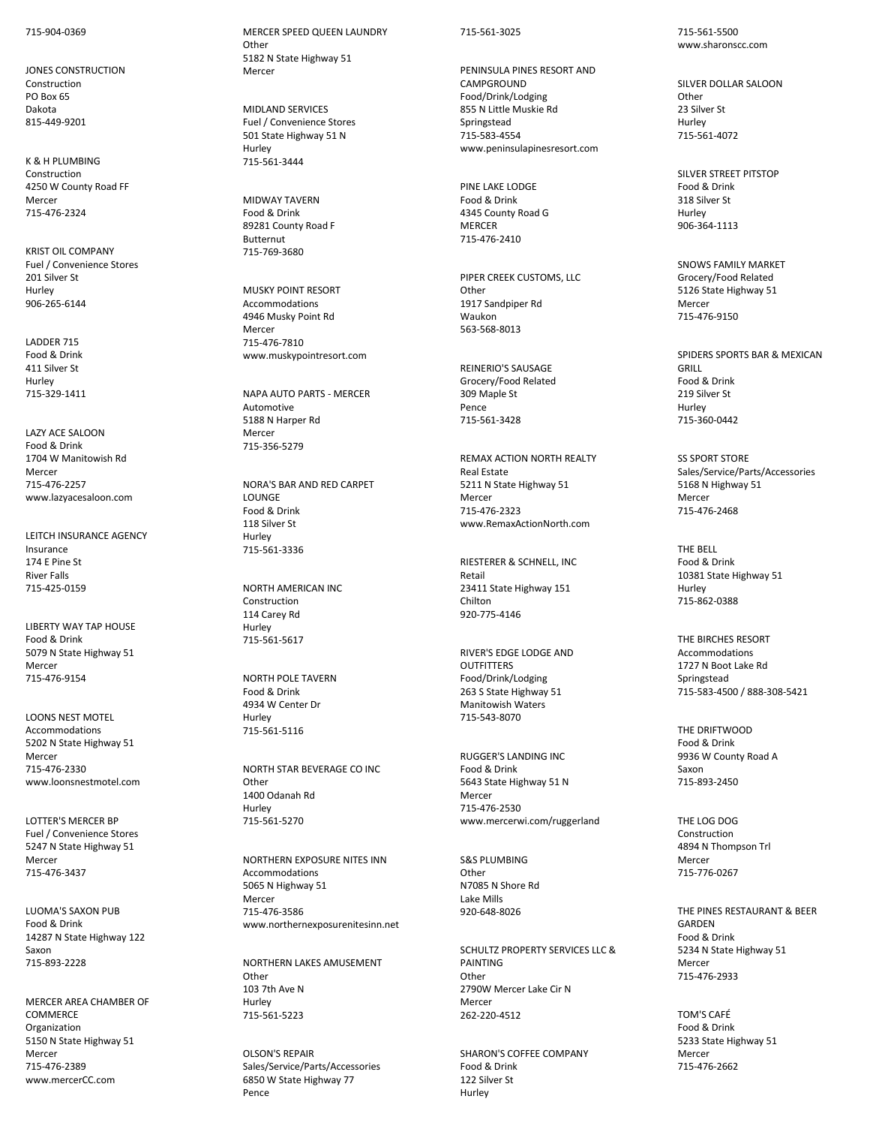715-904-0369

JONES CONSTRUCTION Construction PO Box 65 Dakota 815-449-9201

K & H PLUMBING Construction 4250 W County Road FF Mercer 715-476-2324

KRIST OIL COMPANY Fuel / Convenience Stores 201 Silver St Hurley 906-265-6144

LADDER 715 Food & Drink 411 Silver St Hurley 715-329-1411

LAZY ACE SALOON Food & Drink 1704 W Manitowish Rd Mercer 715-476-2257 www.lazyacesaloon.com

LEITCH INSURANCE AGENCY Insurance 174 E Pine St River Falls 715-425-0159

LIBERTY WAY TAP HOUSE Food & Drink 5079 N State Highway 51 Mercer 715-476-9154

LOONS NEST MOTEL Accommodations 5202 N State Highway 51 Mercer 715-476-2330 www.loonsnestmotel.com

LOTTER'S MERCER BP Fuel / Convenience Stores 5247 N State Highway 51 Mercer 715-476-3437

LUOMA'S SAXON PUB Food & Drink 14287 N State Highway 122 Saxon 715-893-2228

MERCER AREA CHAMBER OF COMMERCE Organization 5150 N State Highway 51 Mercer 715-476-2389 www.mercerCC.com

MERCER SPEED QUEEN LAUNDRY **Other** 5182 N State Highway 51 Mercer

MIDLAND SERVICES Fuel / Convenience Stores 501 State Highway 51 N Hurley 715-561-3444

MIDWAY TAVERN Food & Drink 89281 County Road F Butternut 715-769-3680

MUSKY POINT RESORT Accommodations 4946 Musky Point Rd Mercer 715-476-7810 www.muskypointresort.com

NAPA AUTO PARTS - MERCER Automotive 5188 N Harper Rd Mercer 715-356-5279

NORA'S BAR AND RED CARPET **LOUNGE** Food & Drink 118 Silver St Hurley 715-561-3336

NORTH AMERICAN INC Construction 114 Carey Rd Hurley 715-561-5617

NORTH POLE TAVERN Food & Drink 4934 W Center Dr Hurley 715-561-5116

NORTH STAR BEVERAGE CO INC **Other** 1400 Odanah Rd Hurley 715-561-5270

NORTHERN EXPOSURE NITES INN Accommodations 5065 N Highway 51 Mercer 715-476-3586 www.northernexposurenitesinn.net

NORTHERN LAKES AMUSEMENT **Other** 103 7th Ave N Hurley 715-561-5223

OLSON'S REPAIR Sales/Service/Parts/Accessories 6850 W State Highway 77 Pence

#### 715-561-3025

PENINSULA PINES RESORT AND **CAMPGROUND** Food/Drink/Lodging 855 N Little Muskie Rd Springstead 715-583-4554 www.peninsulapinesresort.com

PINE LAKE LODGE Food & Drink 4345 County Road G MERCER 715-476-2410

PIPER CREEK CUSTOMS, LLC **Other** 1917 Sandpiper Rd Waukon 563-568-8013

REINERIO'S SAUSAGE Grocery/Food Related 309 Maple St Pence 715-561-3428

REMAX ACTION NORTH REALTY Real Estate 5211 N State Highway 51 Mercer 715-476-2323 www.RemaxActionNorth.com

RIESTERER & SCHNELL, INC Retail 23411 State Highway 151 Chilton 920-775-4146

RIVER'S EDGE LODGE AND **OUTFITTERS** Food/Drink/Lodging 263 S State Highway 51 Manitowish Waters 715-543-8070

RUGGER'S LANDING INC Food & Drink 5643 State Highway 51 N Mercer 715-476-2530 www.mercerwi.com/ruggerland

S&S PLUMBING **Other** N7085 N Shore Rd Lake Mills 920-648-8026

SCHULTZ PROPERTY SERVICES LLC & PAINTING **Other** 2790W Mercer Lake Cir N Mercer 262-220-4512

SHARON'S COFFEE COMPANY Food & Drink 122 Silver St Hurley

715-561-5500 www.sharonscc.com

SILVER DOLLAR SALOON **Other** 23 Silver St Hurley 715-561-4072

SILVER STREET PITSTOP Food & Drink 318 Silver St Hurley 906-364-1113

SNOWS FAMILY MARKET Grocery/Food Related 5126 State Highway 51 Mercer 715-476-9150

SPIDERS SPORTS BAR & MEXICAN GRILL Food & Drink 219 Silver St Hurley 715-360-0442

SS SPORT STORE Sales/Service/Parts/Accessories 5168 N Highway 51 Mercer 715-476-2468

THE BELL Food & Drink 10381 State Highway 51 Hurley 715-862-0388

THE BIRCHES RESORT Accommodations 1727 N Boot Lake Rd Springstead 715-583-4500 / 888-308-5421

THE DRIFTWOOD Food & Drink 9936 W County Road A Saxon 715-893-2450

THE LOG DOG Construction 4894 N Thompson Trl Mercer 715-776-0267

THE PINES RESTAURANT & BEER GARDEN Food & Drink 5234 N State Highway 51 Mercer 715-476-2933

TOM'S CAFÉ Food & Drink 5233 State Highway 51 Mercer 715-476-2662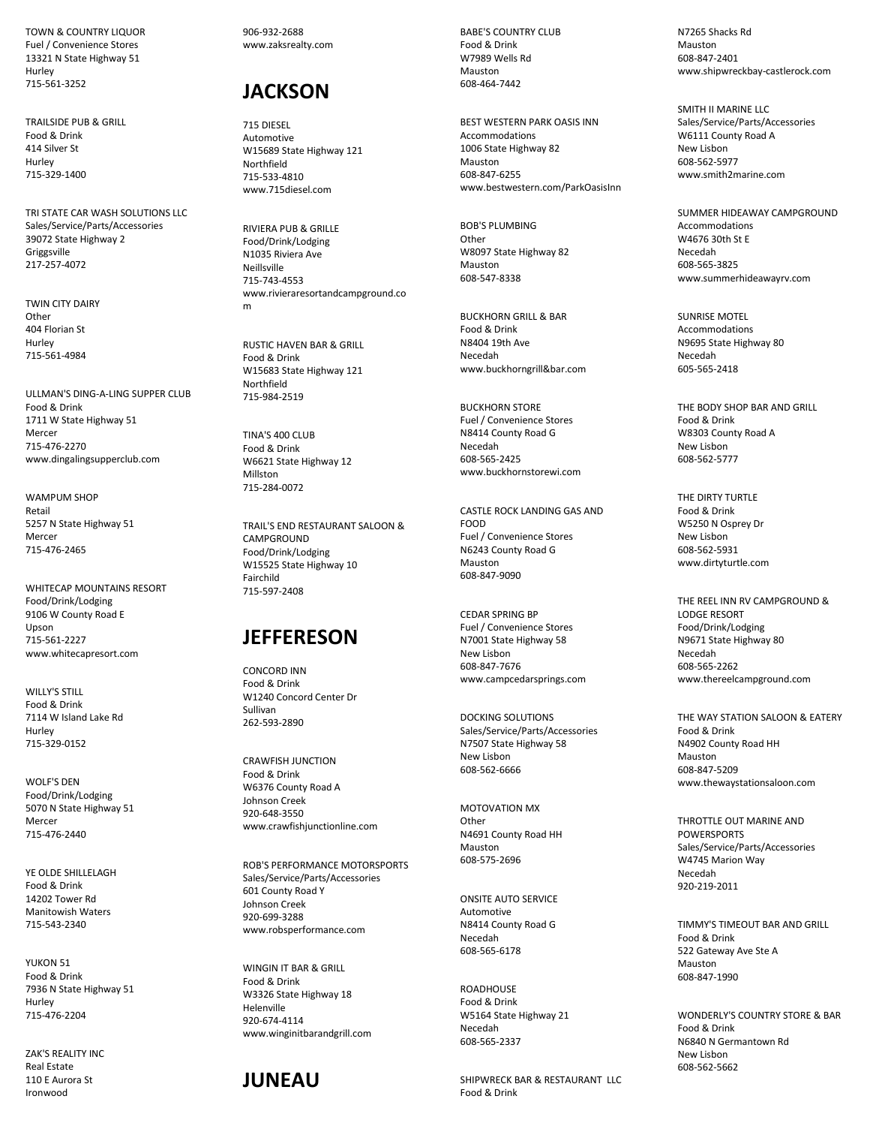TOWN & COUNTRY LIQUOR Fuel / Convenience Stores 13321 N State Highway 51 Hurley 715-561-3252

TRAILSIDE PUB & GRILL Food & Drink 414 Silver St Hurley 715-329-1400

TRI STATE CAR WASH SOLUTIONS LLC Sales/Service/Parts/Accessories 39072 State Highway 2 Griggsville 217-257-4072

TWIN CITY DAIRY **Other** 404 Florian St Hurley 715-561-4984

ULLMAN'S DING-A-LING SUPPER CLUB Food & Drink 1711 W State Highway 51 Mercer 715-476-2270 www.dingalingsupperclub.com

WAMPUM SHOP Retail 5257 N State Highway 51 Mercer 715-476-2465

WHITECAP MOUNTAINS RESORT Food/Drink/Lodging 9106 W County Road E Upson 715-561-2227 www.whitecapresort.com

WILLY'S STILL Food & Drink 7114 W Island Lake Rd Hurley 715-329-0152

WOLF'S DEN Food/Drink/Lodging 5070 N State Highway 51 Mercer 715-476-2440

YE OLDE SHILLELAGH Food & Drink 14202 Tower Rd Manitowish Waters 715-543-2340

YUKON 51 Food & Drink 7936 N State Highway 51 Hurley 715-476-2204

ZAK'S REALITY INC Real Estate 110 E Aurora St Ironwood

906-932-2688 www.zaksrealty.com

## **JACKSON**

715 DIESEL Automotive W15689 State Highway 121 Northfield 715-533-4810 www.715diesel.com

RIVIERA PUB & GRILLE Food/Drink/Lodging N1035 Riviera Ave Neillsville 715-743-4553 www.rivieraresortandcampground.co m

RUSTIC HAVEN BAR & GRILL Food & Drink W15683 State Highway 121 Northfield 715-984-2519

TINA'S 400 CLUB Food & Drink W6621 State Highway 12 Millston 715-284-0072

TRAIL'S END RESTAURANT SALOON & **CAMPGROUND** Food/Drink/Lodging W15525 State Highway 10 Fairchild 715-597-2408

#### **JEFFERESON**

CONCORD INN Food & Drink W1240 Concord Center Dr Sullivan 262-593-2890

CRAWFISH JUNCTION Food & Drink W6376 County Road A Johnson Creek 920-648-3550 www.crawfishjunctionline.com

ROB'S PERFORMANCE MOTORSPORTS Sales/Service/Parts/Accessories 601 County Road Y Johnson Creek 920-699-3288 www.robsperformance.com

WINGIN IT BAR & GRILL Food & Drink W3326 State Highway 18 Helenville 920-674-4114 www.winginitbarandgrill.com

#### **JUNEAU**

BABE'S COUNTRY CLUB Food & Drink W7989 Wells Rd Mauston 608-464-7442

BEST WESTERN PARK OASIS INN Accommodations 1006 State Highway 82 Mauston 608-847-6255 www.bestwestern.com/ParkOasisInn

BOB'S PLUMBING **Other** W8097 State Highway 82 Mauston 608-547-8338

BUCKHORN GRILL & BAR Food & Drink N8404 19th Ave Necedah www.buckhorngrill&bar.com

BUCKHORN STORE Fuel / Convenience Stores N8414 County Road G Necedah 608-565-2425 www.buckhornstorewi.com

CASTLE ROCK LANDING GAS AND FOOD Fuel / Convenience Stores N6243 County Road G Mauston 608-847-9090

CEDAR SPRING BP Fuel / Convenience Stores N7001 State Highway 58 New Lisbon 608-847-7676 www.campcedarsprings.com

DOCKING SOLUTIONS Sales/Service/Parts/Accessories N7507 State Highway 58 New Lisbon 608-562-6666

MOTOVATION MX **Other** N4691 County Road HH Mauston 608-575-2696

ONSITE AUTO SERVICE Automotive N8414 County Road G Necedah 608-565-6178

**ROADHOUSE** Food & Drink W5164 State Highway 21 Necedah 608-565-2337

SHIPWRECK BAR & RESTAURANT LLC Food & Drink

N7265 Shacks Rd Mauston 608-847-2401 www.shipwreckbay-castlerock.com

SMITH II MARINE LLC Sales/Service/Parts/Accessories W6111 County Road A New Lisbon 608-562-5977 www.smith2marine.com

SUMMER HIDEAWAY CAMPGROUND **Accommodations** W4676 30th St E Necedah 608-565-3825 www.summerhideawayrv.com

SUNRISE MOTEL Accommodations N9695 State Highway 80 Necedah 605-565-2418

THE BODY SHOP BAR AND GRILL Food & Drink W8303 County Road A New Lisbon 608-562-5777

THE DIRTY TURTLE Food & Drink W5250 N Osprey Dr New Lisbon 608-562-5931 www.dirtyturtle.com

THE REEL INN RV CAMPGROUND & LODGE RESORT Food/Drink/Lodging N9671 State Highway 80 Necedah 608-565-2262 www.thereelcampground.com

THE WAY STATION SALOON & EATERY Food & Drink N4902 County Road HH Mauston 608-847-5209 www.thewaystationsaloon.com

THROTTLE OUT MARINE AND POWERSPORTS Sales/Service/Parts/Accessories W4745 Marion Way Necedah 920-219-2011

TIMMY'S TIMEOUT BAR AND GRILL Food & Drink 522 Gateway Ave Ste A Mauston 608-847-1990

WONDERLY'S COUNTRY STORE & BAR Food & Drink N6840 N Germantown Rd New Lisbon 608-562-5662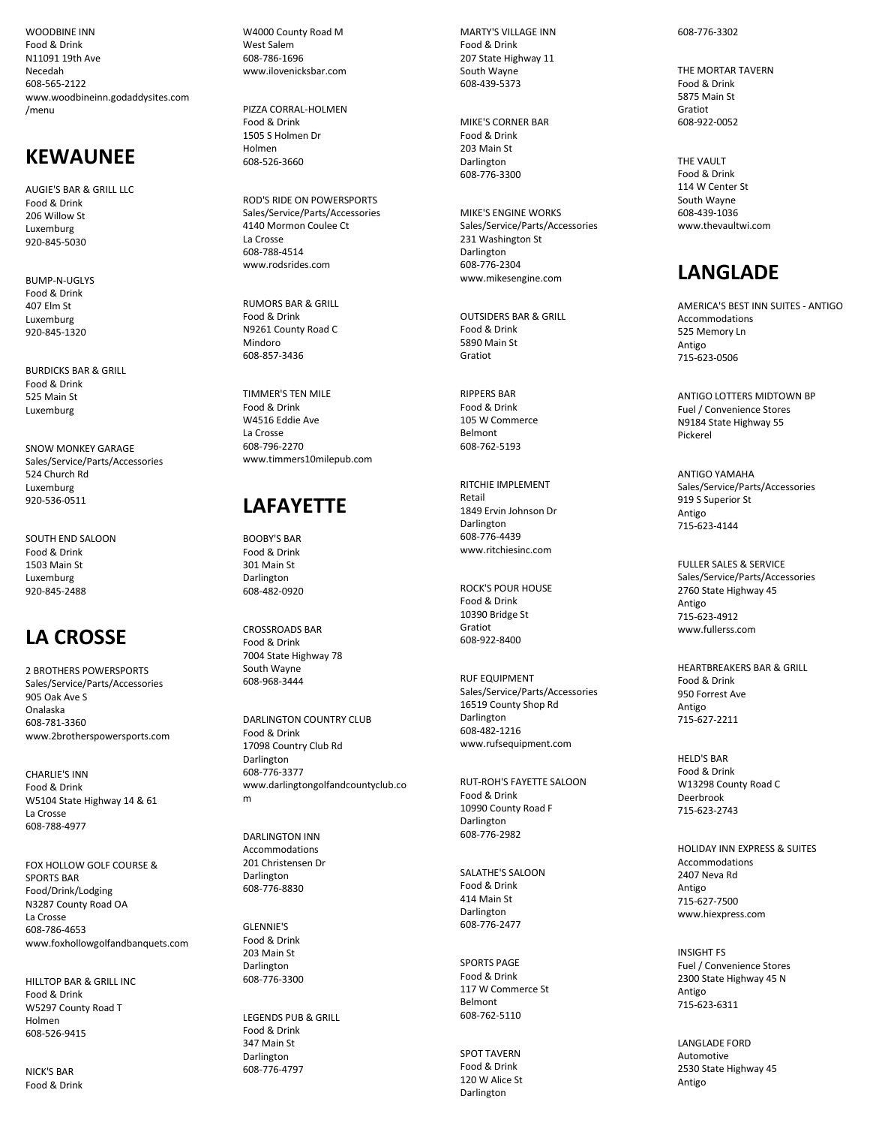WOODBINE INN Food & Drink N11091 19th Ave Necedah 608 -565 -2122 www.woodbineinn.godaddysites.com /menu

### **KEWAUNEE**

AUGIE'S BAR & GRILL LLC Food & Drink 206 Willow St Luxemburg 920 -845 -5030

BUMP-N-UGLYS Food & Drink 407 Elm St Luxemburg 920 -845 -1320

BURDICKS BAR & GRILL Food & Drink 525 Main St Luxemburg

SNOW MONKEY GARAGE Sales/Service/Parts/Accessories 524 Church Rd Luxemburg 920 -536 -0511

SOUTH END SALOON Food & Drink 1503 Main St Luxemburg 920 -845 -2488

# **LA CROSSE**

2 BROTHERS POWERSPORTS Sales/Service/Parts/Accessories 905 Oak Ave S Onalaska 608 -781 -3360 www.2brotherspowersports.com

CHARLIE'S INN Food & Drink W5104 State Highway 14 & 61 La Crosse 608 -788 -4977

FOX HOLLOW GOLF COURSE & SPORTS BAR Food/Drink/Lodging N3287 County Road OA La Crosse 608 -786 -4653 www.foxhollowgolfandbanquets.com

HILLTOP BAR & GRILL INC Food & Drink W5297 County Road T Holmen 608 -526 -9415

NICK'S BAR Food & Drink W4000 County Road M West Salem 608 -786 -1696 www.ilovenicksbar.com

PIZZA CORRAL -HOLMEN Food & Drink 1505 S Holmen Dr Holmen 608 -526 -3660

ROD'S RIDE ON POWERSPORTS Sales/Service/Parts/Accessories 4140 Mormon Coulee Ct La Crosse 608 -788 -4514 www.rodsrides.com

RUMORS BAR & GRILL Food & Drink N9261 County Road C Mindoro 608 -857 -3436

TIMMER'S TEN MILE Food & Drink W4516 Eddie Ave La Crosse 608 -796 -2270 www.timmers10milepub.com

# **LAFAYETTE**

BOOBY'S BAR Food & Drink 301 Main St Darlington 608 -482 -0920

CROSSROADS BAR Food & Drink 7004 State Highway 78 South Wayne 608 -968 -3444

DARLINGTON COUNTRY CLUB Food & Drink 17098 Country Club Rd Darlington 608 -776 -3377 www.darlingtongolfandcountyclub.co m

DARLINGTON INN Accommodations 201 Christensen Dr Darlington 608 -776 -8830

GLENNIE'S Food & Drink 203 Main St Darlington 608 -776 -3300

LEGENDS PUB & GRILL Food & Drink 347 Main St Darlington 608 -776 -4797

MARTY'S VILLAGE INN Food & Drink 207 State Highway 11 South Wayne 608 -439 -5373

MIKE'S CORNER BAR Food & Drink 203 Main St Darlington 608 -776 -3300

MIKE'S ENGINE WORKS Sales/Service/Parts/Accessories 231 Washington St Darlington 608 -776 -2304 www.mikesengine.com

OUTSIDERS BAR & GRILL Food & Drink 5890 Main St Gratiot

RIPPERS BAR Food & Drink 105 W Commerce Belmont 608 -762 -5193

RITCHIE IMPLEMENT Retail 1849 Ervin Johnson Dr Darlington 608 -776 -4439 www.ritchiesinc.com

ROCK'S POUR HOUSE Food & Drink 10390 Bridge St Gratiot 608 -922 -8400

RUF EQUIPMENT Sales/Service/Parts/Accessories 16519 County Shop Rd Darlington 608 -482 -1216 www.rufsequipment.com

RUT -ROH'S FAYETTE SALOON Food & Drink 10990 County Road F Darlington 608 -776 -2982

SALATHE'S SALOON Food & Drink 414 Main St Darlington 608 -776 -2477

SPORTS PAGE Food & Drink 117 W Commerce St Belmont 608-762-5110

SPOT TAVERN Food & Drink 120 W Alice St Darlington

608 -776 -3302

THE MORTAR TAVERN Food & Drink 5875 Main St Gratiot 608 -922 -0052

THE VAULT Food & Drink 114 W Center St South Wayne 608 -439 -1036 www.thevaultwi.com

# **LANGLADE**

AMERICA'S BEST INN SUITES - ANTIGO Accommodations 525 Memory Ln Antigo 715 -623 -0506

ANTIGO LOTTERS MIDTOWN BP Fuel / Convenience Stores N9184 State Highway 55 Pickerel

ANTIGO YAMAHA Sales/Service/Parts/Accessories 919 S Superior St Antigo 715 -623 -4144

FULLER SALES & SERVICE Sales/Service/Parts/Accessories 2760 State Highway 45 Antigo 715 -623 -4912 www.fullerss.com

HEARTBREAKERS BAR & GRILL Food & Drink 950 Forrest Ave Antigo 715 -627 -2211

HELD'S BAR Food & Drink W13298 County Road C Deerbrook 715 -623 -2743

HOLIDAY INN EXPRESS & SUITES Accommodations 2407 Neva Rd Antigo 715 -627 -7500 www.hiexpress.com

INSIGHT FS Fuel / Convenience Stores 2300 State Highway 45 N Antigo 715 -623 -6311

LANGLADE FORD Automotive 2530 State Highway 45 Antigo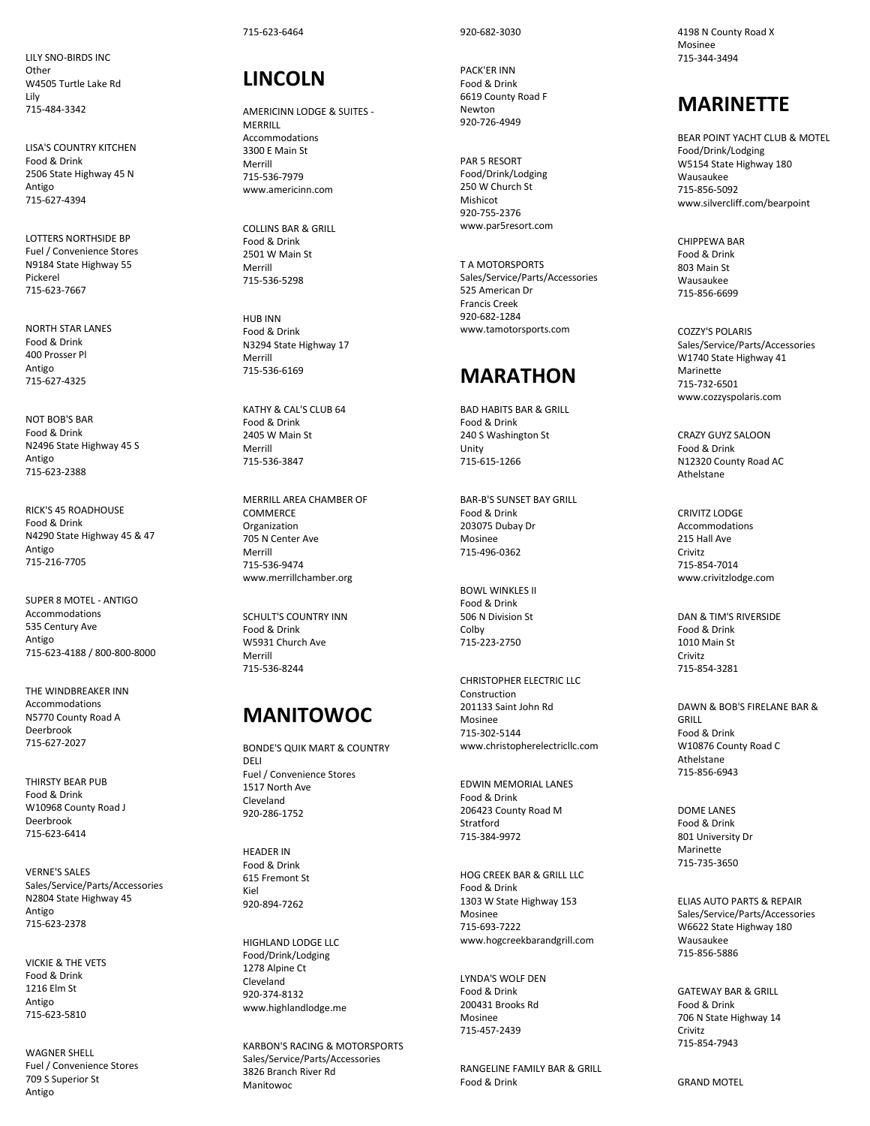LILY SNO -BIRDS INC Other W4505 Turtle Lake Rd Lily 715 -484 -3342

LISA'S COUNTRY KITCHEN Food & Drink 2506 State Highway 45 N Antigo 715 -627 -4394

LOTTERS NORTHSIDE BP Fuel / Convenience Stores N9184 State Highway 55 Pickerel 715 -623 -7667

NORTH STAR LANES Food & Drink 400 Prosser Pl Antigo 715 -627 -4325

NOT BOB'S BAR Food & Drink N2496 State Highway 45 S Antigo 715 -623 -2388

RICK'S 45 ROADHOUSE Food & Drink N4290 State Highway 45 & 47 Antigo 715 -216 -7705

SUPER 8 MOTEL - ANTIGO Accommodations 535 Century Ave Antigo 715 -623 -4188 / 800 -800 -8000

THE WINDBREAKER INN Accommodations N5770 County Road A Deerbrook 715 -627 -2027

THIRSTY BEAR PUB Food & Drink W10968 County Road J Deerbrook 715 -623 -6414

VERNE'S SALES Sales/Service/Parts/Accessories N2804 State Highway 45 Antigo 715 -623 -2378

VICKIE & THE VETS Food & Drink 1216 Elm St Antigo 715 -623 -5810

WAGNER SHELL Fuel / Convenience Stores 709 S Superior St Antigo

#### 715 -623 -6464

## **LINCOLN**

AMERICINN LODGE & SUITES - **MERRILL** Accommodations 3300 E Main St Merrill 715 -536 -7979 www.americinn.com

COLLINS BAR & GRILL Food & Drink 2501 W Main St Merrill 715 -536 -5298

HUB INN Food & Drink N3294 State Highway 17 Merrill 715 -536 -6169

KATHY & CAL'S CLUB 64 Food & Drink 2405 W Main St Merrill 715 -536 -3847

MERRILL AREA CHAMBER OF COMMERCE Organization 705 N Center Ave Merrill 715 -536 -9474 www.merrillchamber.org

SCHULT'S COUNTRY INN Food & Drink W5931 Church Ave Merrill 715 -536 -8244

## **MANITOWOC**

BONDE'S QUIK MART & COUNTRY DELI Fuel / Convenience Stores 1517 North Ave Cleveland 920 -286 -1752

HEADER IN Food & Drink 615 Fremont St Kiel 920 -894 -7262

HIGHLAND LODGE LLC Food/Drink/Lodging 1278 Alpine Ct Cleveland 920 -374 -8132 www.highlandlodge.me

KARBON'S RACING & MOTORSPORTS Sales/Service/Parts/Accessories 3826 Branch River Rd Manitowoc

920 -682 -3030

PACK'ER INN Food & Drin k 6619 County Road F Newton 920 -726 -4949

PAR 5 RESORT Food/Drink/Lodging 250 W Church St Mishicot 920 -755 -2376 www.par5resort.com

T A MOTORSPORTS Sales/Service/Parts/Accessories 525 American Dr Francis Creek 920 -682 -1284 www.tamotorsports.com

#### **MARATHON**

BAD HABITS BAR & GRILL Food & Drink 240 S Washington St Unity 715 -615 -1266

BAR -B'S SUNSET BAY GRILL Food & Drink 203075 Dubay Dr Mosinee 715 -496 -0362

BOWL WINKLES II Food & Drink 506 N Division St Colby 715 -223 -2750

CHRISTOPHER ELECTRIC LLC Construction 201133 Saint John Rd Mosinee 715 -302 -5144 www.christopherelectricllc.com

EDWIN MEMORIAL LANES Food & Drink 206423 County Road M Stratford 715 -384 -9972

HOG CREEK BAR & GRILL LLC Food & Drink 1303 W State Highway 153 Mosinee 715 -693 -7222 www.hogcreekbarandgrill.com

LYNDA'S WOLF DEN Food & Drink 200431 Brooks Rd Mosinee 715 -457 -2439

RANGELINE FAMILY BAR & GRILL Food & Drink

4198 N County Road X Mosinee 715 -344 -3494

#### **MARINETTE**

BEAR POINT YACHT CLUB & MOTEL Food/Drink/Lodging W5154 State Highway 180 Wausauke e 715 -856 -5092 www.silvercliff.com/bearpoint

CHIPPEWA BAR Food & Drink 803 Main St Wausaukee 715 -856 -6699

COZZY'S POLARIS Sales/Service/Parts/Accessories W1740 State Highway 41 Marinette 715 -732 -6501 www.cozzyspolaris.com

CRAZY GUYZ SALOON Food & Drink N12320 County Road AC Athelstane

CRIVITZ LODGE Accommodations 215 Hall Ave Crivitz 715 -854 -7014 www.crivitzlodge.com

DAN & TIM'S RIVERSIDE Food & Drink 1010 Main St Crivitz 715 -854 -3281

DAWN & BOB'S FIRELANE BAR & GRILL Food & Drink W10876 County Road C Athelstane 715 -856 -6943

DOME LANES Food & Drink 801 University Dr Marinette 715 -735 -3650

ELIAS AUTO PARTS & REPAIR Sales/Service/Parts/Accessories W6622 State Highway 180 Wausaukee 715 -856 -5886

GATEWAY BAR & GRILL Food & Drink 706 N State Highway 14 Crivitz 715 -854 -7943

GRAND MOTEL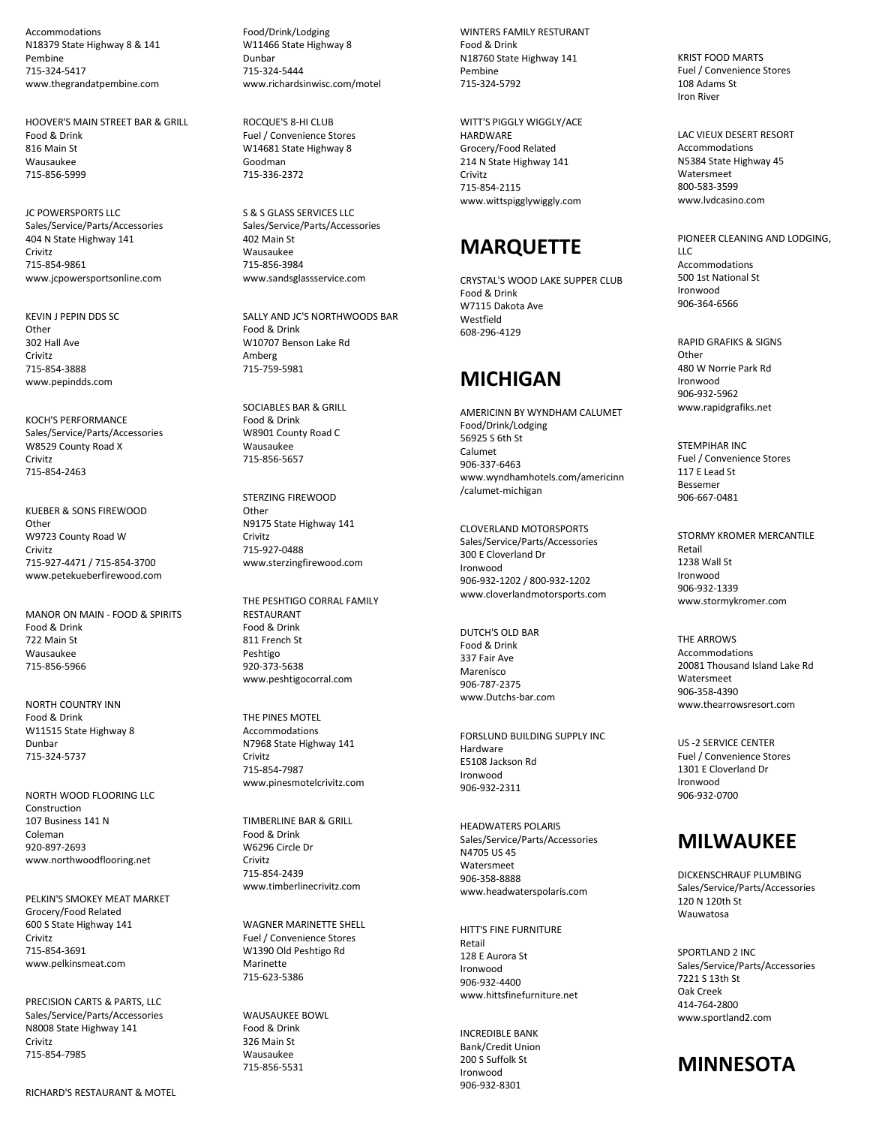Accommodations N18379 State Highway 8 & 141 Pembine 715 -324 -5417 www.thegrandatpembine.com

HOOVER'S MAIN STREET BAR & GRILL Food & Drink 816 Main St Wausaukee 715 -856 -5999

JC POWERSPORTS LLC Sales/Service/Parts/Accessories 404 N State Highway 141 Crivitz 715 -854 -9861 www.jcpowersportsonline.com

KEVIN J PEPIN DDS SC **Other** 302 Hall Ave Crivitz 715 -854 -3888 www.pepindds.com

KOCH'S PERFORMANCE Sales/Service/Parts/Accessories W8529 County Road X Crivitz 715 -854 -2463

KUEBER & SONS FIREWOOD Other W9723 County Road W Crivitz 715 -927 -4471 / 715 -854 -3700 www.petekueberfirewood.com

MANOR ON MAIN - FOOD & SPIRITS Food & Drink 722 Main St Wausaukee 715 -856 -5966

NORTH COUNTRY INN Food & Drink W11515 State Highway 8 Dunbar 715 -324 -573 7

NORTH WOOD FLOORING LLC Construction 107 Business 141 N Coleman 920 -897 -2693 www.northwoodflooring.net

PELKIN'S SMOKEY MEAT MARKET Grocery/Food Related 600 S State Highway 141 Crivitz 715 -854 -3691 www.pelkinsmeat.com

PRECISION CARTS & PARTS, LLC Sales/Service/Parts/Accessories N8008 State Highway 141 Crivitz 715 -854 -7985

W11466 State Highway 8 Dunbar 715 -324 -5444 www.richardsinwisc.com/motel

Food/Drink/Lodging

ROCQUE'S 8 -HI CLUB Fuel / Convenience Stores W14681 State Highway 8 Goodman 715 -336 -2372

S & S GLASS SERVICES LLC Sales/Service/Parts/Accessories 402 Main St Wausaukee 715 -856 -3984 www.sandsglassservice.com

SALLY AND JC'S NORTHWOODS BAR Food & Drink W10707 Benson Lake Rd Amberg 715 -759 -5981

SOCIABLES BAR & GRILL Food & Drink W8901 County Road C Wausaukee 715 -856 -565 7

STERZING FIREWOOD **Other** N9175 State Highway 141 Crivitz 715 -927 -0488 www.sterzingfirewood.com

THE PESHTIGO CORRAL FAMILY **RESTAURANT** Food & Drink 811 French St Peshtigo 920 -373 -5638 www.peshtigocorral.com

THE PINES MOTEL Accommodations N7968 State Highway 141 Crivitz 715 -854 -7987 www.pinesmotelcrivitz.com

TIMBERLINE BAR & GRILL Food & Drink W6296 Circle Dr Crivitz 715 -854 -2439 www.timberlinecrivitz.com

WAGNER MARINETTE SHELL Fuel / Convenience Store s W1390 Old Peshtigo Rd Marinette 715 -623 -5386

WAUSAUKEE BOWL Food & Drink 326 Main St Wausaukee 715 -856 -5531

WINTERS FAMILY RESTURANT Food & Drink N18760 State Highway 141 Pembine 715 -324 -5792

WITT'S PIGGLY WIGGLY/ACE HARDWARE Grocery/Food Related 214 N State Highway 141 Crivitz 715 -854 -2115 www.wittspigglywiggly.com

### **MARQUETTE**

CRYSTAL'S WOOD LAKE SUPPER CLUB Food & Drink W7115 Dakota Ave Westfield 608 -296 -4129

#### **MICHIGAN**

AMERICINN BY WYNDHAM CALUMET Food/Drink/Lodging 56925 S 6th St Calumet 906 -337 -6463 www.wyndhamhotels.com/americinn /calumet -michigan

CLOVERLAND MOTORSPORTS Sales/Service/Parts/Accessories 300 E Cloverland Dr Ironwood 906 -932 -1202 / 800 -932 -1202 www.cloverlandmotorsports.com

DUTCH'S OLD BAR Food & Drink 337 Fair Ave Marenisco 906 -787 -23 7 5 www.Dutchs -bar.com

FORSLUND BUILDING SUPPLY INC Hardware E5108 Jackson Rd Ironwood 906 -932 -2311

HEADWATERS POLARIS Sales/Service/Parts/Accessories N4705 US 45 Watersmeet 906 -358 -8888 www.headwaterspolaris.com

HITT'S FINE FURNITURE Retail 128 E Aurora St Ironwood 906 -932 -4400 www.hittsfinefurniture.net

INCREDIBLE BANK Bank/Credit Union 200 S Suffolk St Ironwood 906 -932 -8301

KRIST FOOD MARTS Fuel / Convenience Stores 108 Adams St Iron River

LAC VIEUX DESERT RESORT Accommodations N5384 State Highway 4 5 Watersmeet 800 -583 -3599 www.lvdcasino.com

PIONEER CLEANING AND LODGING, LLC Accommodations 500 1st National St Ironwood 906 -364 -6566

RAPID GRAFIKS & SIGNS Other 480 W Norrie Park Rd Ironwood 906 -932 -5962 www.rapidgrafiks.net

STEMPIHAR INC Fuel / Convenience Stores 117 E Lead St Bessemer 906 -667 -0481

STORMY KROMER MERCANTILE Retail 1238 Wall St Ironwood 906 -932 -1339 www.stormykromer.com

THE ARROWS Accommodations 20081 Thousand Island Lake Rd Watersmeet 906 -358 -4390 www.thearrowsresort.com

US -2 SERVICE CENTER Fuel / Convenience Stores 1301 E Cloverland Dr Ironwood 906 -932 -0700

## **MILWAUKEE**

DICKENSCHRAUF PLUMBING Sales/Service/Parts/Accessories 120 N 120th St Wauwatosa

SPORTLAND 2 INC Sales/Service/Parts/Accessories 7221 S 13th St Oak Creek 414 -764 -2800 www.sportland2.com

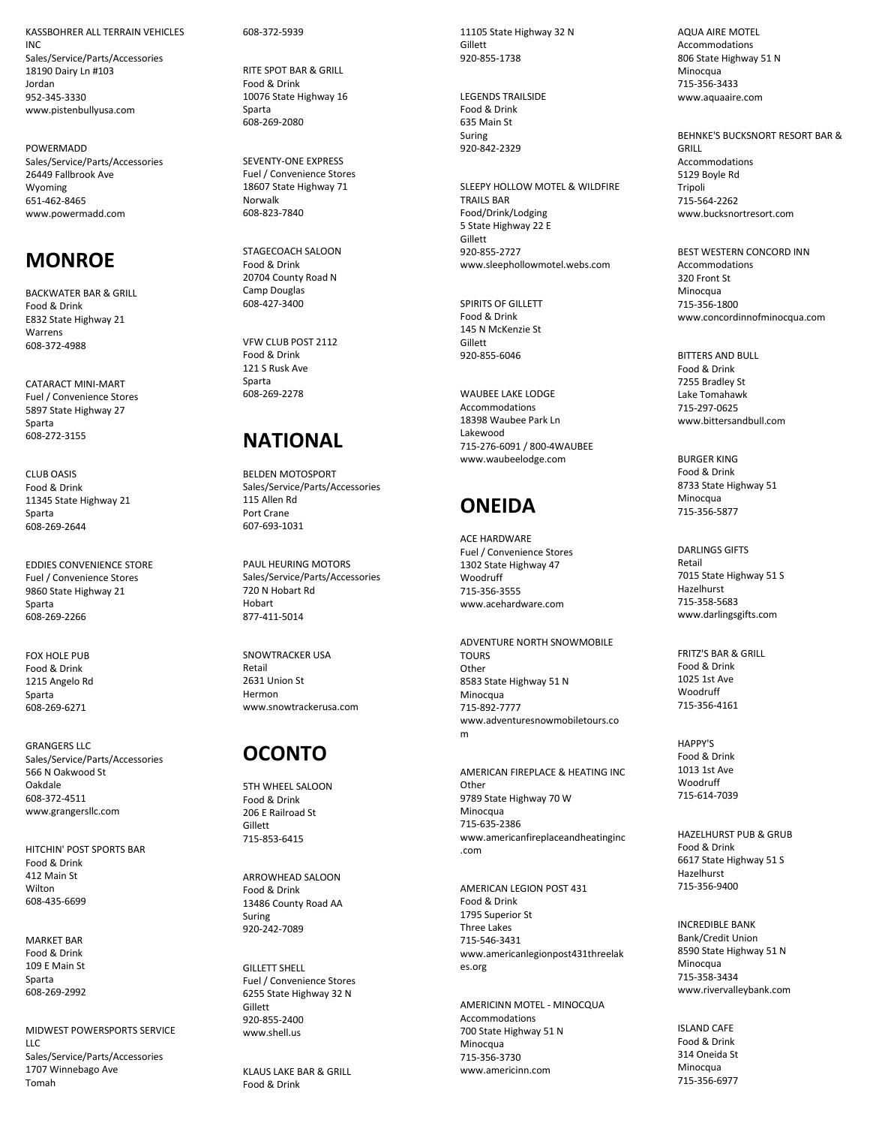KASSBOHRER ALL TERRAIN VEHICLES INC Sales/Service/Parts/Accessories 18190 Dairy Ln #103 Jordan 952 -345 -3330 www.pistenbullyusa.com

POWERMADD Sales/Service/Parts/Accessories 26449 Fallbrook Ave Wyoming 651 -462 -8465 www.powermadd.com

## **MONRO E**

BACKWATER BAR & GRILL Food & Drink E832 State Highway 21 **Warrens** 608 -372 -4988

CATARACT MINI -MART Fuel / Convenience Stores 5897 State Highway 27 Sparta 608 -272 -315 5

CLUB OASIS Food & Drink 11345 State Highway 21 Sparta 608 -269 -2644

EDDIES CONVENIENCE STORE Fuel / Convenience Stores 9860 State Highway 21 Sparta 608 -269 -2266

**FOX HOLE PUR** Food & Drink 1215 Angelo Rd Sparta 608 -269 -6271

GRANGERS LLC Sales/Service/Parts/Accessories 566 N Oakwood St Oakdale 608 -372 -4511 www.grangersllc.com

HITCHIN' POST SPORTS BAR Food & Drink 412 Main St Wilton 608 -435 -6699

MARKET BAR Food & Drink 109 E Main St Sparta 608 -269 -2992

MIDWEST POWERSPORTS SERVICE LLC Sales/Service/Parts/Accessories 1707 Winnebago Ave Tomah

608 -372 -5939

RITE SPOT BAR & GRILL Food & Drink 10076 State Highway 16 Sparta 608 -269 -2080

SEVENTY -ONE EXPRESS Fuel / Convenience Stores 18607 State Highway 71 Norwalk 608 -823 -7840

STAGECOACH SALOON Food & Drink 20704 County Road N Camp Douglas 608 -427 -3400

VFW CLUB POST 2112 Food & Drink 121 S Rusk Ave Sparta 608 -269 -2278

# **NATIONAL**

BELDEN MOTOSPORT Sales/Service/Parts/Accessories 115 Allen Rd Port Crane 607 -693 -1031

PAUL HEURING MOTORS Sales/Service/Parts/Accessories 720 N Hobart Rd Hobart 877 -411 -5014

SNOWTRACKER USA Retail 2631 Union S t Hermon www.snowtrackerusa.com

## **OCONTO**

5TH WHEEL SALOON Food & Drink 206 E Railroad St Gillett 715 -853 -6415

ARROWHEAD SALOON Food & Drink 13486 County Road AA Suring 920 -242 -7089

GILLETT SHELL Fuel / Convenience Stores 6255 State Highway 32 N Gillett 92 0 -855 -2400 www.shell.us

KLAUS LAKE BAR & GRILL Food & Drink

11105 State Highway 32 N Gillett 920 -855 -1738

LEGENDS TRAILSIDE Food & Drink 635 Main St Suring 920 -842 -2329

SLEEPY HOLLOW MOTEL & WILDFIRE TRAILS BAR Food/Drink/Lodging 5 State Highway 22 E Gillett 920 -855 -2727 www.sleephollowmotel.webs.com

SPIRITS OF GILLETT Food & Drink 145 N McKenzie St Gillett 920 -855 -6046

WAUBEE LAKE LODGE Accommodations 18398 Waubee Park Ln Lakewood 715 -276 -6091 / 800 -4WAUBEE www.waubeelodge.com

# **ONEIDA**

ACE HARDWARE Fuel / Convenience Stores 1302 State Highway 47 Woodruff 715 -356 -3555 www.acehardware.com

ADVENTURE NORTH SNOWMOBILE TOURS **Other** 8583 State Highway 51 N Minocqua 715 -892 -7777 www.adventuresnowmobiletours.co m

AMERICAN FIREPLACE & HEATING INC **Other** 9789 State Highway 70 W Minocqua 715 -635 -2386 www.americanfireplaceandheatinginc .com

AMERICAN LEGION POST 431 Food & Drink 1795 Superior St Three Lakes 715 -546 -3431 www.americanlegionpost431threelak es.org

AMERICINN MOTEL - MINOCQUA Accommodations 700 State Highway 51 N Minocqua 715 -356 -3730 www.americinn.com

AQUA AIRE MOTEL Accommodations 806 State Highway 51 N Minocqua 715 -356 -3433 www.aquaaire.com

BEHNKE'S BUCKSNORT RESORT BAR & GRILL Accommodations 5129 Boyle Rd Tripoli 715 -564 -2262 www.bucksnortresort.com

BEST WESTERN CONCORD INN Accommodations 320 Front St Minocqua 715 -356 -1800 www.concordinnofminocqua.com

BITTERS AND BULL Food & Drink 7255 Bradley St Lake Tomahawk 715 -297 -0625 www.bittersandbull.com

BURGER KING Food & Drink 8733 State Highway 51 Minocqua 715 -356 -5877

DARLINGS GIFTS Retail 7015 State Highway 51 S Hazelhurst 715 -358 -5683 www.darlingsgifts.com

FRITZ'S BAR & GRILL Food & Drink 1025 1st Ave Woodruff 715 -356 -4161

HAPPY'S Food & Drink 1013 1st Ave Woodruff 715 -614 -7039

HAZELHURST PUB & GRUB Food & Drink 6617 State Highway 51 S Hazelhurst 715 -356 -9400

INCREDIBLE BANK Bank/Credit Union 8590 State Highway 51 N Minocqua 715 -358 -3434 www.rivervalleybank.com

ISLAND CAFE Food & Drink 314 Oneida St Minocqua 715 -356 -6977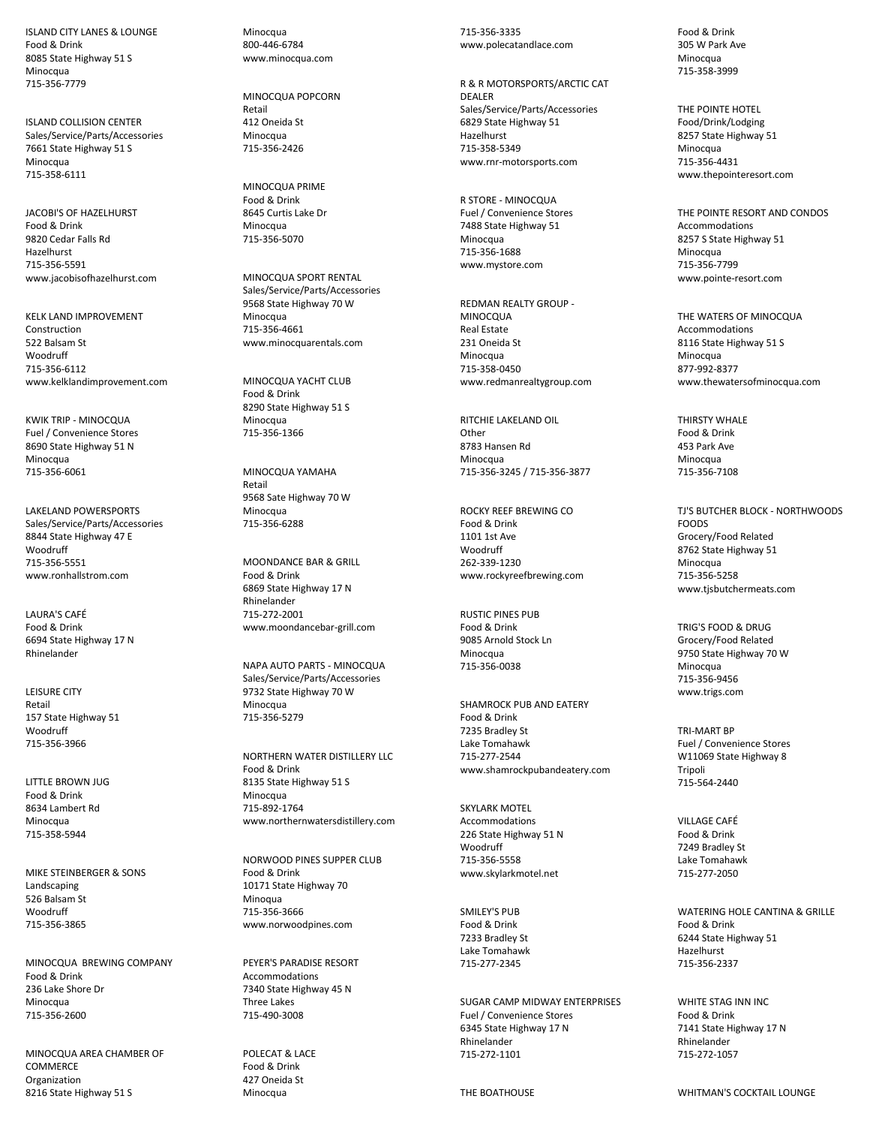ISLAND CITY LANES & LOUNGE Food & Drink 8085 State Highway 51 S Minocqua 715-356-7779

ISLAND COLLISION CENTER Sales/Service/Parts/Accessories 7661 State Highway 51 S Minocqua 715-358-6111

JACOBI'S OF HAZELHURST Food & Drink 9820 Cedar Falls Rd Hazelhurst 715-356-5591 www.jacobisofhazelhurst.com

KELK LAND IMPROVEMENT Construction 522 Balsam St Woodruff 715-356-6112 www.kelklandimprovement.com

KWIK TRIP - MINOCQUA Fuel / Convenience Stores 8690 State Highway 51 N Minocqua 715-356-6061

LAKELAND POWERSPORTS Sales/Service/Parts/Accessories 8844 State Highway 47 E **Woodruff** 715-356-5551 www.ronhallstrom.com

LAURA'S CAFÉ Food & Drink 6694 State Highway 17 N Rhinelander

LEISURE CITY Retail 157 State Highway 51 Woodruff 715-356-3966

LITTLE BROWN JUG Food & Drink 8634 Lambert Rd Minocqua 715-358-5944

MIKE STEINBERGER & SONS Landscaping 526 Balsam St Woodruff 715-356-3865

MINOCQUA BREWING COMPANY Food & Drink 236 Lake Shore Dr Minocqua 715-356-2600

MINOCQUA AREA CHAMBER OF COMMERCE Organization 8216 State Highway 51 S

Minocqua 800-446-6784 www.minocqua.com

MINOCQUA POPCORN Retail 412 Oneida St Minocqua 715-356-2426

MINOCQUA PRIME Food & Drink 8645 Curtis Lake Dr Minocqua 715-356-5070

MINOCQUA SPORT RENTAL Sales/Service/Parts/Accessories 9568 State Highway 70 W Minocqua 715-356-4661 www.minocquarentals.com

MINOCQUA YACHT CLUB Food & Drink 8290 State Highway 51 S Minocqua 715-356-1366

MINOCQUA YAMAHA Retail 9568 Sate Highway 70 W Minocqua 715-356-6288

MOONDANCE BAR & GRILL Food & Drink 6869 State Highway 17 N Rhinelander 715-272-2001 www.moondancebar-grill.com

NAPA AUTO PARTS - MINOCQUA Sales/Service/Parts/Accessories 9732 State Highway 70 W Minocqua 715-356-5279

NORTHERN WATER DISTILLERY LLC Food & Drink 8135 State Highway 51 S Minocqua 715-892-1764 www.northernwatersdistillery.com

NORWOOD PINES SUPPER CLUB Food & Drink 10171 State Highway 70 Minoqua 715-356-3666 www.norwoodpines.com

PEYER'S PARADISE RESORT Accommodations 7340 State Highway 45 N Three Lakes 715-490-3008

POLECAT & LACE Food & Drink 427 Oneida St Minocqua

715-356-3335 www.polecatandlace.com

R & R MOTORSPORTS/ARCTIC CAT DEALER Sales/Service/Parts/Accessories 6829 State Highway 51 Hazelhurst 715-358-5349 www.rnr-motorsports.com

R STORE - MINOCQUA Fuel / Convenience Stores 7488 State Highway 51 Minocqua 715-356-1688 www.mystore.com

REDMAN REALTY GROUP - MINOCQUA Real Estate 231 Oneida St Minocqua 715-358-0450 www.redmanrealtygroup.com

RITCHIE LAKELAND OIL Other 8783 Hansen Rd Minocqua 715-356-3245 / 715-356-3877

ROCKY REEF BREWING CO Food & Drink 1101 1st Ave **Woodruff** 262-339-1230 www.rockyreefbrewing.com

**RUSTIC PINES PUR** Food & Drink 9085 Arnold Stock Ln **Minocqua** 715-356-0038

SHAMROCK PUB AND EATERY Food & Drink 7235 Bradley St Lake Tomahawk 715-277-2544 www.shamrockpubandeatery.com

SKYLARK MOTEL Accommodations 226 State Highway 51 N Woodruff 715-356-5558 www.skylarkmotel.net

SMILEY'S PUB Food & Drink 7233 Bradley St Lake Tomahawk 715-277-2345

SUGAR CAMP MIDWAY ENTERPRISES Fuel / Convenience Stores 6345 State Highway 17 N Rhinelander 715-272-1101

THE BOATHOUSE

Food & Drink 305 W Park Ave **Minocqua** 715-358-3999

THE POINTE HOTEL Food/Drink/Lodging 8257 State Highway 51 Minocqua 715-356-4431 www.thepointeresort.com

THE POINTE RESORT AND CONDOS Accommodations 8257 S State Highway 51 Minocqua 715-356-7799 www.pointe-resort.com

THE WATERS OF MINOCQUA Accommodations 8116 State Highway 51 S Minocqua 877-992-8377 www.thewatersofminocqua.com

THIRSTY WHALE Food & Drink 453 Park Ave Minocqua 715-356-7108

TJ'S BUTCHER BLOCK - NORTHWOODS FOODS Grocery/Food Related 8762 State Highway 51 Minocqua 715-356-5258 www.tjsbutchermeats.com

TRIG'S FOOD & DRUG Grocery/Food Related 9750 State Highway 70 W Minocqua 715-356-9456 www.trigs.com

TRI-MART BP Fuel / Convenience Stores W11069 State Highway 8 Tripoli 715-564-2440

VILLAGE CAFÉ Food & Drink 7249 Bradley St Lake Tomahawk 715-277-2050

WATERING HOLE CANTINA & GRILLE Food & Drink 6244 State Highway 51 Hazelhurst 715-356-2337

WHITE STAG INN INC Food & Drink 7141 State Highway 17 N Rhinelander 715-272-1057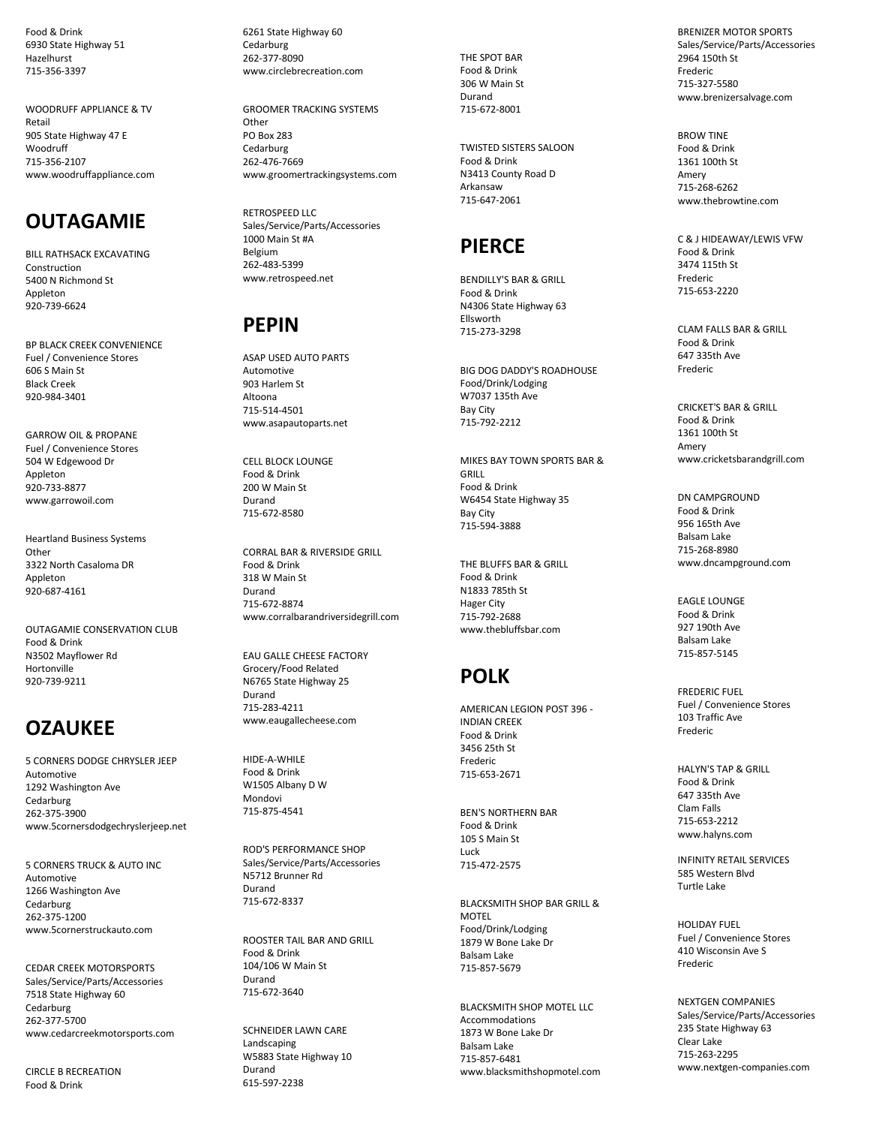Food & Drink 6930 State Highway 51 Hazelhurst 715 -356 -3397

WOODRUFF APPLIANCE & TV Retail 905 State Highway 47 E Woodruff 715 -356 -2107 www.woodruffappliance.com

## **OUTAGAMIE**

BILL RATHSACK EXCAVATING Construction 5400 N Richmond St Appleton 920 -739 -6624

BP BLACK CREEK CONVENIENCE Fuel / Convenience Stores 606 S Main St Black Creek 920 -984 -3401

GARROW OIL & PROPANE Fuel / Convenience Stores 504 W Edgewood Dr **Annleton** 920 -733 -8877 www.garrowoil.com

Heartland Business Systems **Other** 3322 North Casaloma DR Appleton 920 -687 -4161

OUTAGAMIE CONSERVATION CLUB Food & Drink N3502 Mayflower Rd Hortonville 920 -739 -9211

## **OZAUKEE**

5 CORNERS DODGE CHRYSLER JEEP Automotive 1292 Washington Ave **Cedarburg** 262 -375 -3900 www.5cornersdodgechryslerjeep.net

5 CORNERS TRUCK & AUTO INC Automotive 1266 Washington Ave **Cedarburg** 262 -375 -1200 www.5cornerstruckauto.com

CEDAR CREEK MOTORSPORTS Sales/Service/Parts/Accessories 7518 State Highway 60 **Cedarburg** 262 -377 -5700 www.cedarcreekmotorsports.com

CIRCLE B RECREATION Food & Drink

6261 State Highway 60 Cedarburg 262 -377 -8090 www.circlebrecreation.com

GROOMER TRACKING SYSTEMS Other PO Box 283 **Cedarburg** 262 -476 -7669 www.groomertrackingsystems.com

RETROSPEED LLC Sales/Service/Parts/Accessories 1000 Main St #A Belgium 262 -483 -5399 www.retrospeed.net

## **PEPIN**

ASAP USED AUTO PARTS Automotive 903 Harlem St Altoona 715 -514 -4501 www.asapautoparts.net

CELL BLOCK LOUNGE Food & Drink 200 W Main St Durand 715 -672 -8580

CORRAL BAR & RIVERSIDE GRILL Food & Drink 318 W Main St Durand 715 -672 -8874 www.corralbarandriversidegrill.com

EAU GALLE CHEESE FACTORY Grocery/Food Related N6765 State Highway 25 Durand 715 -283 -4211 www.eaugallecheese.com

HIDE-A-WHILE Food & Drink W1505 Albany D W Mondovi 715 -875 -4541

ROD'S PERFORMANCE SHOP Sales/Service/Parts/Accessories N5712 Brunner Rd Durand 715 -672 -8337

ROOSTER TAIL BAR AND GRILL Food & Drink 104/106 W Main St Durand 715 -672 -3640

SCHNEIDER LAWN CARE Landscaping W5883 State Highway 10 Durand 615 -597 -2238

THE SPOT BAR Food & Drink 306 W Main St Durand 715 -672 -8001

TWISTED SISTERS SALOON Food & Drink N3413 County Road D Arkansaw 715 -647 -2061

### **PIERCE**

BENDILLY'S BAR & GRILL Food & Drink N4306 State Highway 63 Ellsworth 715 -273 -3298

BIG DOG DADDY'S ROADHOUSE Food/Drink/Lodging W7037 135th Ave Bay City 715 -792 -2212

MIKES BAY TOWN SPORTS BAR & GRILL Food & Drink W6454 State Highway 35 Bay City 715 -594 -3888

THE BLUFFS BAR & GRILL Food & Drink N1833 785th St Hager City 715 -792 -2688 www.thebluffsbar.com

# **POLK**

AMERICAN LEGION POST 396 - INDIAN CREEK Food & Drink 3456 25th St Frederic 71 5 -653 -2671

BEN'S NORTHERN BAR Food & Drink 105 S Main St Luck 715 -472 -2575

BLACKSMITH SHOP BAR GRILL & **MOTEL** Food/Drink/Lodging 1879 W Bone Lake Dr Balsam Lake 715 -857 -5679

BLACKSMITH SHOP MOTEL LLC Accommodations 1873 W Bone Lake Dr Balsam Lake 715 -857 -6481 www.blacksmithshopmotel.com

BRENIZER MOTOR SPORTS Sales/Service/Parts/Accessories 2964 150th St Frederic 715 -327 -5580 www.brenizersalvage.com

BROW TINE Food & Drink 1361 100th St Amery 715 -268 -6262 www.thebrowtine.com

C & J HIDEAWAY/LEWIS VFW Food & Drink 3474 115th St Frederic 715 -653 -2220

CLAM FALLS BAR & GRILL Food & Drink 647 335th Ave Frederic

CRICKET'S BAR & GRILL Food & Drink 1361 100th St Amery www.cricketsbarandgrill.com

DN CAMPGROUND Food & Drink 956 165th Ave Balsam Lake 715 -268 -8980 www.dncampground.com

EAGLE LOUNGE Food & Drink 927 190th Ave Balsam Lake 715 -857 -5145

FREDERIC FUEL Fuel / Convenience Stores 103 Traffic Ave Frederic

HALYN'S TAP & GRILL Food & Drink 647 335th Ave Clam Falls 715 -653 -2212 www.halyns.com

INFINITY RETAIL SERVICES 585 Western Blvd Turtle Lake

HOLIDAY FUEL Fuel / Convenience Stores 410 Wisconsin Ave S Frederic

NEXTGEN COMPANIES Sales/Service/Parts/Accessories 235 State Highway 63 Clear Lake 715 -263 -2295 www.nextgen -companies.com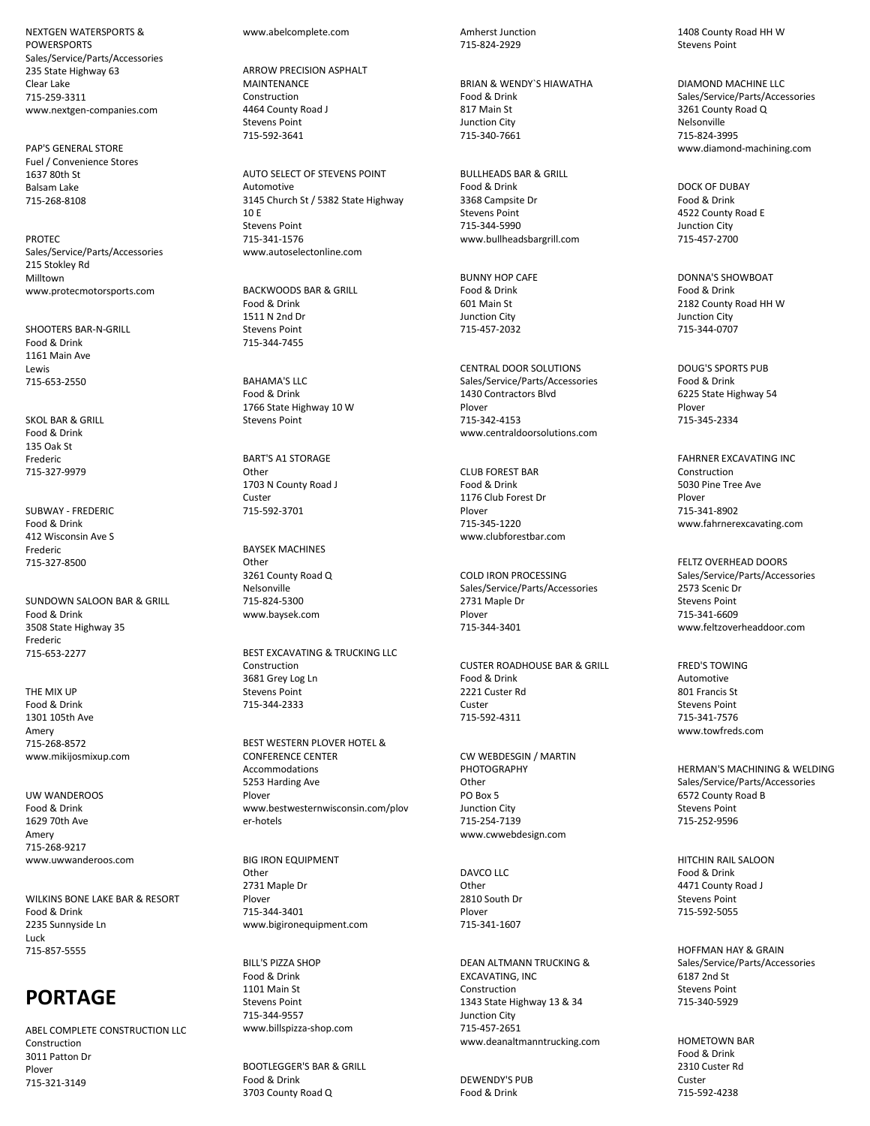NEXTGEN WATERSPORTS & POWERSPORTS Sales/Service/Parts/Accessories 235 State Highway 63 Clear Lake 715-259-3311 www.nextgen-companies.com

PAP'S GENERAL STORE Fuel / Convenience Stores 1637 80th St Balsam Lake 715-268-8108

PROTEC Sales/Service/Parts/Accessories 215 Stokley Rd Milltown www.protecmotorsports.com

SHOOTERS BAR-N-GRILL Food & Drink 1161 Main Ave Lewis 715-653-2550

SKOL BAR & GRILL Food & Drink 135 Oak St Frederic 715-327-9979

SUBWAY - FREDERIC Food & Drink 412 Wisconsin Ave S Frederic 715-327-8500

SUNDOWN SALOON BAR & GRILL Food & Drink 3508 State Highway 35 Frederic 715-653-2277

THE MIX UP Food & Drink 1301 105th Ave Amery 715-268-8572 www.mikijosmixup.com

UW WANDEROOS Food & Drink 1629 70th Ave Amery 715-268-9217 www.uwwanderoos.com

WILKINS BONE LAKE BAR & RESORT Food & Drink 2235 Sunnyside Ln Luck 715-857-5555

## **PORTAGE**

ABEL COMPLETE CONSTRUCTION LLC Construction 3011 Patton Dr Plover 715-321-3149

www.abelcomplete.com

ARROW PRECISION ASPHALT MAINTENANCE Construction 4464 County Road J Stevens Point 715-592-3641

AUTO SELECT OF STEVENS POINT Automotive 3145 Church St / 5382 State Highway 10 E Stevens Point 715-341-1576 www.autoselectonline.com

BACKWOODS BAR & GRILL Food & Drink 1511 N 2nd Dr Stevens Point 715-344-7455

BAHAMA'S LLC Food & Drink 1766 State Highway 10 W Stevens Point

BART'S A1 STORAGE **Other** 1703 N County Road J Custer 715-592-3701

BAYSEK MACHINES **Other** 3261 County Road Q Nelsonville 715-824-5300 www.baysek.com

BEST EXCAVATING & TRUCKING LLC Construction 3681 Grey Log Ln Stevens Point 715-344-2333

BEST WESTERN PLOVER HOTEL & CONFERENCE CENTER Accommodations 5253 Harding Ave Plover www.bestwesternwisconsin.com/plov er-hotels

BIG IRON EQUIPMENT **Other** 2731 Maple Dr Plover 715-344-3401 www.bigironequipment.com

BILL'S PIZZA SHOP Food & Drink 1101 Main St Stevens Point 715-344-9557 www.billspizza-shop.com

BOOTLEGGER'S BAR & GRILL Food & Drink 3703 County Road Q

Amherst Junction 715-824-2929

BRIAN & WENDY`S HIAWATHA Food & Drink 817 Main St Junction City 715-340-7661

BULLHEADS BAR & GRILL Food & Drink 3368 Campsite Dr Stevens Point 715-344-5990 www.bullheadsbargrill.com

BUNNY HOP CAFE Food & Drink 601 Main St Junction City 715-457-2032

CENTRAL DOOR SOLUTIONS Sales/Service/Parts/Accessories 1430 Contractors Blvd Plover 715-342-4153 www.centraldoorsolutions.com

CLUB FOREST BAR Food & Drink 1176 Club Forest Dr Plover 715-345-1220 www.clubforestbar.com

COLD IRON PROCESSING Sales/Service/Parts/Accessories 2731 Maple Dr Plover 715-344-3401

CUSTER ROADHOUSE BAR & GRILL Food & Drink 2221 Custer Rd Custer 715-592-4311

CW WEBDESGIN / MARTIN PHOTOGRAPHY **Other** PO Box 5 Junction City 715-254-7139 www.cwwebdesign.com

DAVCO LLC Other 2810 South Dr Plover 715-341-1607

DEAN ALTMANN TRUCKING & EXCAVATING, INC Construction 1343 State Highway 13 & 34 Junction City 715-457-2651 www.deanaltmanntrucking.com

DEWENDY'S PUB Food & Drink

1408 County Road HH W Stevens Point

DIAMOND MACHINE LLC Sales/Service/Parts/Accessories 3261 County Road Q Nelsonville 715-824-3995 www.diamond-machining.com

DOCK OF DUBAY Food & Drink 4522 County Road E Junction City 715-457-2700

DONNA'S SHOWBOAT Food & Drink 2182 County Road HH W Junction City 715-344-0707

DOUG'S SPORTS PUB Food & Drink 6225 State Highway 54 Plover 715-345-2334

FAHRNER EXCAVATING INC Construction 5030 Pine Tree Ave Plover 715-341-8902 www.fahrnerexcavating.com

FELTZ OVERHEAD DOORS Sales/Service/Parts/Accessories 2573 Scenic Dr Stevens Point 715-341-6609 www.feltzoverheaddoor.com

FRED'S TOWING Automotive 801 Francis St Stevens Point 715-341-7576 www.towfreds.com

HERMAN'S MACHINING & WELDING Sales/Service/Parts/Accessories 6572 County Road B Stevens Point 715-252-9596

HITCHIN RAIL SALOON Food & Drink 4471 County Road J Stevens Point 715-592-5055

HOFFMAN HAY & GRAIN Sales/Service/Parts/Accessories 6187 2nd St Stevens Point 715-340-5929

HOMETOWN BAR Food & Drink 2310 Custer Rd Custer 715-592-4238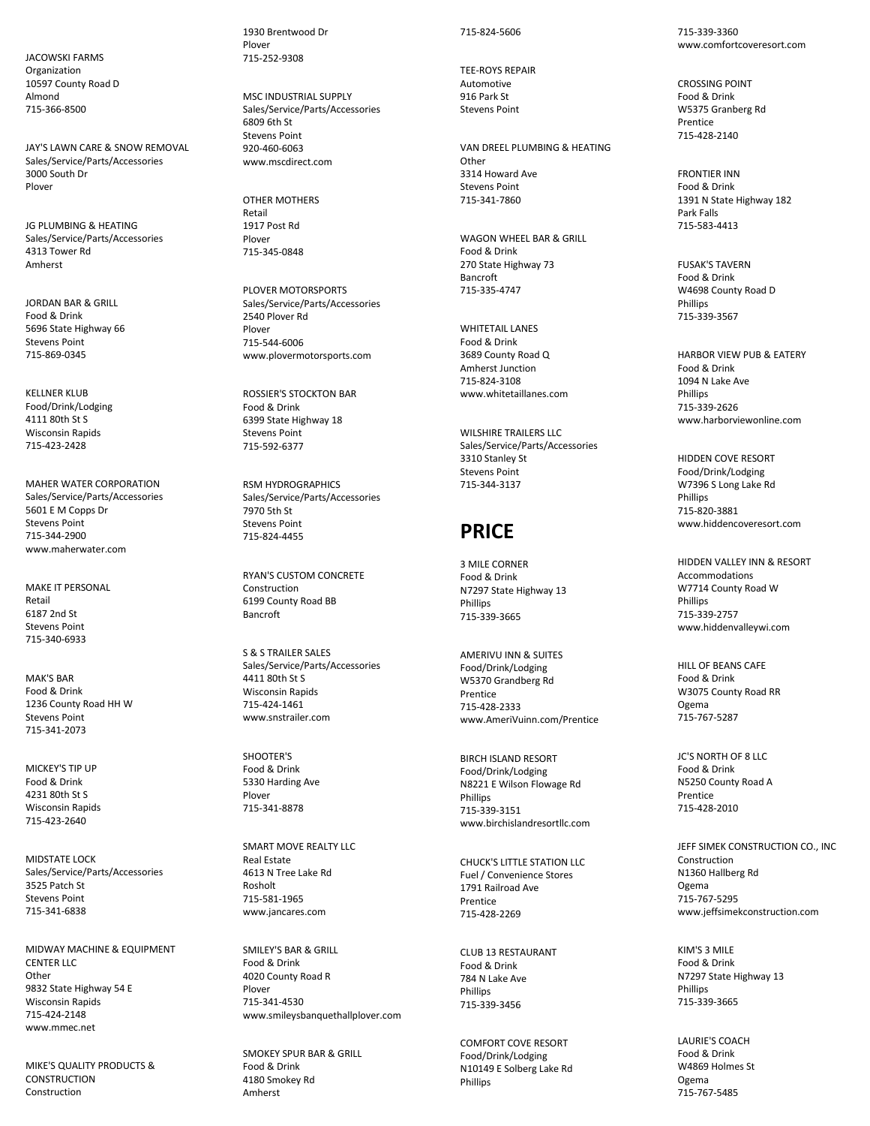JACOWSKI FARMS Organization 10597 County Road D Almond 715-366-8500

JAY'S LAWN CARE & SNOW REMOVAL Sales/Service/Parts/Accessories 3000 South Dr Plover

JG PLUMBING & HEATING Sales/Service/Parts/Accessories 4313 Tower Rd Amherst

JORDAN BAR & GRILL Food & Drink 5696 State Highway 66 Stevens Point 715-869-0345

KELLNER KLUB Food/Drink/Lodging 4111 80th St S Wisconsin Rapids 715-423-2428

MAHER WATER CORPORATION Sales/Service/Parts/Accessories 5601 E M Copps Dr Stevens Point 715-344-2900 www.maherwater.com

MAKE IT PERSONAL Retail 6187 2nd St Stevens Point 715-340-6933

MAK'S BAR Food & Drink 1236 County Road HH W Stevens Point 715-341-2073

MICKEY'S TIP UP Food & Drink 4231 80th St S Wisconsin Rapids 715-423-2640

MIDSTATE LOCK Sales/Service/Parts/Accessories 3525 Patch St Stevens Point 715-341-6838

MIDWAY MACHINE & EQUIPMENT CENTER LLC. Other 9832 State Highway 54 E Wisconsin Rapids 715-424-2148 www.mmec.net

MIKE'S QUALITY PRODUCTS & **CONSTRUCTION** Construction

1930 Brentwood Dr Plover 715-252-9308

MSC INDUSTRIAL SUPPLY Sales/Service/Parts/Accessories 6809 6th St Stevens Point 920-460-6063 www.mscdirect.com

OTHER MOTHERS Retail 1917 Post Rd Plover 715-345-0848

PLOVER MOTORSPORTS Sales/Service/Parts/Accessories 2540 Plover Rd Plover 715-544-6006 www.plovermotorsports.com

ROSSIER'S STOCKTON BAR Food & Drink 6399 State Highway 18 Stevens Point 715-592-6377

RSM HYDROGRAPHICS Sales/Service/Parts/Accessories 7970 5th St Stevens Point 715-824-4455

RYAN'S CUSTOM CONCRETE Construction 6199 County Road BB Bancroft

S & S TRAILER SALES Sales/Service/Parts/Accessories 4411 80th St S Wisconsin Rapids 715-424-1461 www.snstrailer.com

SHOOTER'S Food & Drink 5330 Harding Ave Plover 715-341-8878

SMART MOVE REALTY LLC Real Estate 4613 N Tree Lake Rd Rosholt 715-581-1965 www.jancares.com

SMILEY'S BAR & GRILL Food & Drink 4020 County Road R Plover 715-341-4530 www.smileysbanquethallplover.com

SMOKEY SPUR BAR & GRILL Food & Drink 4180 Smokey Rd Amherst

#### 715-824-5606

TEE-ROYS REPAIR Automotive 916 Park St Stevens Point

VAN DREEL PLUMBING & HEATING **Other** 3314 Howard Ave Stevens Point 715-341-7860

WAGON WHEEL BAR & GRILL Food & Drink 270 State Highway 73 Bancroft 715-335-4747

WHITETAIL LANES Food & Drink 3689 County Road Q Amherst Junction 715-824-3108 www.whitetaillanes.com

WILSHIRE TRAILERS LLC Sales/Service/Parts/Accessories 3310 Stanley St Stevens Point 715-344-3137

#### **PRICE**

3 MILE CORNER Food & Drink N7297 State Highway 13 Phillips 715-339-3665

AMERIVU INN & SUITES Food/Drink/Lodging W5370 Grandberg Rd Prentice 715-428-2333 www.AmeriVuinn.com/Prentice

BIRCH ISLAND RESORT Food/Drink/Lodging N8221 E Wilson Flowage Rd **Phillins** 715-339-3151 www.birchislandresortllc.com

CHUCK'S LITTLE STATION LLC Fuel / Convenience Stores 1791 Railroad Ave Prentice 715-428-2269

CLUB 13 RESTAURANT Food & Drink 784 N Lake Ave Phillips 715-339-3456

COMFORT COVE RESORT Food/Drink/Lodging N10149 E Solberg Lake Rd Phillips

715-339-3360 www.comfortcoveresort.com

CROSSING POINT Food & Drink W5375 Granberg Rd Prentice 715-428-2140

FRONTIER INN Food & Drink 1391 N State Highway 182 Park Falls 715-583-4413

FUSAK'S TAVERN Food & Drink W4698 County Road D Phillips 715-339-3567

HARBOR VIEW PUB & EATERY Food & Drink 1094 N Lake Ave Phillips 715-339-2626 www.harborviewonline.com

HIDDEN COVE RESORT Food/Drink/Lodging W7396 S Long Lake Rd **Phillins** 715-820-3881 www.hiddencoveresort.com

HIDDEN VALLEY INN & RESORT Accommodations W7714 County Road W Phillips 715-339-2757 www.hiddenvalleywi.com

HILL OF BEANS CAFE Food & Drink W3075 County Road RR Ogema 715-767-5287

JC'S NORTH OF 8 LLC Food & Drink N5250 County Road A Prentice 715-428-2010

JEFF SIMEK CONSTRUCTION CO., INC Construction N1360 Hallberg Rd Ogema 715-767-5295 www.jeffsimekconstruction.com

KIM'S 3 MILE Food & Drink N7297 State Highway 13 Phillips 715-339-3665

LAURIE'S COACH Food & Drink W4869 Holmes St Ogema 715-767-5485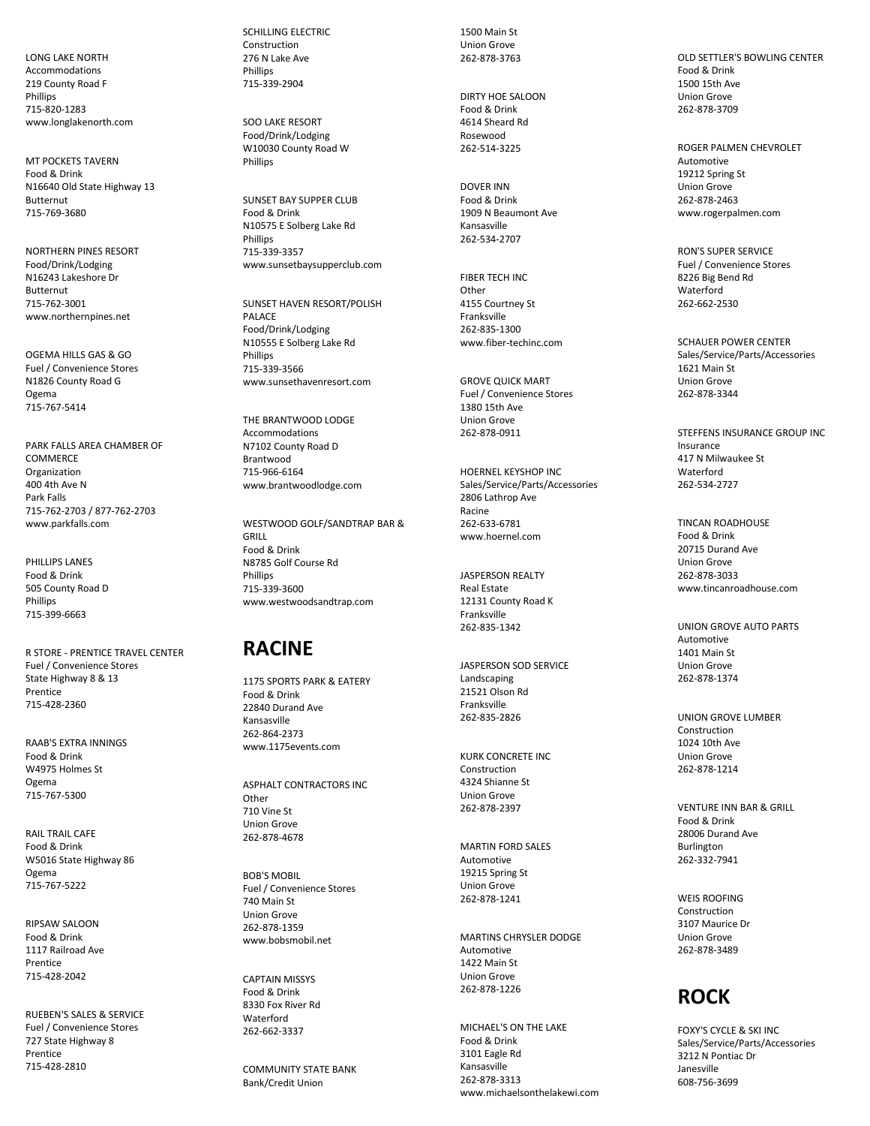LONG LAKE NORTH Accommodations 219 County Road F Phillips 715-820-1283 www.longlakenorth.com

MT POCKETS TAVERN Food & Drink N16640 Old State Highway 13 Butternut 715-769-3680

NORTHERN PINES RESORT Food/Drink/Lodging N16243 Lakeshore Dr Butternut 715-762-3001 www.northernpines.net

OGEMA HILLS GAS & GO Fuel / Convenience Stores N1826 County Road G Ogema 715-767-5414

PARK FALLS AREA CHAMBER OF COMMERCE Organization 400 4th Ave N Park Falls 715-762-2703 / 877-762-2703 www.parkfalls.com

PHILLIPS LANES Food & Drink 505 County Road D Phillips 715-399-6663

R STORE - PRENTICE TRAVEL CENTER Fuel / Convenience Stores State Highway 8 & 13 Prentice 715-428-2360

RAAB'S EXTRA INNINGS Food & Drink W4975 Holmes St Ogema 715-767-5300

RAIL TRAIL CAFE Food & Drink W5016 State Highway 86 Ogema 715-767-5222

RIPSAW SALOON Food & Drink 1117 Railroad Ave Prentice 715-428-2042

RUEBEN'S SALES & SERVICE Fuel / Convenience Stores 727 State Highway 8 Prentice 715-428-2810

SCHILLING ELECTRIC Construction 276 N Lake Ave Phillips 715-339-2904

SOO LAKE RESORT Food/Drink/Lodging W10030 County Road W **Phillins** 

SUNSET BAY SUPPER CLUB Food & Drink N10575 E Solberg Lake Rd Phillips 715-339-3357 www.sunsetbaysupperclub.com

SUNSET HAVEN RESORT/POLISH PALACE Food/Drink/Lodging N10555 E Solberg Lake Rd Phillips 715-339-3566 www.sunsethavenresort.com

THE BRANTWOOD LODGE Accommodations N7102 County Road D Brantwood 715-966-6164 www.brantwoodlodge.com

WESTWOOD GOLF/SANDTRAP BAR & GRILL Food & Drink N8785 Golf Course Rd Phillips 715-339-3600 www.westwoodsandtrap.com

#### **RACINE**

1175 SPORTS PARK & EATERY Food & Drink 22840 Durand Ave Kansasville 262-864-2373 www.1175events.com

ASPHALT CONTRACTORS INC **Other** 710 Vine St Union Grove 262-878-4678

BOB'S MOBIL Fuel / Convenience Stores 740 Main St Union Grove 262-878-1359 www.bobsmobil.net

CAPTAIN MISSYS Food & Drink 8330 Fox River Rd Waterford 262-662-3337

COMMUNITY STATE BANK Bank/Credit Union

1500 Main St Union Grove 262-878-3763

DIRTY HOE SALOON Food & Drink 4614 Sheard Rd Rosewood 262-514-3225

DOVER INN Food & Drink 1909 N Beaumont Ave Kansasville 262-534-2707

FIBER TECH INC **Other** 4155 Courtney St Franksville 262-835-1300 www.fiber-techinc.com

GROVE QUICK MART Fuel / Convenience Stores 1380 15th Ave Union Grove 262-878-0911

HOERNEL KEYSHOP INC Sales/Service/Parts/Accessories 2806 Lathrop Ave Racine 262-633-6781 www.hoernel.com

JASPERSON REALTY Real Estate 12131 County Road K Franksville 262-835-1342

JASPERSON SOD SERVICE Landscaping 21521 Olson Rd Franksville 262-835-2826

KURK CONCRETE INC Construction 4324 Shianne St Union Grove 262-878-2397

MARTIN FORD SALES Automotive 19215 Spring St Union Grove 262-878-1241

MARTINS CHRYSLER DODGE Automotive 1422 Main St Union Grove 262-878-1226

MICHAEL'S ON THE LAKE Food & Drink 3101 Eagle Rd Kansasville 262-878-3313 www.michaelsonthelakewi.com

OLD SETTLER'S BOWLING CENTER Food & Drink 1500 15th Ave Union Grove 262-878-3709

ROGER PALMEN CHEVROLET Automotive 19212 Spring St Union Grove 262-878-2463 www.rogerpalmen.com

RON'S SUPER SERVICE Fuel / Convenience Stores 8226 Big Bend Rd Waterford 262-662-2530

SCHAUER POWER CENTER Sales/Service/Parts/Accessories 1621 Main St Union Grove 262-878-3344

STEFFENS INSURANCE GROUP INC Insurance 417 N Milwaukee St Waterford 262-534-2727

TINCAN ROADHOUSE Food & Drink 20715 Durand Ave Union Grove 262-878-3033 www.tincanroadhouse.com

UNION GROVE AUTO PARTS Automotive 1401 Main St Union Grove 262-878-1374

UNION GROVE LUMBER Construction 1024 10th Ave Union Grove 262-878-1214

VENTURE INN BAR & GRILL Food & Drink 28006 Durand Ave Burlington 262-332-7941

WEIS ROOFING Construction 3107 Maurice Dr Union Grove 262-878-3489

# **ROCK**

FOXY'S CYCLE & SKI INC Sales/Service/Parts/Accessories 3212 N Pontiac Dr Janesville 608-756-3699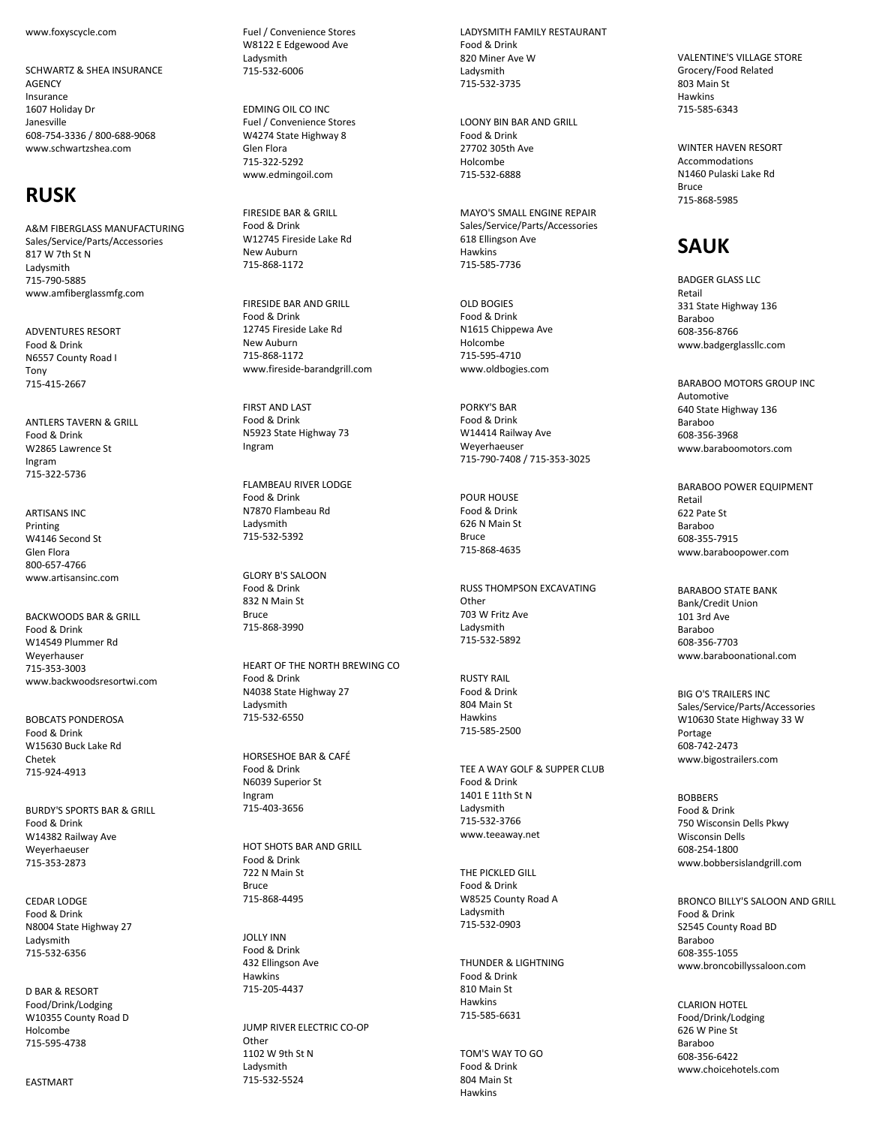www.foxyscycle.com

SCHWARTZ & SHEA INSURANCE **AGENCY** Insurance 1607 Holiday Dr Janesville 608-754-3336 / 800-688-9068 www.schwartzshea.com

### **RUSK**

A&M FIBERGLASS MANUFACTURING Sales/Service/Parts/Accessories 817 W 7th St N Ladysmith 715-790-5885 www.amfiberglassmfg.com

ADVENTURES RESORT Food & Drink N6557 County Road I Tony 715-415-2667

ANTLERS TAVERN & GRILL Food & Drink W2865 Lawrence St Ingram 715-322-5736

ARTISANS INC Printing W4146 Second St Glen Flora 800-657-4766 www.artisansinc.com

BACKWOODS BAR & GRILL Food & Drink W14549 Plummer Rd Weyerhauser 715-353-3003 www.backwoodsresortwi.com

BOBCATS PONDEROSA Food & Drink W15630 Buck Lake Rd Chetek 715-924-4913

BURDY'S SPORTS BAR & GRILL Food & Drink W14382 Railway Ave Weyerhaeuser 715-353-2873

CEDAR LODGE Food & Drink N8004 State Highway 27 Ladysmith 715-532-6356

D BAR & RESORT Food/Drink/Lodging W10355 County Road D Holcombe 715-595-4738

EASTMART

Fuel / Convenience Stores W8122 E Edgewood Ave Ladysmith 715-532-6006

EDMING OIL CO INC Fuel / Convenience Stores W4274 State Highway 8 Glen Flora 715-322-5292 www.edmingoil.com

FIRESIDE BAR & GRILL Food & Drink W12745 Fireside Lake Rd New Auburn 715-868-1172

FIRESIDE BAR AND GRILL Food & Drink 12745 Fireside Lake Rd New Auburn 715-868-1172 www.fireside-barandgrill.com

FIRST AND LAST Food & Drink N5923 State Highway 73 Ingram

FLAMBEAU RIVER LODGE Food & Drink N7870 Flambeau Rd Ladysmith 715-532-5392

GLORY B'S SALOON Food & Drink 832 N Main St **Bruce** 715-868-3990

HEART OF THE NORTH BREWING CO Food & Drink N4038 State Highway 27 Ladysmith 715-532-6550

HORSESHOE BAR & CAFÉ Food & Drink N6039 Superior St Ingram 715-403-3656

HOT SHOTS BAR AND GRILL Food & Drink 722 N Main St Bruce 715-868-4495

JOLLY INN Food & Drink 432 Ellingson Ave Hawkins 715-205-4437

JUMP RIVER ELECTRIC CO-OP Other 1102 W 9th St N Ladysmith 715-532-5524

LADYSMITH FAMILY RESTAURANT Food & Drink 820 Miner Ave W Ladysmith 715-532-3735

LOONY BIN BAR AND GRILL Food & Drink 27702 305th Ave Holcombe 715-532-6888

MAYO'S SMALL ENGINE REPAIR Sales/Service/Parts/Accessories 618 Ellingson Ave Hawkins 715-585-7736

OLD BOGIES Food & Drink N1615 Chippewa Ave Holcombe 715-595-4710 www.oldbogies.com

PORKY'S BAR Food & Drink W14414 Railway Ave Weyerhaeuser 715-790-7408 / 715-353-3025

POUR HOUSE Food & Drink 626 N Main St Bruce 715-868-4635

RUSS THOMPSON EXCAVATING **Other** 703 W Fritz Ave Ladysmith 715-532-5892

RUSTY RAIL Food & Drink 804 Main St Hawkins 715-585-2500

TEE A WAY GOLF & SUPPER CLUB Food & Drink 1401 E 11th St N Ladysmith 715-532-3766 www.teeaway.net

THE PICKLED GILL Food & Drink W8525 County Road A Ladysmith 715-532-0903

THUNDER & LIGHTNING Food & Drink 810 Main St Hawkins 715-585-6631

TOM'S WAY TO GO Food & Drink 804 Main St Hawkins

VALENTINE'S VILLAGE STORE Grocery/Food Related 803 Main St Hawkins 715-585-6343

WINTER HAVEN RESORT Accommodations N1460 Pulaski Lake Rd Bruce 715-868-5985

## **SAUK**

BADGER GLASS LLC Retail 331 State Highway 136 Baraboo 608-356-8766 www.badgerglassllc.com

BARABOO MOTORS GROUP INC Automotive 640 State Highway 136 Baraboo 608-356-3968 www.baraboomotors.com

BARABOO POWER EQUIPMENT Retail 622 Pate St Baraboo 608-355-7915 www.baraboopower.com

BARABOO STATE BANK Bank/Credit Union 101 3rd Ave Baraboo 608-356-7703 www.baraboonational.com

BIG O'S TRAILERS INC Sales/Service/Parts/Accessories W10630 State Highway 33 W Portage 608-742-2473 www.bigostrailers.com

BOBBERS Food & Drink 750 Wisconsin Dells Pkwy Wisconsin Dells 608-254-1800 www.bobbersislandgrill.com

BRONCO BILLY'S SALOON AND GRILL Food & Drink S2545 County Road BD Baraboo 608-355-1055 www.broncobillyssaloon.com

CLARION HOTEL Food/Drink/Lodging 626 W Pine St Baraboo 608-356-6422 www.choicehotels.com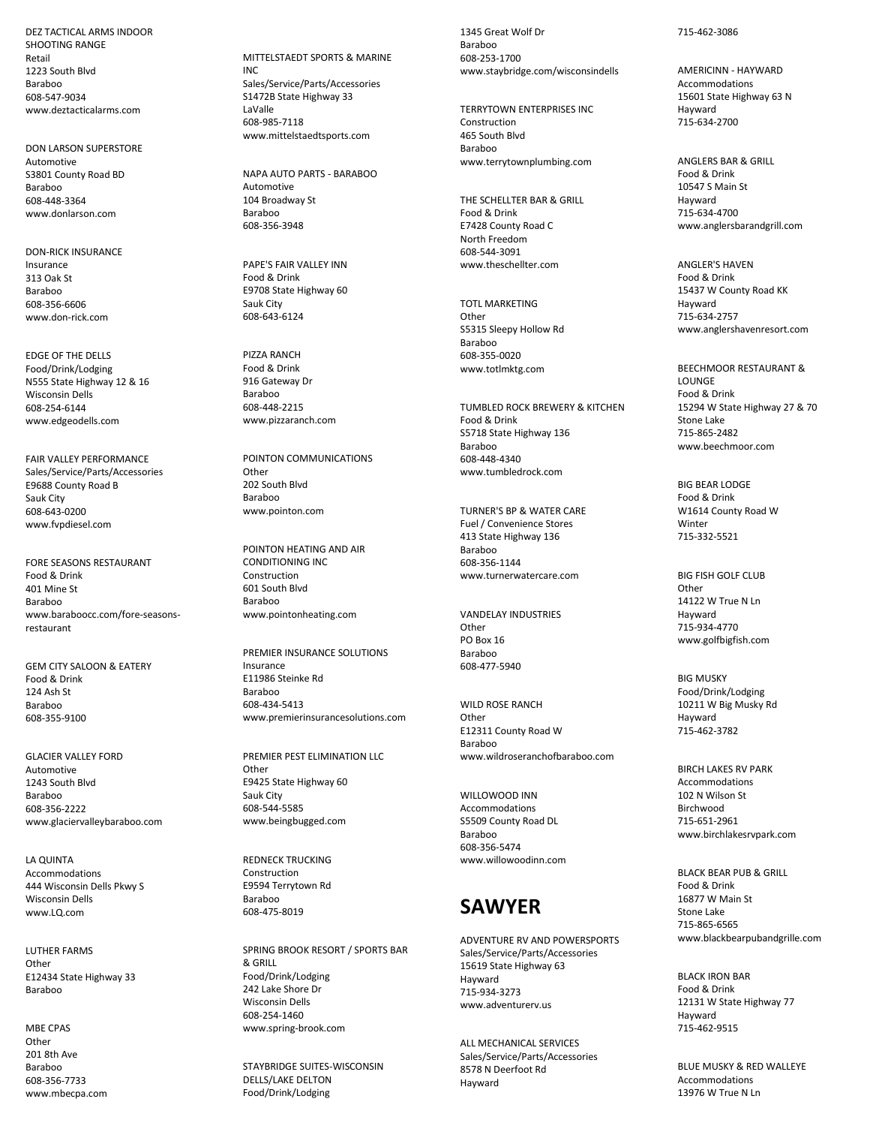DEZ TACTICAL ARMS INDOOR SHOOTING RANGE Retail 1223 South Blvd Baraboo 608-547-9034 www.deztacticalarms.com

DON LARSON SUPERSTORE Automotive S3801 County Road BD Baraboo 608-448-3364 www.donlarson.com

DON-RICK INSURANCE Insurance 313 Oak St Baraboo 608-356-6606 www.don-rick.com

EDGE OF THE DELLS Food/Drink/Lodging N555 State Highway 12 & 16 Wisconsin Dells 608-254-6144 www.edgeodells.com

FAIR VALLEY PERFORMANCE Sales/Service/Parts/Accessories E9688 County Road B Sauk City 608-643-0200 www.fvpdiesel.com

FORE SEASONS RESTAURANT Food & Drink 401 Mine St Baraboo www.baraboocc.com/fore-seasonsrestaurant

GEM CITY SALOON & EATERY Food & Drink 124 Ash St Baraboo 608-355-9100

GLACIER VALLEY FORD Automotive 1243 South Blvd Baraboo 608-356-2222 www.glaciervalleybaraboo.com

LA QUINTA Accommodations 444 Wisconsin Dells Pkwy S Wisconsin Dells www.LQ.com

LUTHER FARMS **Other** E12434 State Highway 33 Baraboo

MBE CPAS **Other** 201 8th Ave Baraboo 608-356-7733 www.mbecpa.com MITTELSTAEDT SPORTS & MARINE INC Sales/Service/Parts/Accessories S1472B State Highway 33 LaValle 608-985-7118 www.mittelstaedtsports.com

NAPA AUTO PARTS - BARABOO Automotive 104 Broadway St Baraboo 608-356-3948

PAPE'S FAIR VALLEY INN Food & Drink E9708 State Highway 60 Sauk City 608-643-6124

PIZZA RANCH Food & Drink 916 Gateway Dr Baraboo 608-448-2215 www.pizzaranch.com

POINTON COMMUNICATIONS Other 202 South Blvd Baraboo www.pointon.com

POINTON HEATING AND AIR CONDITIONING INC Construction 601 South Blvd Baraboo www.pointonheating.com

PREMIER INSURANCE SOLUTIONS Insurance E11986 Steinke Rd Baraboo 608-434-5413 www.premierinsurancesolutions.com

PREMIER PEST ELIMINATION LLC **Other** E9425 State Highway 60 Sauk City 608-544-5585 www.beingbugged.com

REDNECK TRUCKING Construction E9594 Terrytown Rd Baraboo 608-475-8019

SPRING BROOK RESORT / SPORTS BAR & GRILL Food/Drink/Lodging 242 Lake Shore Dr Wisconsin Dells 608-254-1460 www.spring-brook.com

STAYBRIDGE SUITES-WISCONSIN DELLS/LAKE DELTON Food/Drink/Lodging

1345 Great Wolf Dr Baraboo 608-253-1700 www.staybridge.com/wisconsindells

TERRYTOWN ENTERPRISES INC Construction 465 South Blvd Baraboo www.terrytownplumbing.com

THE SCHELLTER BAR & GRILL Food & Drink E7428 County Road C North Freedom 608-544-3091 www.theschellter.com

TOTL MARKETING **Other** S5315 Sleepy Hollow Rd Baraboo 608-355-0020 www.totlmktg.com

TUMBLED ROCK BREWERY & KITCHEN Food & Drink S5718 State Highway 136 Baraboo 608-448-4340 www.tumbledrock.com

TURNER'S BP & WATER CARE Fuel / Convenience Stores 413 State Highway 136 Baraboo 608-356-1144 www.turnerwatercare.com

VANDELAY INDUSTRIES **Other** PO Box 16 Baraboo 608-477-5940

WILD ROSE RANCH Other E12311 County Road W Baraboo www.wildroseranchofbaraboo.com

WILLOWOOD INN Accommodations S5509 County Road DL Baraboo 608-356-5474 www.willowoodinn.com

## **SAWYER**

ADVENTURE RV AND POWERSPORTS Sales/Service/Parts/Accessories 15619 State Highway 63 Hayward 715-934-3273 www.adventurerv.us

ALL MECHANICAL SERVICES Sales/Service/Parts/Accessories 8578 N Deerfoot Rd Hayward

#### 715-462-3086

AMERICINN - HAYWARD Accommodations 15601 State Highway 63 N Hayward 715-634-2700

ANGLERS BAR & GRILL Food & Drink 10547 S Main St Hayward 715-634-4700 www.anglersbarandgrill.com

ANGLER'S HAVEN Food & Drink 15437 W County Road KK Hayward 715-634-2757 www.anglershavenresort.com

BEECHMOOR RESTAURANT &

LOUNGE Food & Drink 15294 W State Highway 27 & 70 Stone Lake 715-865-2482 www.beechmoor.com

BIG BEAR LODGE Food & Drink W1614 County Road W **Winter** 715-332-5521

BIG FISH GOLF CLUB **Other** 14122 W True N Ln Hayward 715-934-4770 www.golfbigfish.com

BIG MUSKY Food/Drink/Lodging 10211 W Big Musky Rd Hayward 715-462-3782

BIRCH LAKES RV PARK Accommodations 102 N Wilson St Birchwood 715-651-2961 www.birchlakesrvpark.com

BLACK BEAR PUB & GRILL Food & Drink 16877 W Main St Stone Lake 715-865-6565 www.blackbearpubandgrille.com

BLACK IRON BAR Food & Drink 12131 W State Highway 77 Hayward 715-462-9515

BLUE MUSKY & RED WALLEYE Accommodations 13976 W True N Ln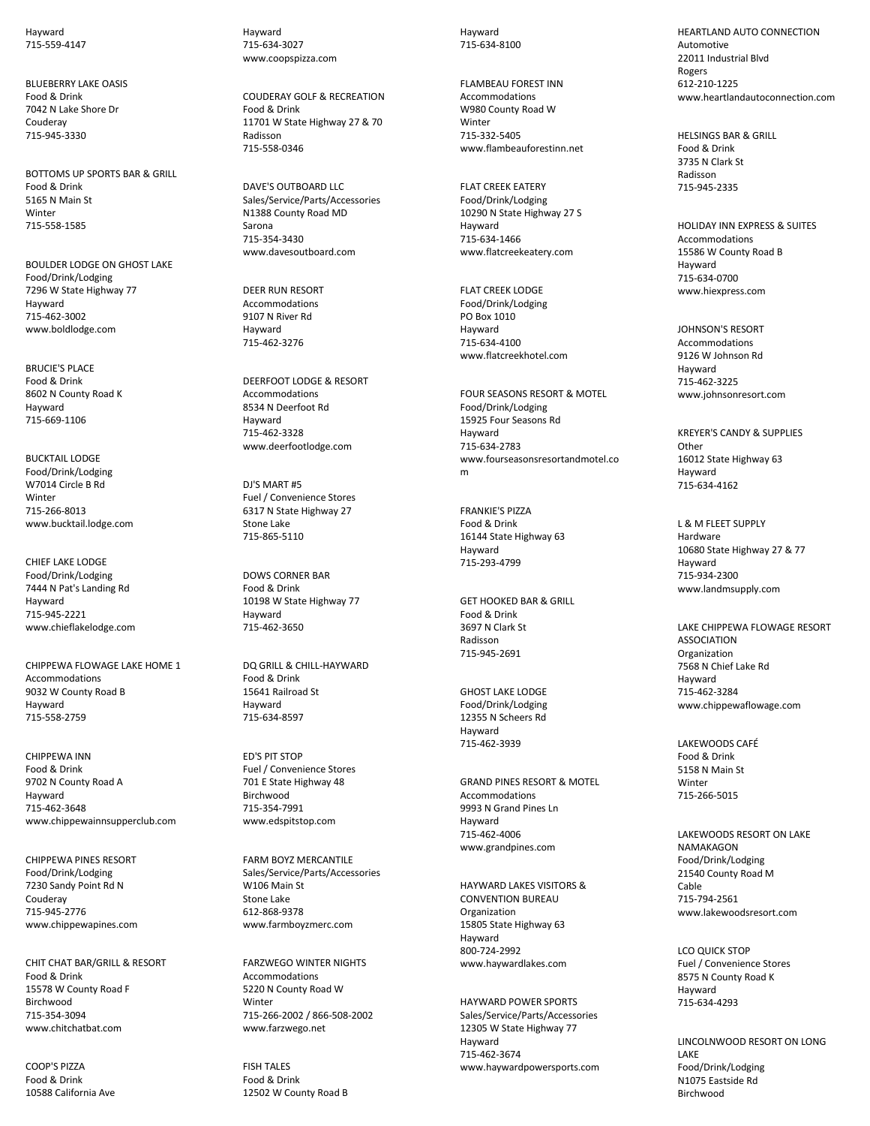Hayward 715-559-4147

BLUEBERRY LAKE OASIS Food & Drink 7042 N Lake Shore Dr Couderay 715-945-3330

BOTTOMS UP SPORTS BAR & GRILL Food & Drink 5165 N Main St **Winter** 715-558-1585

BOULDER LODGE ON GHOST LAKE Food/Drink/Lodging 7296 W State Highway 77 Hayward 715-462-3002 www.boldlodge.com

BRUCIE'S PLACE Food & Drink 8602 N County Road K Hayward 715-669-1106

BUCKTAIL LODGE Food/Drink/Lodging W7014 Circle B Rd **Winter** 715-266-8013 www.bucktail.lodge.com

CHIEF LAKE LODGE Food/Drink/Lodging 7444 N Pat's Landing Rd Hayward 715-945-2221 www.chieflakelodge.com

CHIPPEWA FLOWAGE LAKE HOME 1 Accommodations 9032 W County Road B Hayward 715-558-2759

CHIPPEWA INN Food & Drink 9702 N County Road A Hayward 715-462-3648 www.chippewainnsupperclub.com

CHIPPEWA PINES RESORT Food/Drink/Lodging 7230 Sandy Point Rd N Couderay 715-945-2776 www.chippewapines.com

CHIT CHAT BAR/GRILL & RESORT Food & Drink 15578 W County Road F Birchwood 715-354-3094 www.chitchatbat.com

COOP'S PIZZA Food & Drink 10588 California Ave Hayward 715-634-3027 www.coopspizza.com

COUDERAY GOLF & RECREATION Food & Drink 11701 W State Highway 27 & 70 Radisson 715-558-0346

DAVE'S OUTBOARD LLC Sales/Service/Parts/Accessories N1388 County Road MD Sarona 715-354-3430 www.davesoutboard.com

DEER RUN RESORT Accommodations 9107 N River Rd Hayward 715-462-3276

DEERFOOT LODGE & RESORT Accommodations 8534 N Deerfoot Rd Hayward 715-462-3328 www.deerfootlodge.com

DJ'S MART #5 Fuel / Convenience Stores 6317 N State Highway 27 Stone Lake 715-865-5110

DOWS CORNER BAR Food & Drink 10198 W State Highway 77 Hayward 715-462-3650

DQ GRILL & CHILL-HAYWARD Food & Drink 15641 Railroad St Hayward 715-634-8597

ED'S PIT STOP Fuel / Convenience Stores 701 E State Highway 48 Birchwood 715-354-7991 www.edspitstop.com

FARM BOYZ MERCANTILE Sales/Service/Parts/Accessories W106 Main St Stone Lake 612-868-9378 www.farmboyzmerc.com

FARZWEGO WINTER NIGHTS Accommodations 5220 N County Road W Winter 715-266-2002 / 866-508-2002 www.farzwego.net

FISH TALES Food & Drink 12502 W County Road B Hayward 715-634-8100

FLAMBEAU FOREST INN Accommodations W980 County Road W **Winter** 715-332-5405 www.flambeauforestinn.net

FLAT CREEK EATERY Food/Drink/Lodging 10290 N State Highway 27 S Hayward 715-634-1466 www.flatcreekeatery.com

FLAT CREEK LODGE Food/Drink/Lodging PO Box 1010 Hayward 715-634-4100 www.flatcreekhotel.com

FOUR SEASONS RESORT & MOTEL Food/Drink/Lodging 15925 Four Seasons Rd Hayward 715-634-2783 www.fourseasonsresortandmotel.co m

FRANKIE'S PIZZA Food & Drink 16144 State Highway 63 Hayward 715-293-4799

GET HOOKED BAR & GRILL Food & Drink 3697 N Clark St Radisson 715-945-2691

GHOST LAKE LODGE Food/Drink/Lodging 12355 N Scheers Rd Hayward 715-462-3939

GRAND PINES RESORT & MOTEL Accommodations 9993 N Grand Pines Ln Hayward 715-462-4006 www.grandpines.com

HAYWARD LAKES VISITORS & CONVENTION BUREAU Organization 15805 State Highway 63 Hayward 800-724-2992 www.haywardlakes.com

HAYWARD POWER SPORTS Sales/Service/Parts/Accessories 12305 W State Highway 77 Hayward 715-462-3674 www.haywardpowersports.com

HEARTLAND AUTO CONNECTION Automotive 22011 Industrial Blvd Rogers 612-210-1225 www.heartlandautoconnection.com

HELSINGS BAR & GRILL Food & Drink 3735 N Clark St Radisson 715-945-2335

HOLIDAY INN EXPRESS & SUITES Accommodations 15586 W County Road B Hayward 715-634-0700 www.hiexpress.com

JOHNSON'S RESORT Accommodations 9126 W Johnson Rd Hayward 715-462-3225 www.johnsonresort.com

KREYER'S CANDY & SUPPLIES **Other** 16012 State Highway 63 Hayward 715-634-4162

L & M FLEET SUPPLY Hardware 10680 State Highway 27 & 77 Hayward 715-934-2300 www.landmsupply.com

LAKE CHIPPEWA FLOWAGE RESORT ASSOCIATION Organization 7568 N Chief Lake Rd Hayward 715-462-3284 www.chippewaflowage.com

LAKEWOODS CAFÉ Food & Drink 5158 N Main St Winter 715-266-5015

LAKEWOODS RESORT ON LAKE NAMAKAGON Food/Drink/Lodging 21540 County Road M Cable 715-794-2561 www.lakewoodsresort.com

LCO QUICK STOP Fuel / Convenience Stores 8575 N County Road K Hayward 715-634-4293

LINCOLNWOOD RESORT ON LONG LAKE Food/Drink/Lodging N1075 Eastside Rd Birchwood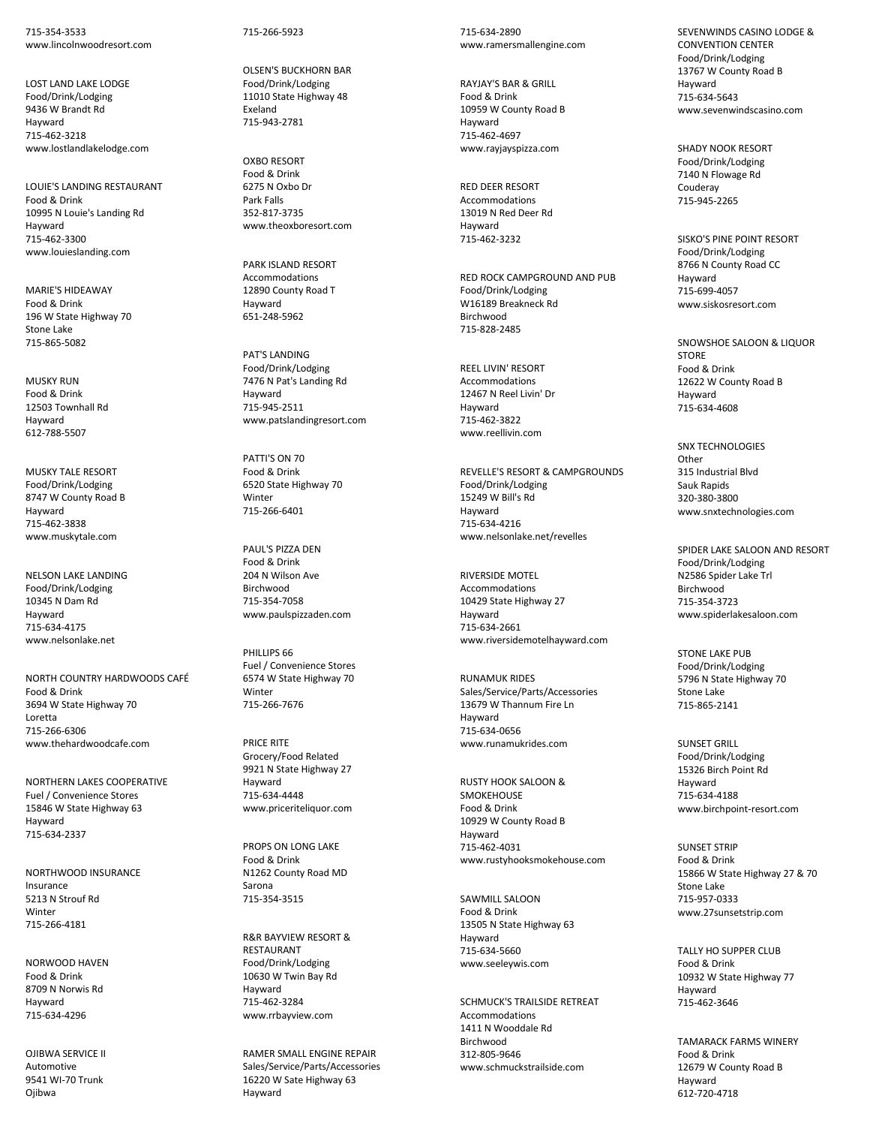715-354-3533 www.lincolnwoodresort.com

LOST LAND LAKE LODGE Food/Drink/Lodging 9436 W Brandt Rd Hayward 715-462-3218 www.lostlandlakelodge.com

LOUIE'S LANDING RESTAURANT Food & Drink 10995 N Louie's Landing Rd Hayward 715-462-3300 www.louieslanding.com

MARIE'S HIDEAWAY Food & Drink 196 W State Highway 70 Stone Lake 715-865-5082

MUSKY RUN Food & Drink 12503 Townhall Rd Hayward 612-788-5507

MUSKY TALE RESORT Food/Drink/Lodging 8747 W County Road B Hayward 715-462-3838 www.muskytale.com

NELSON LAKE LANDING Food/Drink/Lodging 10345 N Dam Rd Hayward 715-634-4175 www.nelsonlake.net

NORTH COUNTRY HARDWOODS CAFÉ Food & Drink 3694 W State Highway 70 Loretta 715-266-6306 www.thehardwoodcafe.com

NORTHERN LAKES COOPERATIVE Fuel / Convenience Stores 15846 W State Highway 63 Hayward 715-634-2337

NORTHWOOD INSURANCE Insurance 5213 N Strouf Rd Winter 715-266-4181

NORWOOD HAVEN Food & Drink 8709 N Norwis Rd Hayward 715-634-4296

OJIBWA SERVICE II Automotive 9541 WI-70 Trunk Ojibwa

715-266-5923

OLSEN'S BUCKHORN BAR Food/Drink/Lodging 11010 State Highway 48 Exeland 715-943-2781

OXBO RESORT Food & Drink 6275 N Oxbo Dr Park Falls 352-817-3735 www.theoxboresort.com

PARK ISLAND RESORT Accommodations 12890 County Road T Hayward 651-248-5962

PAT'S LANDING Food/Drink/Lodging 7476 N Pat's Landing Rd Hayward 715-945-2511 www.patslandingresort.com

PATTI'S ON 70 Food & Drink 6520 State Highway 70 **Winter** 715-266-6401

PAUL'S PIZZA DEN Food & Drink 204 N Wilson Ave Birchwood 715-354-7058 www.paulspizzaden.com

PHILLIPS 66 Fuel / Convenience Stores 6574 W State Highway 70 Winter 715-266-7676

PRICE RITE Grocery/Food Related 9921 N State Highway 27 Hayward 715-634-4448 www.priceriteliquor.com

PROPS ON LONG LAKE Food & Drink N1262 County Road MD Sarona 715-354-3515

R&R BAYVIEW RESORT & RESTAURANT Food/Drink/Lodging 10630 W Twin Bay Rd Hayward 715-462-3284 www.rrbayview.com

RAMER SMALL ENGINE REPAIR Sales/Service/Parts/Accessories 16220 W Sate Highway 63 Hayward

715-634-2890 www.ramersmallengine.com

RAYJAY'S BAR & GRILL Food & Drink 10959 W County Road B Hayward 715-462-4697 www.rayjayspizza.com

RED DEER RESORT Accommodations 13019 N Red Deer Rd Hayward 715-462-3232

RED ROCK CAMPGROUND AND PUB Food/Drink/Lodging W16189 Breakneck Rd Birchwood 715-828-2485

REEL LIVIN' RESORT Accommodations 12467 N Reel Livin' Dr Hayward 715-462-3822 www.reellivin.com

REVELLE'S RESORT & CAMPGROUNDS Food/Drink/Lodging 15249 W Bill's Rd Hayward 715-634-4216 www.nelsonlake.net/revelles

RIVERSIDE MOTEL Accommodations 10429 State Highway 27 Hayward 715-634-2661 www.riversidemotelhayward.com

RUNAMUK RIDES Sales/Service/Parts/Accessories 13679 W Thannum Fire Ln Hayward 715-634-0656 www.runamukrides.com

RUSTY HOOK SALOON & **SMOKEHOUSE** Food & Drink 10929 W County Road B Hayward 715-462-4031 www.rustyhooksmokehouse.com

SAWMILL SALOON Food & Drink 13505 N State Highway 63 Hayward 715-634-5660 www.seeleywis.com

SCHMUCK'S TRAILSIDE RETREAT **Accommodations** 1411 N Wooddale Rd Birchwood 312-805-9646 www.schmuckstrailside.com

SEVENWINDS CASINO LODGE & CONVENTION CENTER Food/Drink/Lodging 13767 W County Road B Hayward 715-634-5643 www.sevenwindscasino.com

SHADY NOOK RESORT Food/Drink/Lodging 7140 N Flowage Rd Couderay 715-945-2265

SISKO'S PINE POINT RESORT Food/Drink/Lodging 8766 N County Road CC Hayward 715-699-4057 www.siskosresort.com

SNOWSHOE SALOON & LIQUOR **STORE** Food & Drink 12622 W County Road B Hayward 715-634-4608

SNX TECHNOLOGIES **Other** 315 Industrial Blvd Sauk Rapids 320-380-3800 www.snxtechnologies.com

SPIDER LAKE SALOON AND RESORT Food/Drink/Lodging N2586 Spider Lake Trl Birchwood 715-354-3723 www.spiderlakesaloon.com

STONE LAKE PUB Food/Drink/Lodging 5796 N State Highway 70 Stone Lake 715-865-2141

SUNSET GRILL Food/Drink/Lodging 15326 Birch Point Rd Hayward 715-634-4188 www.birchpoint-resort.com

SUNSET STRIP Food & Drink 15866 W State Highway 27 & 70 Stone Lake 715-957-0333 www.27sunsetstrip.com

TALLY HO SUPPER CLUB Food & Drink 10932 W State Highway 77 Hayward 715-462-3646

TAMARACK FARMS WINERY Food & Drink 12679 W County Road B Hayward 612-720-4718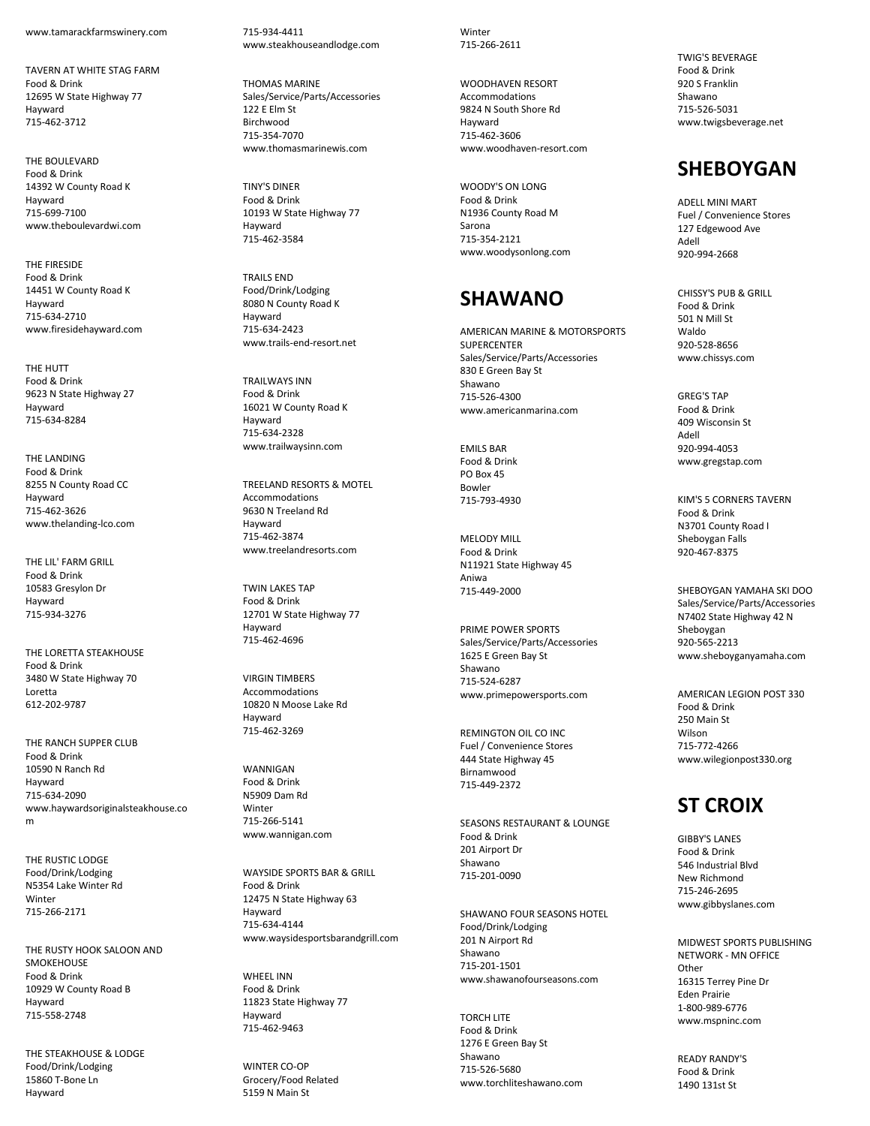www.tamarackfarmswinery.com

TAVERN AT WHITE STAG FARM Food & Drink 12695 W State Highway 77 Hayward 715 -462 -3712

THE BOULEVARD Food & Drink 14392 W County Road K Hayward 715 -699 -7100 www.theboulevardwi.com

THE FIRESIDE Food & Drink 14451 W County Road K Hayward 715 -634 -2710 www.firesidehayward.com

THE HUTT Food & Drink 9623 N State Highway 27 Hayward 715 -634 -8284

THE LANDING Food & Drink 8255 N County Road CC Hayward 715 -462 -3626 www.thelanding -lco.com

THE LIL' FARM GRILL Food & Drink 10583 Gresylon Dr Hayward 715 -934 -3276

THE LORETTA STEAKHOUSE Food & Drink 3480 W State Highway 70 Loretta 612 -202 -9787

THE RANCH SUPPER CLUB Food & Drink 10590 N Ranch R d Hayward 715 -634 -2090 www.haywardsoriginalsteakhouse.co m

THE RUSTIC LODGE Food/Drink/Lodging N5354 Lake Winter Rd **Winter** 715 -266 -2171

THE RUSTY HOOK SALOON AND SMOKEHOUSE Food & Drink 10929 W County Road B Hayward 715 -558 -2748

THE STEAKHOUSE & LODGE Food/Drink/Lodging 15860 T -Bone Ln Hayward

715 -934 -4411 www.steakhouseandlodge.com

THOMAS MARINE Sales/Service/Parts/Accessories 122 E Elm St **Birchwood** 715 -354 -7070 www.thomasmarinewis.com

TINY'S DINER Food & Drink 10193 W State Highway 77 Hayward 715 -462 -3584

TRAILS END Food/Drink/Lodging 8080 N County Road K Hayward 715 -634 -2423 www.trails -end -resort.net

TRAILWAYS INN Food & Drink 16021 W County Road K Hayward 715 -634 -2328 www.trailwaysinn.com

TREELAND RESORTS & MOTEL Accommodations 9630 N Treeland Rd Hayward 715 -462 -3874 www.treelandresorts.com

TWIN LAKES TAP Food & Drink 12701 W State Highway 77 Hayward 715 -462 -4696

VIRGIN TIMBERS Accommodations 10820 N Moose Lake Rd Hayward 715 -462 -3269

WANNIGAN Food & Drink N5909 Dam Rd Winter 715 -266 -5141 www.wannigan.com

WAYSIDE SPORTS BAR & GRILL Food & Drink 12475 N State Highway 63 Hayward 715 -634 -4144 www.waysidesportsbarandgrill.com

WHEEL INN Food & Drink 11823 State Highway 77 Hayward 715 -462 -9463

WINTER CO -OP Grocery/Food Related 5159 N Main St

**Winter** 715 -266 -2611

WOODHAVEN RESORT Accommodations 9824 N South Shore Rd Hayward 715 -462 -3606 www.woodhaven -resort.com

WOODY'S ON LONG Food & Drink N1936 County Road M Sarona 715 -354 -2121 www.woodysonlong.com

# **SHAWANO**

AMERICAN MARINE & MOTORSPORTS **SUPERCENTER** Sales/Service/Parts/Accessories 830 E Green Bay St Shawano 715 -526 -4300 www.americanmarina.com

EMILS BAR Food & Drink PO Box 45 Bowler 715 -793 -4930

MELODY MILL Food & Drink N11921 State Highway 45 Aniwa 715 -449 -2000

PRIME POWER SPORTS Sales/Service/Parts/Accessories 1625 E Green Bay St Shawano 715 -524 -6287 www.primepowersports.com

REMINGTON OIL CO INC Fuel / Convenience Stores 444 State Highway 45 Birnamwood 715 -449 -2372

SEASONS RESTAURANT & LOUNGE Food & Drink 201 Airport Dr Shawano 715 -201 -0090

SHAWANO FOUR SEASONS HOTEL Food/Drink/Lodging 201 N Airport Rd Shawano 715 -201 -1501 www.shawanofourseasons.com

TORCH LITE Food & Drink 1276 E Green Bay St Shawano 715 -526 -5680 www.torchliteshawano.com TWIG'S BEVERAGE Food & Drink 920 S Franklin Shawano 715 -526 -5031 www.twigsbeverage.net

## **SHEBOYGAN**

ADELL MINI MART Fuel / Convenience Stores 127 Edgewood Ave Adell 920 -994 -2668

CHISSY'S PUB & GRILL Food & Drink 501 N Mill St Waldo 920 -528 -8656 www.chissys.com

GREG'S TAP Food & Drink 409 Wisconsin St Adell 920 -994 -4053 www.gregstap.com

KIM'S 5 CORNERS TAVERN Food & Drink N3701 County Road I Sheboygan Falls 920 -467 -8375

SHEBOYGAN YAMAHA SKI DOO Sales/Service/Parts/Accessories N7402 State Highway 42 N Sheboygan 920 -565 -2213 www.sheboyganyamaha.com

AMERICAN LEGION POST 330 Food & Drink 250 Main St Wilson 715 -772 -4266 www.wilegionpost330.org

# **ST CROIX**

GIBBY'S LANES Food & Drink 546 Industrial Blvd New Richmond 715 -246 -2695 www.gibbyslanes.com

MIDWEST SPORTS PUBLISHING NETWORK - MN OFFICE **Other** 16315 Terrey Pine Dr Eden Prairie 1-800-989-677 6 www.mspninc.com

READY RANDY'S Food & Drink 1490 131st St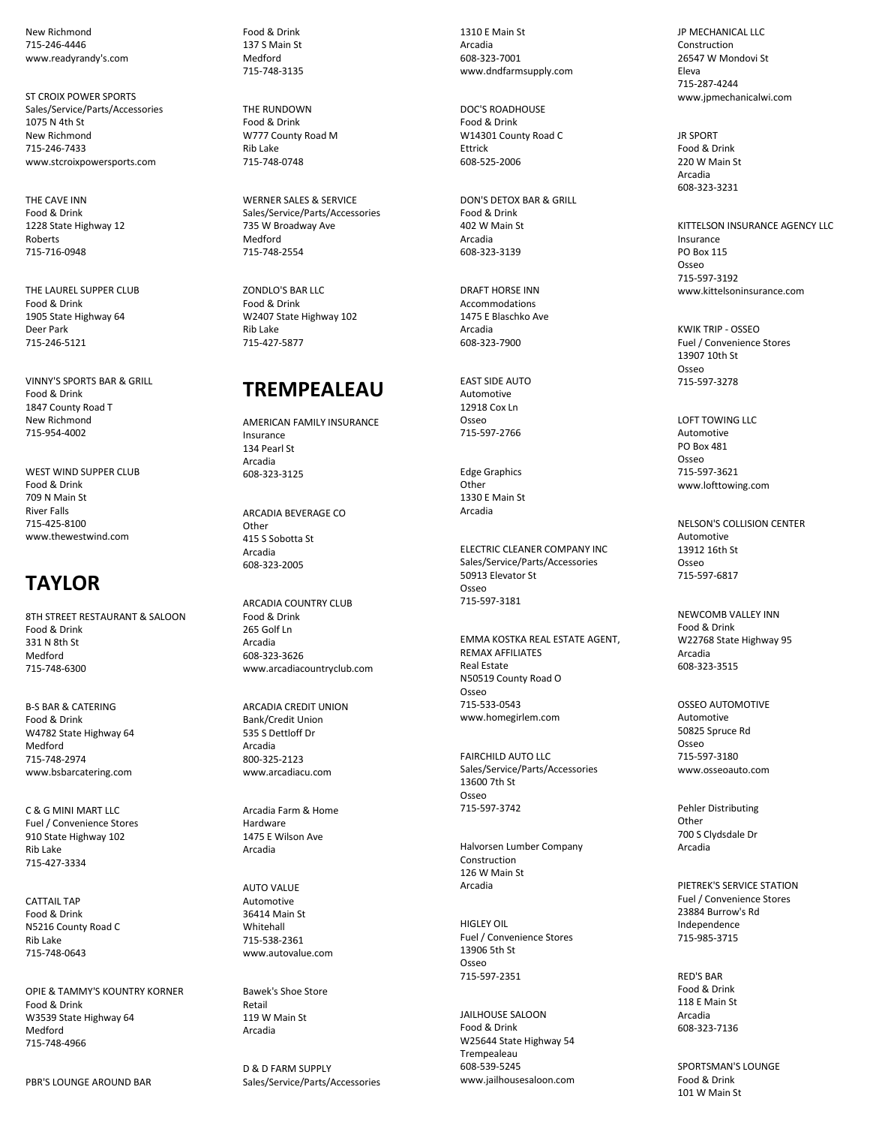New Richmond 715-246-4446 www.readyrandy's.com

ST CROIX POWER SPORTS Sales/Service/Parts/Accessories 1075 N 4th St New Richmond 715-246-7433 www.stcroixpowersports.com

THE CAVE INN Food & Drink 1228 State Highway 12 Roberts 715-716-0948

THE LAUREL SUPPER CLUB Food & Drink 1905 State Highway 64 Deer Park 715-246-5121

VINNY'S SPORTS BAR & GRILL Food & Drink 1847 County Road T New Richmond 715-954-4002

WEST WIND SUPPER CLUB Food & Drink 709 N Main St River Falls 715-425-8100 www.thewestwind.com

# **TAYLOR**

8TH STREET RESTAURANT & SALOON Food & Drink 331 N 8th St Medford 715-748-6300

B-S BAR & CATERING Food & Drink W4782 State Highway 64 Medford 715-748-2974 www.bsbarcatering.com

C & G MINI MART LLC Fuel / Convenience Stores 910 State Highway 102 Rib Lake 715-427-3334

CATTAIL TAP Food & Drink N5216 County Road C Rib Lake 715-748-0643

OPIE & TAMMY'S KOUNTRY KORNER Food & Drink W3539 State Highway 64 Medford 715-748-4966

PBR'S LOUNGE AROUND BAR

Food & Drink 137 S Main St Medford 715-748-3135

THE RUNDOWN Food & Drink W777 County Road M Rib Lake 715-748-0748

WERNER SALES & SERVICE Sales/Service/Parts/Accessories 735 W Broadway Ave Medford 715-748-2554

ZONDLO'S BAR LLC Food & Drink W2407 State Highway 102 Rib Lake 715-427-5877

#### **TREMPEALEAU**

AMERICAN FAMILY INSURANCE Insurance 134 Pearl St Arcadia 608-323-3125

ARCADIA BEVERAGE CO **Other** 415 S Sobotta St Arcadia 608-323-2005

ARCADIA COUNTRY CLUB Food & Drink 265 Golf Ln Arcadia 608-323-3626 www.arcadiacountryclub.com

ARCADIA CREDIT UNION Bank/Credit Union 535 S Dettloff Dr Arcadia 800-325-2123 www.arcadiacu.com

Arcadia Farm & Home Hardware 1475 E Wilson Ave Arcadia

AUTO VALUE Automotive 36414 Main St **Whitehall** 715-538-2361 www.autovalue.com

Bawek's Shoe Store Retail 119 W Main St Arcadia

D & D FARM SUPPLY Sales/Service/Parts/Accessories

1310 E Main St Arcadia 608-323-7001 www.dndfarmsupply.com

DOC'S ROADHOUSE Food & Drink W14301 County Road C Ettrick 608-525-2006

DON'S DETOX BAR & GRILL Food & Drink 402 W Main St Arcadia 608-323-3139

DRAFT HORSE INN Accommodations 1475 E Blaschko Ave Arcadia 608-323-7900

EAST SIDE AUTO Automotive 12918 Cox Ln Osseo 715-597-2766

Edge Graphics Other 1330 E Main St Arcadia

ELECTRIC CLEANER COMPANY INC Sales/Service/Parts/Accessories 50913 Elevator St Osseo 715-597-3181

EMMA KOSTKA REAL ESTATE AGENT, REMAX AFFILIATES Real Estate N50519 County Road O Osseo 715-533-0543 www.homegirlem.com

FAIRCHILD AUTO LLC Sales/Service/Parts/Accessories 13600 7th St Osseo 715-597-3742

Halvorsen Lumber Company Construction 126 W Main St Arcadia

HIGLEY OIL Fuel / Convenience Stores 13906 5th St Osseo 715-597-2351

JAILHOUSE SALOON Food & Drink W25644 State Highway 54 Trempealeau 608-539-5245 www.jailhousesaloon.com

JP MECHANICAL LLC Construction 26547 W Mondovi St Eleva 715-287-4244 www.jpmechanicalwi.com

JR SPORT Food & Drink 220 W Main St Arcadia 608-323-3231

KITTELSON INSURANCE AGENCY LLC Insurance PO Box 115 Osseo 715-597-3192 www.kittelsoninsurance.com

KWIK TRIP - OSSEO Fuel / Convenience Stores 13907 10th St Osseo 715-597-3278

LOFT TOWING LLC Automotive PO Box 481 Osseo 715-597-3621 www.lofttowing.com

NELSON'S COLLISION CENTER Automotive 13912 16th St Osseo 715-597-6817

NEWCOMB VALLEY INN Food & Drink W22768 State Highway 95 Arcadia 608-323-3515

OSSEO AUTOMOTIVE Automotive 50825 Spruce Rd Osseo 715-597-3180 www.osseoauto.com

Pehler Distributing Other 700 S Clydsdale Dr Arcadia

PIETREK'S SERVICE STATION Fuel / Convenience Stores 23884 Burrow's Rd Independence 715-985-3715

RED'S BAR Food & Drink 118 E Main St Arcadia 608-323-7136

SPORTSMAN'S LOUNGE Food & Drink 101 W Main St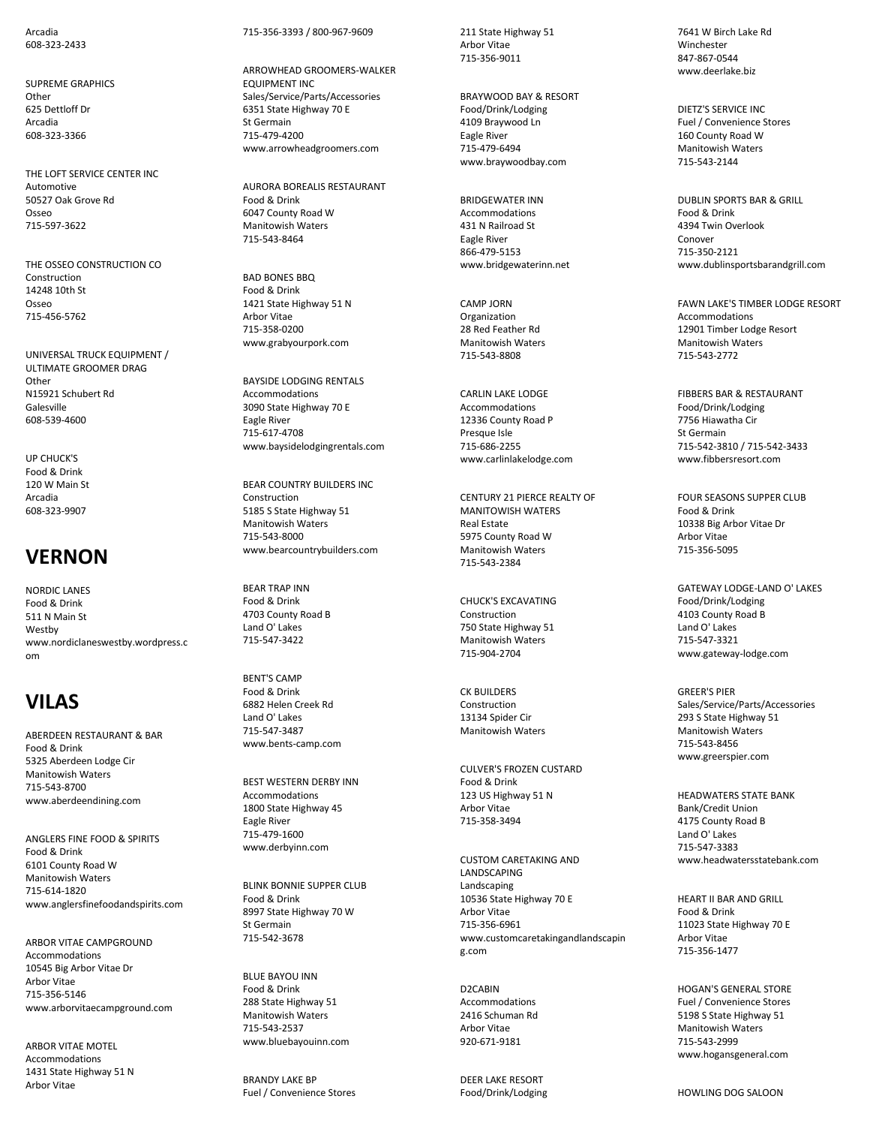Arcadia 608-323-2433

SUPREME GRAPHICS **Other** 625 Dettloff Dr Arcadia 608-323-3366

THE LOFT SERVICE CENTER INC Automotive 50527 Oak Grove Rd Osseo 715-597-3622

THE OSSEO CONSTRUCTION CO Construction 14248 10th St Osseo 715-456-5762

UNIVERSAL TRUCK EQUIPMENT / ULTIMATE GROOMER DRAG Other N15921 Schubert Rd Galesville 608-539-4600

UP CHUCK'S Food & Drink 120 W Main St Arcadia 608-323-9907

#### **VERNON**

NORDIC LANES Food & Drink 511 N Main St Westby www.nordiclaneswestby.wordpress.c om

# **VILAS**

ABERDEEN RESTAURANT & BAR Food & Drink 5325 Aberdeen Lodge Cir Manitowish Waters 715-543-8700 www.aberdeendining.com

ANGLERS FINE FOOD & SPIRITS Food & Drink 6101 County Road W Manitowish Waters 715-614-1820 www.anglersfinefoodandspirits.com

ARBOR VITAE CAMPGROUND Accommodations 10545 Big Arbor Vitae Dr Arbor Vitae 715-356-5146 www.arborvitaecampground.com

ARBOR VITAE MOTEL Accommodations 1431 State Highway 51 N Arbor Vitae

#### 715-356-3393 / 800-967-9609

ARROWHEAD GROOMERS-WALKER EQUIPMENT INC Sales/Service/Parts/Accessories 6351 State Highway 70 E St Germain 715-479-4200 www.arrowheadgroomers.com

AURORA BOREALIS RESTAURANT Food & Drink 6047 County Road W Manitowish Waters 715-543-8464

BAD BONES BBQ Food & Drink 1421 State Highway 51 N Arbor Vitae 715-358-0200 www.grabyourpork.com

BAYSIDE LODGING RENTALS Accommodations 3090 State Highway 70 E Eagle River 715-617-4708 www.baysidelodgingrentals.com

BEAR COUNTRY BUILDERS INC Construction 5185 S State Highway 51 Manitowish Waters 715-543-8000 www.bearcountrybuilders.com

BEAR TRAP INN Food & Drink 4703 County Road B Land O' Lakes 715-547-3422

BENT'S CAMP Food & Drink 6882 Helen Creek Rd Land O' Lakes 715-547-3487 www.bents-camp.com

BEST WESTERN DERBY INN Accommodations 1800 State Highway 45 Eagle River 715-479-1600 www.derbyinn.com

BLINK BONNIE SUPPER CLUB Food & Drink 8997 State Highway 70 W St Germain 715-542-3678

BLUE BAYOU INN Food & Drink 288 State Highway 51 Manitowish Waters 715-543-2537 www.bluebayouinn.com

BRANDY LAKE BP Fuel / Convenience Stores 211 State Highway 51 Arbor Vitae 715-356-9011

BRAYWOOD BAY & RESORT Food/Drink/Lodging 4109 Braywood Ln Eagle River 715-479-6494 www.braywoodbay.com

BRIDGEWATER INN Accommodations 431 N Railroad St Eagle River 866-479-5153 www.bridgewaterinn.net

CAMP JORN Organization 28 Red Feather Rd Manitowish Waters 715-543-8808

CARLIN LAKE LODGE Accommodations 12336 County Road P Presque Isle 715-686-2255 www.carlinlakelodge.com

CENTURY 21 PIERCE REALTY OF MANITOWISH WATERS Real Estate 5975 County Road W Manitowish Waters 715-543-2384

CHUCK'S EXCAVATING Construction 750 State Highway 51 Manitowish Waters 715-904-2704

CK BUILDERS Construction 13134 Spider Cir Manitowish Waters

CULVER'S FROZEN CUSTARD Food & Drink 123 US Highway 51 N Arbor Vitae 715-358-3494

CUSTOM CARETAKING AND **LANDSCAPING** Landscaping 10536 State Highway 70 E Arbor Vitae 715-356-6961 www.customcaretakingandlandscapin g.com

D2CABIN Accommodations 2416 Schuman Rd Arbor Vitae 920-671-9181

DEER LAKE RESORT Food/Drink/Lodging

7641 W Birch Lake Rd Winchester 847-867-0544 www.deerlake.biz

DIETZ'S SERVICE INC Fuel / Convenience Stores 160 County Road W Manitowish Waters 715-543-2144

DUBLIN SPORTS BAR & GRILL Food & Drink 4394 Twin Overlook Conover 715-350-2121 www.dublinsportsbarandgrill.com

FAWN LAKE'S TIMBER LODGE RESORT Accommodations 12901 Timber Lodge Resort Manitowish Waters 715-543-2772

FIBBERS BAR & RESTAURANT Food/Drink/Lodging 7756 Hiawatha Cir St Germain 715-542-3810 / 715-542-3433 www.fibbersresort.com

FOUR SEASONS SUPPER CLUB Food & Drink 10338 Big Arbor Vitae Dr Arbor Vitae 715-356-5095

GATEWAY LODGE-LAND O' LAKES Food/Drink/Lodging 4103 County Road B Land O' Lakes 715-547-3321 www.gateway-lodge.com

GREER'S PIER Sales/Service/Parts/Accessories 293 S State Highway 51 Manitowish Waters 715-543-8456 www.greerspier.com

HEADWATERS STATE BANK Bank/Credit Union 4175 County Road B Land O' Lakes 715-547-3383 www.headwatersstatebank.com

HEART II BAR AND GRILL Food & Drink 11023 State Highway 70 E Arbor Vitae 715-356-1477

HOGAN'S GENERAL STORE Fuel / Convenience Stores 5198 S State Highway 51 Manitowish Waters 715-543-2999 www.hogansgeneral.com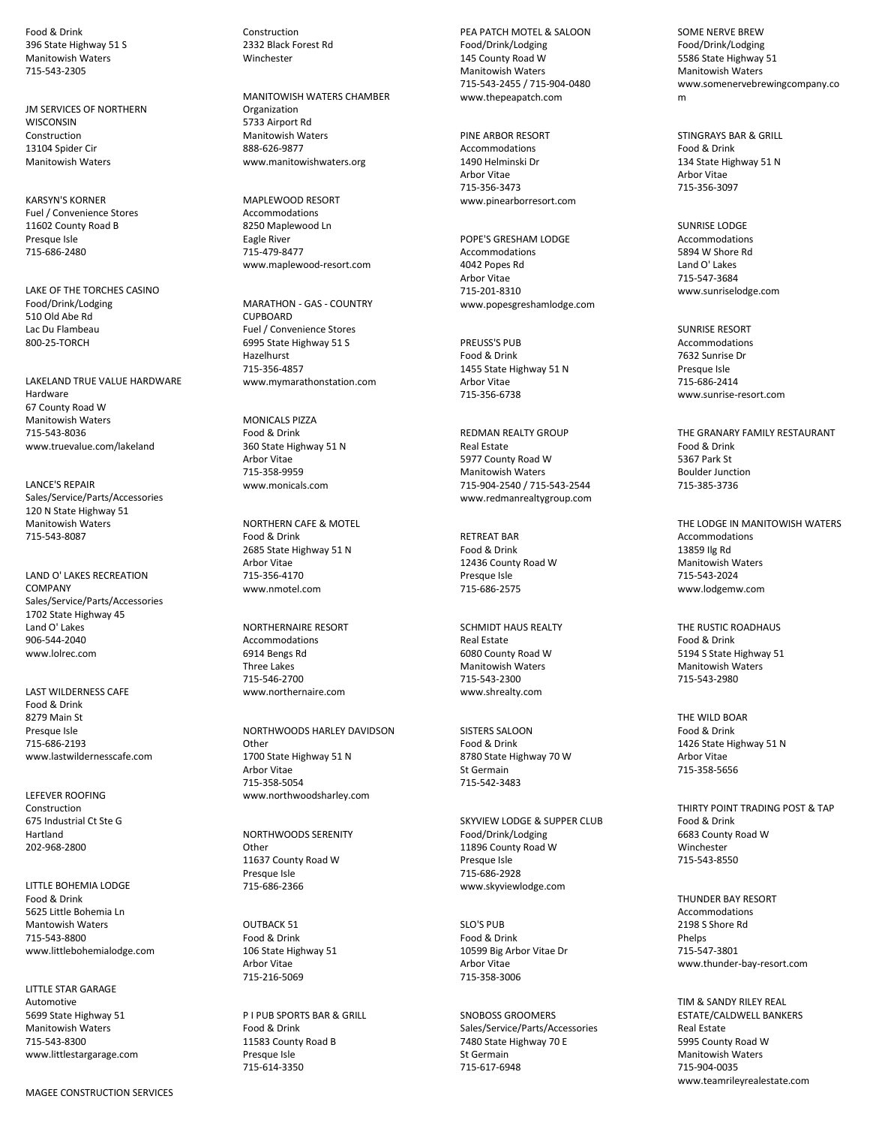Food & Drink 396 State Highway 51 S Manitowish Waters 715-543-2305

JM SERVICES OF NORTHERN **WISCONSIN** Construction 13104 Spider Cir Manitowish Waters

KARSYN'S KORNER Fuel / Convenience Stores 11602 County Road B Presque Isle 715-686-2480

LAKE OF THE TORCHES CASINO Food/Drink/Lodging 510 Old Abe Rd Lac Du Flambeau 800-25-TORCH

LAKELAND TRUE VALUE HARDWARE Hardware 67 County Road W Manitowish Waters 715-543-8036 www.truevalue.com/lakeland

LANCE'S REPAIR Sales/Service/Parts/Accessories 120 N State Highway 51 Manitowish Waters 715-543-8087

LAND O' LAKES RECREATION **COMPANY** Sales/Service/Parts/Accessories 1702 State Highway 45 Land O' Lakes 906-544-2040 www.lolrec.com

LAST WILDERNESS CAFE Food & Drink 8279 Main St Presque Isle 715-686-2193 www.lastwildernesscafe.com

LEFEVER ROOFING Construction 675 Industrial Ct Ste G Hartland 202-968-2800

LITTLE BOHEMIA LODGE Food & Drink 5625 Little Bohemia Ln Mantowish Waters 715-543-8800 www.littlebohemialodge.com

LITTLE STAR GARAGE Automotive 5699 State Highway 51 Manitowish Waters 715-543-8300 www.littlestargarage.com Construction 2332 Black Forest Rd **Winchester** 

MANITOWISH WATERS CHAMBER Organization 5733 Airport Rd Manitowish Waters 888-626-9877 www.manitowishwaters.org

MAPLEWOOD RESORT Accommodations 8250 Maplewood Ln Eagle River 715-479-8477 www.maplewood-resort.com

MARATHON - GAS - COUNTRY **CUPROARD** Fuel / Convenience Stores 6995 State Highway 51 S Hazelhurst 715-356-4857 www.mymarathonstation.com

MONICALS PIZZA Food & Drink 360 State Highway 51 N Arbor Vitae 715-358-9959 www.monicals.com

NORTHERN CAFE & MOTEL Food & Drink 2685 State Highway 51 N Arbor Vitae 715-356-4170 www.nmotel.com

NORTHERNAIRE RESORT Accommodations 6914 Bengs Rd Three Lakes 715-546-2700 www.northernaire.com

NORTHWOODS HARLEY DAVIDSON **Other** 1700 State Highway 51 N Arbor Vitae 715-358-5054 www.northwoodsharley.com

NORTHWOODS SERENITY **Other** 11637 County Road W Presque Isle 715-686-2366

OUTBACK 51 Food & Drink 106 State Highway 51 Arbor Vitae 715-216-5069

P I PUB SPORTS BAR & GRILL Food & Drink 11583 County Road B Presque Isle 715-614-3350

PEA PATCH MOTEL & SALOON Food/Drink/Lodging 145 County Road W Manitowish Waters 715-543-2455 / 715-904-0480 www.thepeapatch.com

PINE ARBOR RESORT Accommodations 1490 Helminski Dr Arbor Vitae 715-356-3473 www.pinearborresort.com

POPE'S GRESHAM LODGE Accommodations 4042 Popes Rd Arbor Vitae 715-201-8310 www.popesgreshamlodge.com

PREUSS'S PUB Food & Drink 1455 State Highway 51 N Arbor Vitae 715-356-6738

REDMAN REALTY GROUP Real Estate 5977 County Road W Manitowish Waters 715-904-2540 / 715-543-2544 www.redmanrealtygroup.com

RETREAT BAR Food & Drink 12436 County Road W Presque Isle 715-686-2575

SCHMIDT HAUS REALTY Real Estate 6080 County Road W Manitowish Waters 715-543-2300 www.shrealty.com

SISTERS SALOON Food & Drink 8780 State Highway 70 W St Germain 715-542-3483

SKYVIEW LODGE & SUPPER CLUB Food/Drink/Lodging 11896 County Road W Presque Isle 715-686-2928 www.skyviewlodge.com

SLO'S PUB Food & Drink 10599 Big Arbor Vitae Dr Arbor Vitae 715-358-3006

SNOBOSS GROOMERS Sales/Service/Parts/Accessories 7480 State Highway 70 E St Germain 715-617-6948

SOME NERVE BREW Food/Drink/Lodging 5586 State Highway 51 Manitowish Waters www.somenervebrewingcompany.co m

STINGRAYS BAR & GRILL Food & Drink 134 State Highway 51 N Arbor Vitae 715-356-3097

SUNRISE LODGE Accommodations 5894 W Shore Rd Land O' Lakes 715-547-3684 www.sunriselodge.com

SUNRISE RESORT Accommodations 7632 Sunrise Dr Presque Isle 715-686-2414 www.sunrise-resort.com

THE GRANARY FAMILY RESTAURANT Food & Drink 5367 Park St Boulder Junction 715-385-3736

THE LODGE IN MANITOWISH WATERS Accommodations 13859 Ilg Rd Manitowish Waters 715-543-2024 www.lodgemw.com

THE RUSTIC ROADHAUS Food & Drink 5194 S State Highway 51 Manitowish Waters 715-543-2980

THE WILD BOAR Food & Drink 1426 State Highway 51 N Arbor Vitae 715-358-5656

THIRTY POINT TRADING POST & TAP Food & Drink 6683 County Road W Winchester 715-543-8550

THUNDER BAY RESORT Accommodations 2198 S Shore Rd Phelps 715-547-3801 www.thunder-bay-resort.com

TIM & SANDY RILEY REAL ESTATE/CALDWELL BANKERS Real Estate 5995 County Road W Manitowish Waters 715-904-0035 www.teamrileyrealestate.com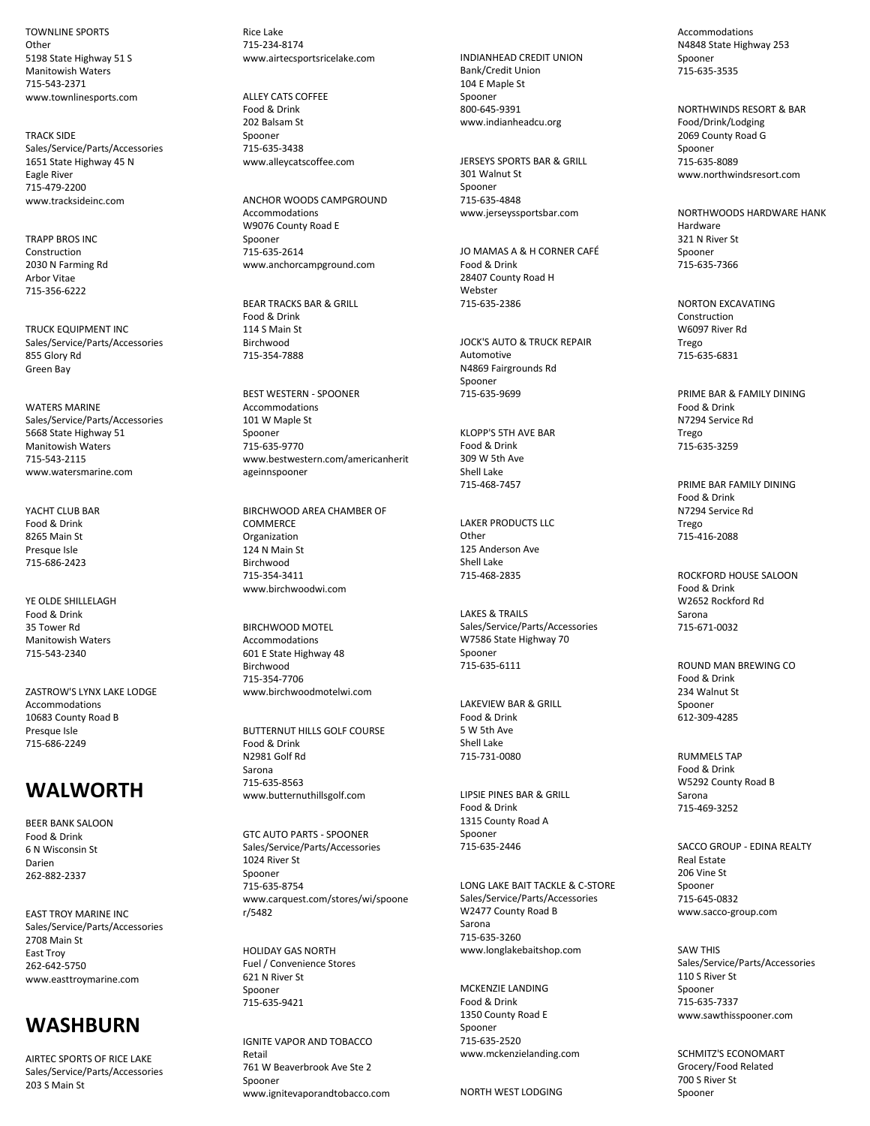TOWNLINE SPORTS **Other** 5198 State Highway 51 S Manitowish Waters 715-543-2371 www.townlinesports.com

TRACK SIDE Sales/Service/Parts/Accessories 1651 State Highway 45 N Eagle River 715-479-2200 www.tracksideinc.com

TRAPP BROS INC Construction 2030 N Farming Rd Arbor Vitae 715-356-6222

TRUCK EQUIPMENT INC Sales/Service/Parts/Accessories 855 Glory Rd Green Bay

WATERS MARINE Sales/Service/Parts/Accessories 5668 State Highway 51 Manitowish Waters 715-543-2115 www.watersmarine.com

YACHT CLUB BAR Food & Drink 8265 Main St Presque Isle 715-686-2423

YE OLDE SHILLELAGH Food & Drink 35 Tower Rd Manitowish Waters 715-543-2340

ZASTROW'S LYNX LAKE LODGE Accommodations 10683 County Road B Presque Isle 715-686-2249

#### **WALWORTH**

BEER BANK SALOON Food & Drink 6 N Wisconsin St Darien 262-882-2337

EAST TROY MARINE INC Sales/Service/Parts/Accessories 2708 Main St East Troy 262-642-5750 www.easttroymarine.com

# **WASHBURN**

AIRTEC SPORTS OF RICE LAKE Sales/Service/Parts/Accessories 203 S Main St

Rice Lake 715-234-8174 www.airtecsportsricelake.com

ALLEY CATS COFFEE Food & Drink 202 Balsam St Spooner 715-635-3438 www.alleycatscoffee.com

ANCHOR WOODS CAMPGROUND Accommodations W9076 County Road E Spooner 715-635-2614 www.anchorcampground.com

BEAR TRACKS BAR & GRILL Food & Drink 114 S Main St Birchwood 715-354-7888

BEST WESTERN - SPOONER Accommodations 101 W Maple St Spooner 715-635-9770 www.bestwestern.com/americanherit ageinnspooner

BIRCHWOOD AREA CHAMBER OF COMMERCE Organization 124 N Main St Birchwood 715-354-3411 www.birchwoodwi.com

BIRCHWOOD MOTEL Accommodations 601 E State Highway 48 **Birchwood** 715-354-7706 www.birchwoodmotelwi.com

BUTTERNUT HILLS GOLF COURSE Food & Drink N2981 Golf Rd Sarona 715-635-8563 www.butternuthillsgolf.com

GTC AUTO PARTS - SPOONER Sales/Service/Parts/Accessories 1024 River St Spooner 715-635-8754 www.carquest.com/stores/wi/spoone r/5482

HOLIDAY GAS NORTH Fuel / Convenience Stores 621 N River St Spooner 715-635-9421

IGNITE VAPOR AND TOBACCO Retail 761 W Beaverbrook Ave Ste 2 Spooner www.ignitevaporandtobacco.com INDIANHEAD CREDIT UNION Bank/Credit Union 104 E Maple St Spooner 800-645-9391 www.indianheadcu.org

JERSEYS SPORTS BAR & GRILL 301 Walnut St Spooner 715-635-4848 www.jerseyssportsbar.com

JO MAMAS A & H CORNER CAFÉ Food & Drink 28407 County Road H Webster 715-635-2386

JOCK'S AUTO & TRUCK REPAIR Automotive N4869 Fairgrounds Rd Spooner 715-635-9699

KLOPP'S 5TH AVE BAR Food & Drink 309 W 5th Ave Shell Lake 715-468-7457

LAKER PRODUCTS LLC **Other** 125 Anderson Ave Shell Lake 715-468-2835

LAKES & TRAILS Sales/Service/Parts/Accessories W7586 State Highway 70 Spooner 715-635-6111

LAKEVIEW BAR & GRILL Food & Drink 5 W 5th Ave Shell Lake 715-731-0080

LIPSIE PINES BAR & GRILL Food & Drink 1315 County Road A Spooner 715-635-2446

LONG LAKE BAIT TACKLE & C-STORE Sales/Service/Parts/Accessories W2477 County Road B Sarona 715-635-3260 www.longlakebaitshop.com

MCKENZIE LANDING Food & Drink 1350 County Road E Spooner 715-635-2520 www.mckenzielanding.com

NORTH WEST LODGING

Accommodations N4848 State Highway 253 Spooner 715-635-3535

NORTHWINDS RESORT & BAR Food/Drink/Lodging 2069 County Road G Spooner 715-635-8089 www.northwindsresort.com

NORTHWOODS HARDWARE HANK Hardware 321 N River St Spooner 715-635-7366

NORTON EXCAVATING Construction W6097 River Rd Trego 715-635-6831

PRIME BAR & FAMILY DINING Food & Drink N7294 Service Rd Trego 715-635-3259

PRIME BAR FAMILY DINING Food & Drink N7294 Service Rd Trego 715-416-2088

ROCKFORD HOUSE SALOON Food & Drink W2652 Rockford Rd Sarona 715-671-0032

ROUND MAN BREWING CO Food & Drink 234 Walnut St Spooner 612-309-4285

RUMMELS TAP Food & Drink W5292 County Road B Sarona 715-469-3252

SACCO GROUP - EDINA REALTY Real Estate 206 Vine St Spooner 715-645-0832 www.sacco-group.com

SAW THIS Sales/Service/Parts/Accessories 110 S River St Spooner 715-635-7337 www.sawthisspooner.com

SCHMITZ'S ECONOMART Grocery/Food Related 700 S River St Spooner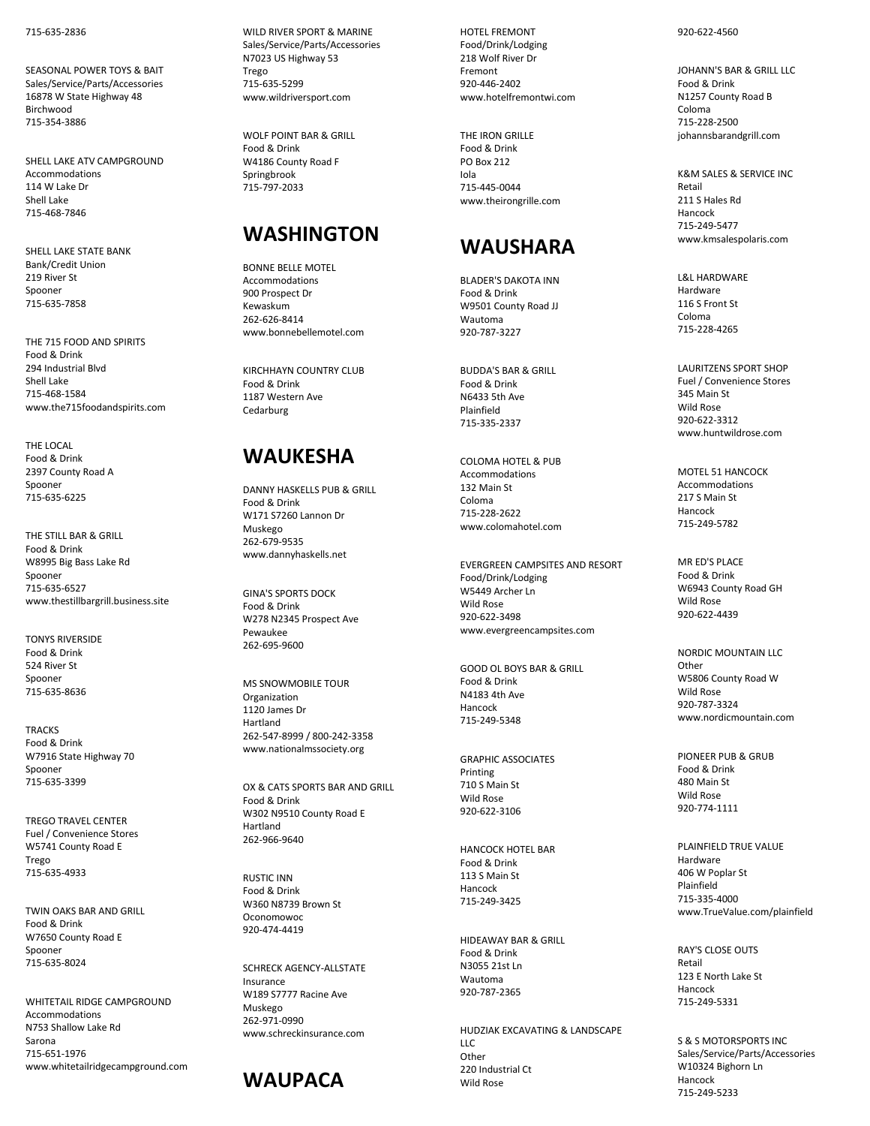715 -635 -2836

SEASONAL POWER TOYS & BAIT Sales/Service/Parts/Accessories 16878 W State Highway 48 Birchwood 715 -354 -3886

SHELL LAKE ATV CAMPGROUND Accommodations 114 W Lake Dr Shell Lake 715 -468 -7846

SHELL LAKE STATE BANK Bank/Credit Union 219 River St Spooner 715 -635 -7858

THE 715 FOOD AND SPIRITS Food & Drink 294 Industrial Blvd Shell Lake 715 -468 -1584 www.the715foodandspirits.com

THE LOCAL Food & Drink 2397 County Road A Spooner 715 -635 -6225

THE STILL BAR & GRILL Food & Drink W8995 Big Bass Lake Rd Spooner 715 -635 -6527 www.thestillbargrill.business.site

TONYS RIVERSIDE Food & Drink 524 River St Spooner 715 -635 -8636

**TRACKS** Food & Drink W7916 State Highway 70 Spooner 715 -635 -3399

TREGO TRAVEL CENTER Fuel / Convenience Stores W5741 County Road E Trego 715 -635 -4933

TWIN OAKS BAR AND GRILL Food & Drink W7650 County Road E Spooner 715 -635 -8024

WHITETAIL RIDGE CAMPGROUND Accommodations N753 Shallow Lake Rd Sarona 715 -651 -1976 www.whitetailridgecampground.com WILD RIVER SPORT & MARINE Sales/Service/Parts/Accessories N7023 US Highway 53 Trego 715 -635 -5299 www.wildriversport.com

WOLF POINT BAR & GRILL Food & Drink W4186 County Road F Springbrook 715 -797 -2033

## **WASHINGTON**

BONNE BELLE MOTEL Accommodations 900 Prospect Dr Kewaskum 262 -626 -8414 www.bonnebellemotel.com

KIRCHHAYN COUNTRY CLUB Food & Drink 1187 Western Ave **Cedarburg** 

## **WAUKESHA**

DANNY HASKELLS PUB & GRILL Food & Drink W171 S7260 Lannon Dr Muskego 262 -679 -9535 www.dannyhaskells.net

GINA'S SPORTS DOCK Food & Drink W278 N2345 Prospect Ave Pewaukee 262 -695 -9600

MS SNOWMOBILE TOUR Organization 1120 James Dr Hartland 262 -547 -8999 / 80 0 -242 -3358 www.nationalmssociety.org

OX & CATS SPORTS BAR AND GRILL Food & Drink W302 N9510 County Road E Hartland 262 -966 -9640

RUSTIC INN Food & Drink W360 N8739 Brown St Oconomowoc 920 -474 -4419

SCHRECK AGENCY -ALLSTATE Insurance W189 S7777 Racine Ave Muskego 262 -971 -0990 www.schreckinsurance.com



HOTEL FREMONT Food/Drink/Lodging 218 Wolf River Dr Fremont 920 -446 -2402 www.hotelfremontwi.com

THE IRON GRILLE Food & Drink PO Box 212 Iola 715 -445 -0044 www.theirongrille.com

## **WAUSHARA**

BLADER'S DAKOTA INN Food & Drink W9501 County Road JJ Wautoma 920 -787 -3227

BUDDA'S BAR & GRILL Food & Drink N6433 5th Ave Plainfield 715 -335 -2337

COLOMA HOTEL & PUB Accommodations 132 Main St Coloma 715 -228 -2622 www.colomahotel.com

EVERGREEN CAMPSITES AND RESORT Food/Drink/Lodging W5449 Archer Ln Wild Rose 920 -622 -3498 www.evergreencampsites.com

GOOD OL BOYS BAR & GRILL Food & Drink N4183 4th Ave Hancock 715 -249 -5348

GRAPHIC ASSOCIATES Printing 710 S Main St Wild Rose 920 -622 -3106

HANCOCK HOTEL BAR Food & Drink 113 S Main St Hancock 715 -249 -3425

HIDEAWAY BAR & GRILL Food & Drink N3055 21st Ln Wautoma 920 -787 -2365

HUDZIAK EXCAVATING & LANDSCAPE LLC Other 220 Industrial Ct Wild Rose

#### 920 -622 -4560

JOHANN'S BAR & GRILL LLC Food & Drink N1257 County Road B Coloma 715 -228 -2500 johannsbarandgrill.com

K&M SALES & SERVICE INC Retail 211 S Hales Rd Hancock 715 -249 -5477 www.kmsalespolaris.com

L&L HARDWARE Hardware 116 S Front St Coloma 715 -228 -4265

LAURITZENS SPORT SHOP Fuel / Convenience Stores 345 Main St Wild Rose 920 -622 -3312 www.huntwildrose.com

MOTEL 51 HANCOCK Accommodations 217 S Main St Hancock 715 -249 -5782

MR ED'S PLACE Food & Drink W6943 County Road GH Wild Rose 920 -622 -4439

NORDIC MOUNTAIN LLC Other W5806 County Road W Wild Rose 920 -787 -3324 www.nordicmountain.com

PIONEER PUB & GRUB Food & Drink 480 Main St Wild Rose 920 -774 -1111

PLAINFIELD TRUE VALUE Hardware 406 W Poplar St Plainfield 715 -335 -4000 www.TrueValue.com/plainfield

RAY'S CLOSE OUTS Retail 123 E North Lake St Hancock 715 -249 -5331

S & S MOTORSPORTS INC Sales/Service/Parts/Accessories W10324 Bighorn Ln Hancock 715 -249 -5233